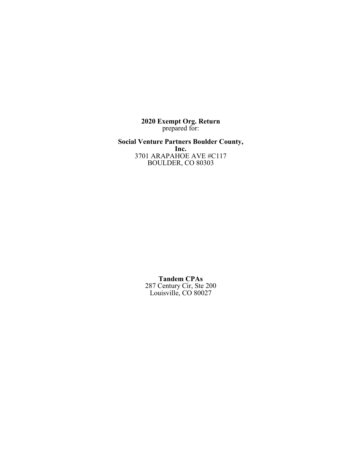**2020 Exempt Org. Return** prepared for:

**Social Venture Partners Boulder County, Inc.** 3701 ARAPAHOE AVE #C117 BOULDER, CO 80303

> **Tandem CPAs** 287 Century Cir, Ste 200 Louisville, CO 80027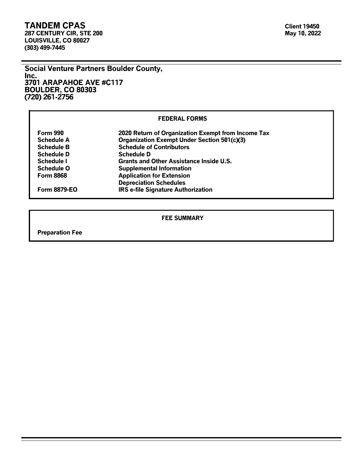## **TANDEM CPAS**

**287 CENTURY CIR, STE 200 LOUISVILLE, CO 80027 (303) 499-7445**

**Social Venture Partners Boulder County, Inc. 3701 ARAPAHOE AVE #C117 BOULDER, CO 80303 (720) 261-2756**

### **FEDERAL FORMS**

| Form 990            | 2020 Return of Organization Exempt from Income Tax |
|---------------------|----------------------------------------------------|
| <b>Schedule A</b>   | <b>Organization Exempt Under Section 501(c)(3)</b> |
| <b>Schedule B</b>   | <b>Schedule of Contributors</b>                    |
| <b>Schedule D</b>   | <b>Schedule D</b>                                  |
| <b>Schedule I</b>   | <b>Grants and Other Assistance Inside U.S.</b>     |
| <b>Schedule O</b>   | <b>Supplemental Information</b>                    |
| <b>Form 8868</b>    | <b>Application for Extension</b>                   |
|                     | <b>Depreciation Schedules</b>                      |
| <b>Form 8879-EO</b> | <b>IRS e-file Signature Authorization</b>          |

**FEE SUMMARY**

**Preparation Fee**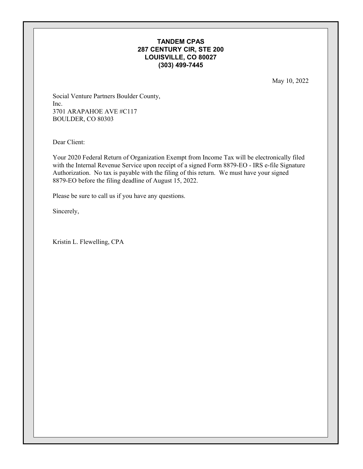### **TANDEM CPAS 287 CENTURY CIR, STE 200 LOUISVILLE, CO 80027 (303) 499-7445**

May 10, 2022

Social Venture Partners Boulder County, Inc. 3701 ARAPAHOE AVE #C117 BOULDER, CO 80303

Dear Client:

Your 2020 Federal Return of Organization Exempt from Income Tax will be electronically filed with the Internal Revenue Service upon receipt of a signed Form 8879-EO - IRS e-file Signature Authorization. No tax is payable with the filing of this return. We must have your signed 8879-EO before the filing deadline of August 15, 2022.

Please be sure to call us if you have any questions.

Sincerely,

Kristin L. Flewelling, CPA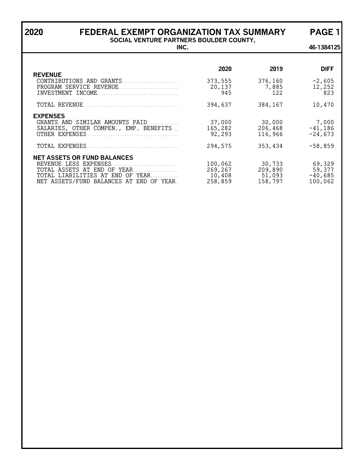### **2020 FEDERAL EXEMPT ORGANIZATION TAX SUMMARY PAGE 1**

**SOCIAL VENTURE PARTNERS BOULDER COUNTY,**

| INC.                                                                                                                                                                            |                                         |                                        | 46-1384125                               |
|---------------------------------------------------------------------------------------------------------------------------------------------------------------------------------|-----------------------------------------|----------------------------------------|------------------------------------------|
| <b>REVENUE</b>                                                                                                                                                                  | 2020                                    | 2019                                   | <b>DIFF</b>                              |
| CONTRIBUTIONS AND GRANTS<br>PROGRAM SERVICE REVENUE                                                                                                                             | 373,555<br>20,137<br>945                | 376,160<br>7,885<br>122                | $-2,605$<br>12,252<br>823                |
|                                                                                                                                                                                 | 394,637                                 | 384,167                                | 10,470                                   |
| <b>EXPENSES</b><br>GRANTS AND SIMILAR AMOUNTS PAID<br>SALARIES, OTHER COMPEN., EMP. BENEFITS                                                                                    | 37,000<br>165,282<br>92,293             | 30,000<br>206,468<br>116,966           | 7,000<br>$-41,186$<br>$-24,673$          |
|                                                                                                                                                                                 | 294,575                                 | 353,434                                | $-58,859$                                |
| <b>NET ASSETS OR FUND BALANCES</b><br>REVENUE LESS EXPENSES<br>TOTAL ASSETS AT END OF YEAR<br>.<br>TOTAL LIABILITIES AT END OF YEAR<br>NET ASSETS/FUND BALANCES AT END OF YEAR. | 100,062<br>269,267<br>10,408<br>258,859 | 30,733<br>209,890<br>51,093<br>158,797 | 69,329<br>59,377<br>$-40,685$<br>100,062 |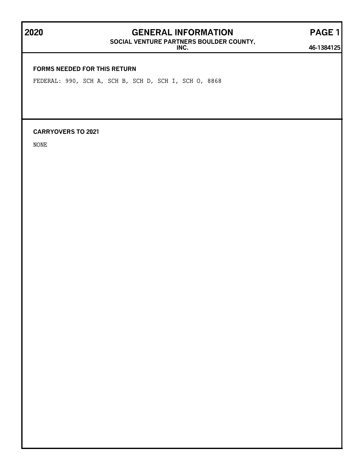# **2020 GENERAL INFORMATION PAGE 1**

**SOCIAL VENTURE PARTNERS BOULDER COUNTY,**

**INC. 46-1384125**

### **FORMS NEEDED FOR THIS RETURN**

FEDERAL: 990, SCH A, SCH B, SCH D, SCH I, SCH O, 8868

### **CARRYOVERS TO 2021**

NONE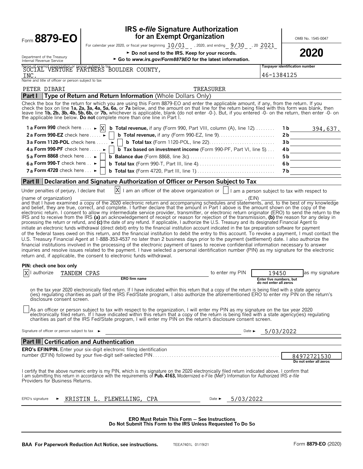| Form 8879-EO                                                                                                                                                                                                                                                                                                                                                                                                                                                                                                                     |             | <b>IRS e-file Signature Authorization</b><br>for an Exempt Organization                                                                                                                                                                                                                                                                                                                                                                                                                                                                                                                                                                                                                                                                                                                                                                                                                                                                                                                                                                                                                                                                                                                                                                                                                                                                                                                                                                                                                                                                                                                                                                                                                                                                                                                                                                                                                                                           |                            |                                                                         | OMB No. 1545-0047                     |  |  |  |  |  |
|----------------------------------------------------------------------------------------------------------------------------------------------------------------------------------------------------------------------------------------------------------------------------------------------------------------------------------------------------------------------------------------------------------------------------------------------------------------------------------------------------------------------------------|-------------|-----------------------------------------------------------------------------------------------------------------------------------------------------------------------------------------------------------------------------------------------------------------------------------------------------------------------------------------------------------------------------------------------------------------------------------------------------------------------------------------------------------------------------------------------------------------------------------------------------------------------------------------------------------------------------------------------------------------------------------------------------------------------------------------------------------------------------------------------------------------------------------------------------------------------------------------------------------------------------------------------------------------------------------------------------------------------------------------------------------------------------------------------------------------------------------------------------------------------------------------------------------------------------------------------------------------------------------------------------------------------------------------------------------------------------------------------------------------------------------------------------------------------------------------------------------------------------------------------------------------------------------------------------------------------------------------------------------------------------------------------------------------------------------------------------------------------------------------------------------------------------------------------------------------------------------|----------------------------|-------------------------------------------------------------------------|---------------------------------------|--|--|--|--|--|
| Department of the Treasury<br>Internal Revenue Service                                                                                                                                                                                                                                                                                                                                                                                                                                                                           |             | For calendar year 2020, or fiscal year beginning $10/01$ , 2020, and ending $9/30$ , $2021$<br>► Do not send to the IRS. Keep for your records.<br>Go to www.irs.gov/Form8879EO for the latest information.                                                                                                                                                                                                                                                                                                                                                                                                                                                                                                                                                                                                                                                                                                                                                                                                                                                                                                                                                                                                                                                                                                                                                                                                                                                                                                                                                                                                                                                                                                                                                                                                                                                                                                                       |                            |                                                                         | 2020                                  |  |  |  |  |  |
|                                                                                                                                                                                                                                                                                                                                                                                                                                                                                                                                  |             | Name of exempt organization or person subject to tax<br>SOCIAL VENTURE PARTNERS BOULDER COUNTY,                                                                                                                                                                                                                                                                                                                                                                                                                                                                                                                                                                                                                                                                                                                                                                                                                                                                                                                                                                                                                                                                                                                                                                                                                                                                                                                                                                                                                                                                                                                                                                                                                                                                                                                                                                                                                                   |                            |                                                                         | Taxpayer identification number        |  |  |  |  |  |
| INC.<br>Name and title of officer or person subject to tax                                                                                                                                                                                                                                                                                                                                                                                                                                                                       |             |                                                                                                                                                                                                                                                                                                                                                                                                                                                                                                                                                                                                                                                                                                                                                                                                                                                                                                                                                                                                                                                                                                                                                                                                                                                                                                                                                                                                                                                                                                                                                                                                                                                                                                                                                                                                                                                                                                                                   |                            | 46-1384125                                                              |                                       |  |  |  |  |  |
| PETER DIBARI                                                                                                                                                                                                                                                                                                                                                                                                                                                                                                                     |             | TREASURER                                                                                                                                                                                                                                                                                                                                                                                                                                                                                                                                                                                                                                                                                                                                                                                                                                                                                                                                                                                                                                                                                                                                                                                                                                                                                                                                                                                                                                                                                                                                                                                                                                                                                                                                                                                                                                                                                                                         |                            |                                                                         |                                       |  |  |  |  |  |
| Part I                                                                                                                                                                                                                                                                                                                                                                                                                                                                                                                           |             | Type of Return and Return Information (Whole Dollars Only)                                                                                                                                                                                                                                                                                                                                                                                                                                                                                                                                                                                                                                                                                                                                                                                                                                                                                                                                                                                                                                                                                                                                                                                                                                                                                                                                                                                                                                                                                                                                                                                                                                                                                                                                                                                                                                                                        |                            |                                                                         |                                       |  |  |  |  |  |
| Check the box for the return for which you are using this Form 8879-EO and enter the applicable amount, if any, from the return. If you<br>check the box on line 1a, 2a, 3a, 4a, 5a, 6a, or 7a below, and the amount on that line for the return being filed with this form was blank, then<br>leave line 1b, 2b, 3b, 4b, 5b, 6b, or 7b, whichever is applicable, blank (do not enter -0-). But, if you entered -0- on the return, then enter -0- on<br>the applicable line below. Do not complete more than one line in Part I. |             |                                                                                                                                                                                                                                                                                                                                                                                                                                                                                                                                                                                                                                                                                                                                                                                                                                                                                                                                                                                                                                                                                                                                                                                                                                                                                                                                                                                                                                                                                                                                                                                                                                                                                                                                                                                                                                                                                                                                   |                            |                                                                         |                                       |  |  |  |  |  |
| 1 a Form 990 check here $\ldots$ $\blacktriangleright$ $ X $                                                                                                                                                                                                                                                                                                                                                                                                                                                                     |             | <b>b Total revenue,</b> if any (Form 990, Part VIII, column (A), line 12)                                                                                                                                                                                                                                                                                                                                                                                                                                                                                                                                                                                                                                                                                                                                                                                                                                                                                                                                                                                                                                                                                                                                                                                                                                                                                                                                                                                                                                                                                                                                                                                                                                                                                                                                                                                                                                                         |                            |                                                                         | 1b<br><u>394,637.</u>                 |  |  |  |  |  |
| 2a Form 990-EZ check here                                                                                                                                                                                                                                                                                                                                                                                                                                                                                                        |             |                                                                                                                                                                                                                                                                                                                                                                                                                                                                                                                                                                                                                                                                                                                                                                                                                                                                                                                                                                                                                                                                                                                                                                                                                                                                                                                                                                                                                                                                                                                                                                                                                                                                                                                                                                                                                                                                                                                                   |                            |                                                                         | 2b                                    |  |  |  |  |  |
| 3a Form 1120-POL check here                                                                                                                                                                                                                                                                                                                                                                                                                                                                                                      |             | $\blacktriangleright$                                                                                                                                                                                                                                                                                                                                                                                                                                                                                                                                                                                                                                                                                                                                                                                                                                                                                                                                                                                                                                                                                                                                                                                                                                                                                                                                                                                                                                                                                                                                                                                                                                                                                                                                                                                                                                                                                                             |                            |                                                                         | Зb                                    |  |  |  |  |  |
| 4 a Form 990-PF check here $\dots$<br>5 a Form 8868 check here $\ldots$                                                                                                                                                                                                                                                                                                                                                                                                                                                          |             | <b>b</b> Tax based on investment income (Form 990-PF, Part VI, line 5)                                                                                                                                                                                                                                                                                                                                                                                                                                                                                                                                                                                                                                                                                                                                                                                                                                                                                                                                                                                                                                                                                                                                                                                                                                                                                                                                                                                                                                                                                                                                                                                                                                                                                                                                                                                                                                                            |                            |                                                                         | 4b                                    |  |  |  |  |  |
| 6 a Form 990-T check here $\ldots$                                                                                                                                                                                                                                                                                                                                                                                                                                                                                               |             |                                                                                                                                                                                                                                                                                                                                                                                                                                                                                                                                                                                                                                                                                                                                                                                                                                                                                                                                                                                                                                                                                                                                                                                                                                                                                                                                                                                                                                                                                                                                                                                                                                                                                                                                                                                                                                                                                                                                   |                            |                                                                         | 5 b<br>6b                             |  |  |  |  |  |
| <b>7a Form 4720</b> check here $\ldots$                                                                                                                                                                                                                                                                                                                                                                                                                                                                                          |             |                                                                                                                                                                                                                                                                                                                                                                                                                                                                                                                                                                                                                                                                                                                                                                                                                                                                                                                                                                                                                                                                                                                                                                                                                                                                                                                                                                                                                                                                                                                                                                                                                                                                                                                                                                                                                                                                                                                                   |                            |                                                                         | 7 b                                   |  |  |  |  |  |
|                                                                                                                                                                                                                                                                                                                                                                                                                                                                                                                                  |             |                                                                                                                                                                                                                                                                                                                                                                                                                                                                                                                                                                                                                                                                                                                                                                                                                                                                                                                                                                                                                                                                                                                                                                                                                                                                                                                                                                                                                                                                                                                                                                                                                                                                                                                                                                                                                                                                                                                                   |                            |                                                                         |                                       |  |  |  |  |  |
| <b>Part II</b>                                                                                                                                                                                                                                                                                                                                                                                                                                                                                                                   |             | Declaration and Signature Authorization of Officer or Person Subject to Tax<br>$ X $ I am an officer of the above organization or $ $ I am a person subject to tax with respect to                                                                                                                                                                                                                                                                                                                                                                                                                                                                                                                                                                                                                                                                                                                                                                                                                                                                                                                                                                                                                                                                                                                                                                                                                                                                                                                                                                                                                                                                                                                                                                                                                                                                                                                                                |                            |                                                                         |                                       |  |  |  |  |  |
| Under penalties of perjury, I declare that<br>(name of organization)<br>PIN: check one box only<br>X<br>authorize                                                                                                                                                                                                                                                                                                                                                                                                                | TANDEM CPAS | and that I have examined a copy of the 2020 electronic return and accompanying schedules and statements, and, to the best of my knowledge<br>and belief, they are true, correct, and complete. I further declare that the amount in Part I above is the amount shown on the copy of the<br>electronic return. I consent to allow my intermediate service provider, transmitter, or electronic return originator (ERO) to send the return to the<br>IRS and to receive from the IRS (a) an acknowledgement of receipt or reason for rejection of the transmission, (b) the reason for any delay in<br>processing the return or refund, and (c) the date of any refund. If applicable, I authorize the U.S. Treasury and its designated Financial Agent to<br>initiate an electronic funds withdrawal (direct debit) entry to the financial institution account indicated in the tax preparation software for payment<br>of the federal taxes owed on this return, and the financial institution to debit the entry to this account. To revoke a payment, I must contact the<br>U.S. Treasury Financial Agent at 1-888-353-4537 no later than 2 business days prior to the payment (settlement) date. I also authorize the<br>financial institutions involved in the processing of the electronic payment of taxes to receive confidential information necessary to answer<br>inquiries and resolve issues related to the payment. I have selected a personal identification number (PIN) as my signature for the electronic<br>return and, if applicable, the consent to electronic funds withdrawal.<br><b>ERO</b> firm name<br>on the tax year 2020 electronically filed return. If I have indicated within this return that a copy of the return is being filed with a state agency<br>(ies) requiating charities as part of the IRS Fed/State program, I also authorize the aforementioned ERO to enter my PIN on the return's | to enter my PIN            | , $(EIN)$<br>19450<br>Enter five numbers, but<br>do not enter all zeros | as my signature                       |  |  |  |  |  |
| disclosure consent screen.                                                                                                                                                                                                                                                                                                                                                                                                                                                                                                       |             | As an officer or person subject to tax with respect to the organization, I will enter my PIN as my signature on the tax year 2020<br>electronically filed return. If I have indicated within this return that a copy of the return is being filed with a state agency(ies) regulating<br>charities as part of the IRS Fed/State program, I will enter my PIN on the return's disclosure consent screen.                                                                                                                                                                                                                                                                                                                                                                                                                                                                                                                                                                                                                                                                                                                                                                                                                                                                                                                                                                                                                                                                                                                                                                                                                                                                                                                                                                                                                                                                                                                           |                            |                                                                         |                                       |  |  |  |  |  |
| Signature of officer or person subject to tax $\blacktriangleright$                                                                                                                                                                                                                                                                                                                                                                                                                                                              |             |                                                                                                                                                                                                                                                                                                                                                                                                                                                                                                                                                                                                                                                                                                                                                                                                                                                                                                                                                                                                                                                                                                                                                                                                                                                                                                                                                                                                                                                                                                                                                                                                                                                                                                                                                                                                                                                                                                                                   | Date $\blacktriangleright$ | 5/03/2022                                                               |                                       |  |  |  |  |  |
| <b>Part III Certification and Authentication</b>                                                                                                                                                                                                                                                                                                                                                                                                                                                                                 |             |                                                                                                                                                                                                                                                                                                                                                                                                                                                                                                                                                                                                                                                                                                                                                                                                                                                                                                                                                                                                                                                                                                                                                                                                                                                                                                                                                                                                                                                                                                                                                                                                                                                                                                                                                                                                                                                                                                                                   |                            |                                                                         |                                       |  |  |  |  |  |
|                                                                                                                                                                                                                                                                                                                                                                                                                                                                                                                                  |             | <b>ERO's EFIN/PIN.</b> Enter your six-digit electronic filing identification                                                                                                                                                                                                                                                                                                                                                                                                                                                                                                                                                                                                                                                                                                                                                                                                                                                                                                                                                                                                                                                                                                                                                                                                                                                                                                                                                                                                                                                                                                                                                                                                                                                                                                                                                                                                                                                      |                            |                                                                         | 84972721530<br>Do not enter all zeros |  |  |  |  |  |
| Providers for Business Returns.                                                                                                                                                                                                                                                                                                                                                                                                                                                                                                  |             | I certify that the above numeric entry is my PIN, which is my signature on the 2020 electronically filed return indicated above. I confirm that<br>I am submitting this return in accordance with the requirements of Pub. 4163, Modernized e-File (MeF) Information for Authorized IRS e-file                                                                                                                                                                                                                                                                                                                                                                                                                                                                                                                                                                                                                                                                                                                                                                                                                                                                                                                                                                                                                                                                                                                                                                                                                                                                                                                                                                                                                                                                                                                                                                                                                                    |                            |                                                                         |                                       |  |  |  |  |  |
| ERO's signature                                                                                                                                                                                                                                                                                                                                                                                                                                                                                                                  |             | KRISTIN L. FLEWELLING, CPA<br>Date $\blacktriangleright$                                                                                                                                                                                                                                                                                                                                                                                                                                                                                                                                                                                                                                                                                                                                                                                                                                                                                                                                                                                                                                                                                                                                                                                                                                                                                                                                                                                                                                                                                                                                                                                                                                                                                                                                                                                                                                                                          | 5/03/2022                  |                                                                         |                                       |  |  |  |  |  |
|                                                                                                                                                                                                                                                                                                                                                                                                                                                                                                                                  |             |                                                                                                                                                                                                                                                                                                                                                                                                                                                                                                                                                                                                                                                                                                                                                                                                                                                                                                                                                                                                                                                                                                                                                                                                                                                                                                                                                                                                                                                                                                                                                                                                                                                                                                                                                                                                                                                                                                                                   |                            |                                                                         |                                       |  |  |  |  |  |

**ERO Must Retain This Form** ' **See Instructions Do Not Submit This Form to the IRS Unless Requested To Do So**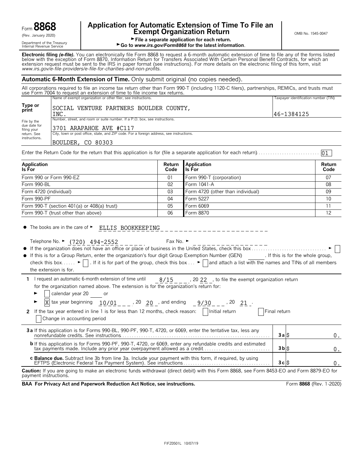|                             | O,<br>m |              |
|-----------------------------|---------|--------------|
| $\vdash$ orm $\blacksquare$ | 0<br>n  | ١ι<br>ı<br>O |

Department of the Treasury<br>Internal Revenue Service

# **Application for Automatic Extension of Time To File an Form B8668 Exempt Organization Return** CRESC COMB No. 1545-0047

01

File a separate application for each return.

► Go to *www.irs.gov/Form8868* for the latest information.

**Electronic filing** *(e-file).* You can electronically file Form 8868 to request a 6-month automatic extension of time to file any of the forms listed below with the exception of Form 8870, Information Return for Transfers Associated With Certain Personal Benefit Contracts, for which an extension request must be sent to the IRS in paper format (see instructions). For more details on the electronic filing of this form, visit *www.irs.gov/e*-*file*-*providers/e-file-for-charities-and-non-profits*.

### **Automatic 6-Month Extension of Time.** Only submit original (no copies needed).

All corporations required to file an income tax return other than Form 990-T (including 1120-C filers), partnerships, REMICs, and trusts must use Form 7004 to request an extension of time to file income tax returns. Name of exempt organization or other filer, see instructions. The contraction of the contraction of the filer, see instructions.

| Type or<br>print             | SOCIAL VENTURE PARTNERS BOULDER COUNTY,<br>INC.                                          | 46-1384125 |
|------------------------------|------------------------------------------------------------------------------------------|------------|
| File by the                  | Number, street, and room or suite number. If a P.O. box, see instructions.               |            |
| due date for<br>filing your  | 13701 ARAPAHOE AVE #C117                                                                 |            |
| return. See<br>instructions. | City, town or post office, state, and ZIP code. For a foreign address, see instructions. |            |
|                              | CO 80303<br>BOULDER.                                                                     |            |

Enter the Return Code for the return that this application is for (file a separate application for each return). . . . . . . . . . . . . . . . . . . . . . . . . . .

| Application<br>Is For                               | Return<br>Code | <b>Application</b><br><b>Ils For</b> | Return<br>Code |
|-----------------------------------------------------|----------------|--------------------------------------|----------------|
| Form 990 or Form 990-EZ                             | 01             | Form 990-T (corporation)             | 07             |
| Form 990-BL                                         | 02             | Form 1041-A                          | 08             |
| Form 4720 (individual)                              | 03             | Form 4720 (other than individual)    | 09             |
| Form 990-PF                                         | 04             | Form 5227                            | 10             |
| Form $990 - T$ (section $401(a)$ or $408(a)$ trust) | 05             | Form 6069                            |                |
| Form 990-T (trust other than above)                 | 06             | Form 8870                            | 12             |

| Fax No. $\blacktriangleright$<br>Telephone No. ► (720) 494-2552                                                                                                                                |
|------------------------------------------------------------------------------------------------------------------------------------------------------------------------------------------------|
|                                                                                                                                                                                                |
| • If this is for a Group Return, enter the organization's four digit Group Exemption Number (GEN) [If this is for the whole group,                                                             |
| check this box $\blacktriangleright \blacksquare$ . If it is for part of the group, check this box $\blacktriangleright \blacksquare$ and attach a list with the names and TINs of all members |
| the extension is for.                                                                                                                                                                          |
| I request an automatic 6-month extension of time until<br>, 20 22 , to file the exempt organization return<br>8/15                                                                             |

| 1 I request an automatic 6-month extension of time until                              | 8/15 | 20 22 , to file the exempt organization |  |
|---------------------------------------------------------------------------------------|------|-----------------------------------------|--|
| for the organization named above. The extension is for the organization's return for: |      |                                         |  |

calendar year 20 or

| $X$ tax year beginning $10/01$ , 20 20, and ending<br>9/30, 20<br>21 ·                                                                                                                          |              |  |
|-------------------------------------------------------------------------------------------------------------------------------------------------------------------------------------------------|--------------|--|
| 2 If the tax year entered in line 1 is for less than 12 months, check reason: $\Box$ Initial return<br>Change in accounting period                                                              | Final return |  |
| 3a If this application is for Forms 990-BL, 990-PF, 990-T, 4720, or 6069, enter the tentative tax, less any                                                                                     | 3alS         |  |
| <b>b</b> If this application is for Forms 990-PF, 990-T, 4720, or 6069, enter any refundable credits and estimated<br>tax payments made. Include any prior year overpayment allowed as a credit | $3b$ $$$     |  |
| c Ralance due, Subtract line 3h from line 3a Include your payment with this form if required by using                                                                                           |              |  |

**c Balance due.** Subtract line 3b from line 3a. Include your payment with this form, if required, by using  $\begin{bmatrix} 3c \\ 5c \end{bmatrix}$ **Caution:** If you are going to make an electronic funds withdrawal (direct debit) with this Form 8868, see Form 8453-EO and Form 8879-EO for payment instructions.  $0$  .

**BAA For Privacy Act and Paperwork Reduction Act Notice, see instructions. Form 8868 (Rev. 1-2020)**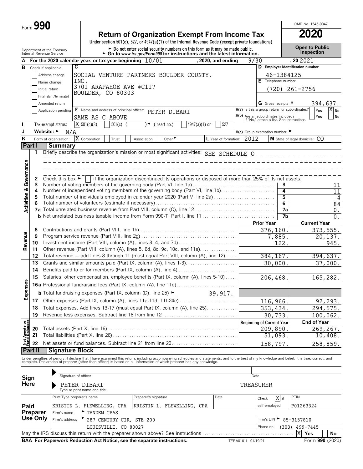| Form 990 |  |
|----------|--|
|          |  |

|                                        | Form 990 |                                                                                          |                                                       |            |                      |              |                                                                                                                                                                                                                                   |                           |                                  |                                                                                 | OMB No. 1545-0047                          |                     |
|----------------------------------------|----------|------------------------------------------------------------------------------------------|-------------------------------------------------------|------------|----------------------|--------------|-----------------------------------------------------------------------------------------------------------------------------------------------------------------------------------------------------------------------------------|---------------------------|----------------------------------|---------------------------------------------------------------------------------|--------------------------------------------|---------------------|
|                                        |          |                                                                                          |                                                       |            |                      |              | <b>Return of Organization Exempt From Income Tax</b>                                                                                                                                                                              |                           |                                  |                                                                                 | <b>2020</b>                                |                     |
|                                        |          |                                                                                          |                                                       |            |                      |              | Under section 501(c), 527, or 4947(a)(1) of the Internal Revenue Code (except private foundations)                                                                                                                                |                           |                                  |                                                                                 |                                            |                     |
|                                        |          | Department of the Treasury<br>Internal Revenue Service                                   |                                                       |            |                      |              | ► Do not enter social security numbers on this form as it may be made public.<br>► Go to www.irs.gov/Form990 for instructions and the latest information.                                                                         |                           |                                  |                                                                                 | <b>Open to Public</b><br><b>Inspection</b> |                     |
| A                                      |          | For the 2020 calendar year, or tax year beginning $10/01$                                |                                                       |            |                      |              |                                                                                                                                                                                                                                   | , 2020, and ending        | 9/30                             |                                                                                 | , 20 20 21                                 |                     |
| в                                      |          | Check if applicable:                                                                     | C                                                     |            |                      |              |                                                                                                                                                                                                                                   |                           |                                  |                                                                                 | D Employer identification number           |                     |
|                                        |          | Address change                                                                           |                                                       |            |                      |              | SOCIAL VENTURE PARTNERS BOULDER COUNTY,                                                                                                                                                                                           |                           |                                  | 46-1384125                                                                      |                                            |                     |
|                                        |          | Name change                                                                              | INC.                                                  |            |                      |              |                                                                                                                                                                                                                                   |                           |                                  | E Telephone number                                                              |                                            |                     |
|                                        |          | Initial return                                                                           | 3701 ARAPAHOE AVE #C117                               |            |                      |              |                                                                                                                                                                                                                                   |                           |                                  |                                                                                 | $(720)$ 261-2756                           |                     |
|                                        |          | Final return/terminated                                                                  | BOULDER, CO 80303                                     |            |                      |              |                                                                                                                                                                                                                                   |                           |                                  |                                                                                 |                                            |                     |
|                                        |          | Amended return                                                                           |                                                       |            |                      |              |                                                                                                                                                                                                                                   |                           |                                  | G Gross receipts $S$                                                            |                                            | 394,637.            |
|                                        |          | Application pending                                                                      | F Name and address of principal officer: PETER DIBARI |            |                      |              |                                                                                                                                                                                                                                   |                           |                                  | H(a) Is this a group return for subordinates?                                   |                                            | $X_{No}$<br>Yes     |
|                                        |          |                                                                                          | SAME AS C ABOVE                                       |            |                      |              |                                                                                                                                                                                                                                   |                           |                                  | H(b) Are all subordinates included?<br>If "No," attach a list. See instructions |                                            | Yes<br>No           |
|                                        |          | Tax-exempt status:                                                                       | $X$ 501(c)(3)                                         | $501(c)$ ( | ) ◄                  | (insert no.) | 4947(a)(1) or                                                                                                                                                                                                                     | 527                       |                                  |                                                                                 |                                            |                     |
|                                        |          | Website: ►<br>N/A                                                                        |                                                       |            |                      |              |                                                                                                                                                                                                                                   |                           |                                  | $H(c)$ Group exemption number                                                   |                                            |                     |
| ĸ                                      |          | Form of organization:                                                                    | X Corporation                                         | Trust      | Association          | Other        |                                                                                                                                                                                                                                   | L Year of formation: 2012 |                                  |                                                                                 | M State of legal domicile: CO              |                     |
|                                        | Part I   | <b>Summary</b>                                                                           |                                                       |            |                      |              |                                                                                                                                                                                                                                   |                           |                                  |                                                                                 |                                            |                     |
|                                        | 1        |                                                                                          |                                                       |            |                      |              | Briefly describe the organization's mission or most significant activities: SEE_SCHEDULE_O                                                                                                                                        |                           |                                  |                                                                                 |                                            |                     |
|                                        |          |                                                                                          |                                                       |            |                      |              |                                                                                                                                                                                                                                   |                           |                                  |                                                                                 |                                            |                     |
|                                        |          |                                                                                          |                                                       |            |                      |              |                                                                                                                                                                                                                                   |                           |                                  |                                                                                 |                                            |                     |
|                                        | 2        |                                                                                          |                                                       |            |                      |              | Check this box $\blacktriangleright$   if the organization discontinued its operations or disposed of more than 25% of its net assets.                                                                                            |                           |                                  |                                                                                 |                                            |                     |
|                                        | 3        |                                                                                          |                                                       |            |                      |              | Number of voting members of the governing body (Part VI, line 1a)                                                                                                                                                                 |                           |                                  | 3                                                                               |                                            | 11                  |
|                                        | 4        |                                                                                          |                                                       |            |                      |              | Number of independent voting members of the governing body (Part VI, line 1b)                                                                                                                                                     |                           |                                  | 4                                                                               |                                            | $\overline{11}$     |
|                                        | 5        |                                                                                          |                                                       |            |                      |              | Total number of individuals employed in calendar year 2020 (Part V, line 2a)                                                                                                                                                      |                           |                                  | 5                                                                               |                                            | 4                   |
| <b>Activities &amp; Governance</b>     | 6        |                                                                                          |                                                       |            |                      |              |                                                                                                                                                                                                                                   |                           |                                  | 6                                                                               |                                            | 84                  |
|                                        |          |                                                                                          |                                                       |            |                      |              |                                                                                                                                                                                                                                   |                           |                                  | $\overline{7a}$                                                                 |                                            | $\overline{0}$ .    |
|                                        |          |                                                                                          |                                                       |            |                      |              |                                                                                                                                                                                                                                   |                           |                                  | $\overline{7b}$                                                                 |                                            | $\overline{0}$ .    |
|                                        |          |                                                                                          |                                                       |            |                      |              |                                                                                                                                                                                                                                   |                           | <b>Prior Year</b>                |                                                                                 |                                            | <b>Current Year</b> |
|                                        | 8        |                                                                                          |                                                       |            |                      |              |                                                                                                                                                                                                                                   |                           |                                  | 376,160.                                                                        |                                            | 373,555.            |
|                                        | 9        |                                                                                          |                                                       |            |                      |              |                                                                                                                                                                                                                                   |                           |                                  | 7,885.                                                                          |                                            | 20,137.             |
| Revenue                                | 10<br>11 |                                                                                          |                                                       |            |                      |              | Other revenue (Part VIII, column (A), lines 5, 6d, 8c, 9c, 10c, and 11e)                                                                                                                                                          |                           |                                  | 122.                                                                            |                                            | 945.                |
|                                        | 12       |                                                                                          |                                                       |            |                      |              | Total revenue - add lines 8 through 11 (must equal Part VIII, column (A), line 12)                                                                                                                                                |                           |                                  | 384, 167.                                                                       |                                            | 394,637.            |
|                                        | 13       |                                                                                          |                                                       |            |                      |              | Grants and similar amounts paid (Part IX, column (A), lines 1-3)                                                                                                                                                                  |                           |                                  | 30,000.                                                                         |                                            | 37,000.             |
|                                        | 14       |                                                                                          |                                                       |            |                      |              |                                                                                                                                                                                                                                   |                           |                                  |                                                                                 |                                            |                     |
|                                        | 15       |                                                                                          |                                                       |            |                      |              | Salaries, other compensation, employee benefits (Part IX, column (A), lines 5-10)                                                                                                                                                 |                           |                                  | 206,468.                                                                        |                                            | 165,282.            |
| ω<br>٥                                 |          |                                                                                          |                                                       |            |                      |              | 16a Professional fundraising fees (Part IX, column (A), line 11e)                                                                                                                                                                 |                           |                                  |                                                                                 |                                            |                     |
| Expense                                |          |                                                                                          |                                                       |            |                      |              |                                                                                                                                                                                                                                   |                           |                                  |                                                                                 |                                            |                     |
|                                        |          | <b>b</b> Total fundraising expenses (Part IX, column (D), line 25) $\blacktriangleright$ |                                                       |            |                      |              |                                                                                                                                                                                                                                   | 39, 917.                  |                                  |                                                                                 |                                            |                     |
|                                        | 17       |                                                                                          |                                                       |            |                      |              |                                                                                                                                                                                                                                   |                           |                                  | 116,966.                                                                        |                                            | 92,293.             |
|                                        | 18       |                                                                                          |                                                       |            |                      |              | Total expenses. Add lines 13-17 (must equal Part IX, column (A), line 25)                                                                                                                                                         |                           |                                  | 353,434                                                                         |                                            | 294, 575.           |
|                                        | 19       |                                                                                          |                                                       |            |                      |              | Revenue less expenses. Subtract line 18 from line 12                                                                                                                                                                              |                           |                                  | 30,733.                                                                         |                                            | 100,062.            |
| <b>Net Assets or<br/>Fund Balances</b> |          |                                                                                          |                                                       |            |                      |              |                                                                                                                                                                                                                                   |                           | <b>Beginning of Current Year</b> |                                                                                 |                                            | <b>End of Year</b>  |
|                                        | 20       |                                                                                          |                                                       |            |                      |              |                                                                                                                                                                                                                                   |                           |                                  | 209,890.                                                                        |                                            | 269,267.            |
|                                        | 21       |                                                                                          |                                                       |            |                      |              |                                                                                                                                                                                                                                   |                           |                                  | 51,093.                                                                         |                                            | 10,408.             |
|                                        | 22       |                                                                                          |                                                       |            |                      |              | Net assets or fund balances. Subtract line 21 from line 20                                                                                                                                                                        |                           |                                  | 158,797.                                                                        |                                            | 258,859.            |
|                                        | Part II  | <b>Signature Block</b>                                                                   |                                                       |            |                      |              |                                                                                                                                                                                                                                   |                           |                                  |                                                                                 |                                            |                     |
|                                        |          |                                                                                          |                                                       |            |                      |              | Under penalties of perjury, I declare that I have examined this return, including accompanying schedules and statements, and to the best of my knowledge and belief, it is true, correct, and<br>complete. Declaration of prepare |                           |                                  |                                                                                 |                                            |                     |
|                                        |          |                                                                                          |                                                       |            |                      |              |                                                                                                                                                                                                                                   |                           |                                  |                                                                                 |                                            |                     |
|                                        |          |                                                                                          | Signature of officer                                  |            |                      |              |                                                                                                                                                                                                                                   |                           | Date                             |                                                                                 |                                            |                     |
| Sign<br>Here                           |          |                                                                                          |                                                       |            |                      |              |                                                                                                                                                                                                                                   |                           |                                  |                                                                                 |                                            |                     |
|                                        |          |                                                                                          | PETER DIBARI<br>Type or print name and title          |            |                      |              |                                                                                                                                                                                                                                   |                           | TREASURER                        |                                                                                 |                                            |                     |
|                                        |          |                                                                                          | Print/Type preparer's name                            |            | Preparer's signature |              |                                                                                                                                                                                                                                   | Date                      | Check                            | X if                                                                            | PTIN                                       |                     |

|      | Print/Type preparer's name                                                                         | Date                       | X if<br>Check   | PTIN                       |  |  |  |  |  |  |  |
|------|----------------------------------------------------------------------------------------------------|----------------------------|-----------------|----------------------------|--|--|--|--|--|--|--|
| Paid | KRISTIN L. FLEWELLING, CPA                                                                         | KRISTIN L. FLEWELLING, CPA |                 | P01263324<br>self-employed |  |  |  |  |  |  |  |
|      | <b>Preparer</b> Firm's name > TANDEM CPAS<br>Use Only Firm's address > 287 CENTURY CIR, STE 200    |                            |                 |                            |  |  |  |  |  |  |  |
|      |                                                                                                    | Firm's EIN > 85-3157810    |                 |                            |  |  |  |  |  |  |  |
|      | LOUISVILLE, CO 80027                                                                               |                            | Phone no.       | $(303)$ 499-7445           |  |  |  |  |  |  |  |
|      | ΙX<br>May the IRS discuss this return with the preparer shown above? See instructions<br>Yes<br>No |                            |                 |                            |  |  |  |  |  |  |  |
|      | BAA For Paperwork Reduction Act Notice, see the separate instructions.                             | TEEA0101L 01/19/21         | Form 990 (2020) |                            |  |  |  |  |  |  |  |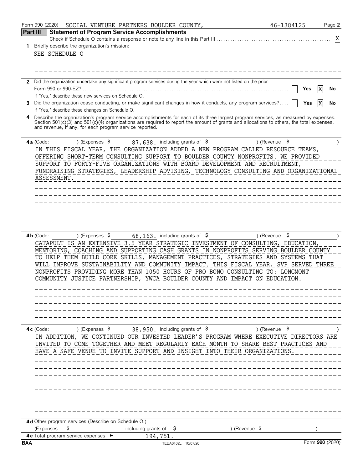|                 | Form 990 (2020)<br>SOCIAL VENTURE PARTNERS BOULDER COUNTY,                                                                               | 46-1384125                         | Page 2          |
|-----------------|------------------------------------------------------------------------------------------------------------------------------------------|------------------------------------|-----------------|
| <b>Part III</b> | <b>Statement of Program Service Accomplishments</b>                                                                                      |                                    |                 |
|                 |                                                                                                                                          |                                    | X               |
|                 | 1 Briefly describe the organization's mission:                                                                                           |                                    |                 |
|                 | SEE SCHEDULE O                                                                                                                           |                                    |                 |
|                 |                                                                                                                                          |                                    |                 |
|                 |                                                                                                                                          |                                    |                 |
|                 |                                                                                                                                          |                                    |                 |
|                 | 2 Did the organization undertake any significant program services during the year which were not listed on the prior                     |                                    |                 |
|                 | Form 990 or 990-EZ?                                                                                                                      | Yes                                | No              |
|                 | If "Yes," describe these new services on Schedule O.                                                                                     |                                    |                 |
| 3               | Did the organization cease conducting, or make significant changes in how it conducts, any program services?                             | Yes                                | No              |
|                 | If "Yes," describe these changes on Schedule O.                                                                                          |                                    |                 |
| 4               | Describe the organization's program service accomplishments for each of its three largest program services, as measured by expenses.     |                                    |                 |
|                 | Section 501(c)(3) and 501(c)(4) organizations are required to report the amount of grants and allocations to others, the total expenses, |                                    |                 |
|                 | and revenue, if any, for each program service reported.                                                                                  |                                    |                 |
|                 |                                                                                                                                          |                                    |                 |
|                 | ) (Expenses $\sqrt{5}$<br>$87,638$ . including grants of \$<br>$4a$ (Code:                                                               | $\sqrt{3}$ (Revenue $\sqrt{5}$     |                 |
|                 | IN THIS FISCAL YEAR, THE ORGANIZATION ADDED A NEW PROGRAM CALLED RESOURCE TEAMS,                                                         |                                    |                 |
|                 | OFFERING SHORT-TERM CONSULTING SUPPORT TO BOULDER COUNTY NONPROFITS. WE PROVIDED                                                         |                                    |                 |
|                 | SUPPORT TO FORTY-FIVE ORGANIZATIONS WITH BOARD DEVELOPMENT AND RECRUITMENT                                                               |                                    |                 |
|                 | FUNDRAISING STRATEGIES, LEADERSHIP ADVISING, TECHNOLOGY CONSULTING AND ORGANIZATIONAL                                                    |                                    |                 |
|                 | ASSESSMENT.                                                                                                                              |                                    |                 |
|                 |                                                                                                                                          |                                    |                 |
|                 |                                                                                                                                          |                                    |                 |
|                 |                                                                                                                                          |                                    |                 |
|                 |                                                                                                                                          |                                    |                 |
|                 |                                                                                                                                          |                                    |                 |
|                 |                                                                                                                                          |                                    |                 |
|                 |                                                                                                                                          |                                    |                 |
|                 |                                                                                                                                          |                                    |                 |
|                 | 68, 163. including grants of \$<br>) (Expenses $\sqrt{5}$<br>$4b$ (Code:                                                                 | \$<br>) (Revenue                   |                 |
|                 | CATAPULT IS AN EXTENSIVE 3.5 YEAR STRATEGIC INVESTMENT OF CONSULTING, EDUCATION,                                                         |                                    |                 |
|                 | MENTORING, COACHING AND SUPPORTING CASH GRANTS IN NONPROFITS SERVING BOULDER COUNTY                                                      |                                    |                 |
|                 | TO HELP THEM BUILD CORE SKILLS, MANAGEMENT PRACTICES, STRATEGIES AND SYSTEMS THAT                                                        |                                    |                 |
|                 | WILL IMPROVE SUSTAINABILITY AND COMMUNITY IMPACT.                                                                                        | THIS FISCAL YEAR, SVP SERVED THREE |                 |
|                 | NONPROFITS PROVIDING MORE THAN 1050 HOURS OF PRO BONO CONSULTING TO: LONGMONT                                                            |                                    |                 |
|                 | COMMUNITY JUSTICE PARTNERSHIP, YWCA BOULDER COUNTY AND IMPACT ON EDUCATION.                                                              |                                    |                 |
|                 |                                                                                                                                          |                                    |                 |
|                 |                                                                                                                                          |                                    |                 |
|                 |                                                                                                                                          |                                    |                 |
|                 |                                                                                                                                          |                                    |                 |
|                 |                                                                                                                                          |                                    |                 |
|                 |                                                                                                                                          |                                    |                 |
|                 |                                                                                                                                          |                                    |                 |
|                 | ) (Expenses \$<br>38,950. including grants of \$<br>4c (Code:                                                                            | ) (Revenue $\frac{1}{2}$           |                 |
|                 | IN ADDITION, WE CONTINUED OUR INVESTED LEADER'S PROGRAM WHERE EXECUTIVE DIRECTORS ARE                                                    |                                    |                 |
|                 | INVITED TO COME TOGETHER AND MEET REGULARLY EACH MONTH TO SHARE BEST PRACTICES AND                                                       |                                    |                 |
|                 | HAVE A SAFE VENUE TO INVITE SUPPORT AND INSIGHT INTO THEIR ORGANIZATIONS                                                                 |                                    |                 |
|                 |                                                                                                                                          |                                    |                 |
|                 |                                                                                                                                          |                                    |                 |
|                 |                                                                                                                                          |                                    |                 |
|                 |                                                                                                                                          |                                    |                 |
|                 |                                                                                                                                          |                                    |                 |
|                 |                                                                                                                                          |                                    |                 |
|                 |                                                                                                                                          |                                    |                 |
|                 |                                                                                                                                          |                                    |                 |
|                 |                                                                                                                                          |                                    |                 |
|                 |                                                                                                                                          |                                    |                 |
|                 | 4d Other program services (Describe on Schedule O.)                                                                                      |                                    |                 |
|                 | \$<br>including grants of<br>(Expenses<br>-Ş<br>) (Revenue \$                                                                            |                                    |                 |
|                 | 4e Total program service expenses<br>194,751.                                                                                            |                                    |                 |
| <b>BAA</b>      | TEEA0102L 10/07/20                                                                                                                       |                                    | Form 990 (2020) |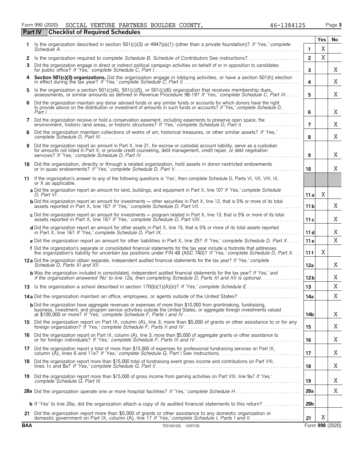Form 990 (2020) SOCIAL VENTURE PARTNERS BOULDER COUNTY, 46-1384125 Page **3** 

**Part IV Checklist of Required Schedules Yes No 1** Is the organization described in section 501(c)(3) or 4947(a)(1) (other than a private foundation)? *If 'Yes,' complete Schedule A*. . . . . . . . . . . . . . . . . . . . . . . . . . . . . . . . . . . . . . . . . . . . . . . . . . . . . . . . . . . . . . . . . . . . . . . . . . . . . . . . . . . . . . . . . . . . . . . . . . . . . . . **1 2** Is the organization required to complete *Schedule B, Schedule of Contributors* See instructions?. . . . . . . . . . . . . . . . . . . . . . . **2 3** Did the organization engage in direct or indirect political campaign activities on behalf of or in opposition to candidates for public office? *If 'Yes,' complete Schedule C, Part I*. . . . . . . . . . . . . . . . . . . . . . . . . . . . . . . . . . . . . . . . . . . . . . . . . . . . . . . . . . . . . . . **3 4 Section 501(c)(3) organizations.** Did the organization engage in lobbying activities, or have a section 501(h) election in effect during the tax year? *If 'Yes,' complete Schedule C, Part II*. . . . . . . . . . . . . . . . . . . . . . . . . . . . . . . . . . . . . . . . . . . . . . . . . . . **4 5** Is the organization a section 501(c)(4), 501(c)(5), or 501(c)(6) organization that receives membership dues, assessments, or similar amounts as defined in Revenue Procedure 98-19? *If 'Yes,' complete Schedule C, Part III*. . . . . . . **5 6** Did the organization maintain any donor advised funds or any similar funds or accounts for which donors have the right to provide advice on the distribution or investment of amounts in such funds or accounts? *If 'Yes,' complete Schedule D, Part I* . . . . . . . . . . . . . . . . . . . . . . . . . . . . . . . . . . . . . . . . . . . . . . . . . . . . . . . . . . . . . . . . . . . . . . . . . . . . . . . . . . . . . . . . . . . . . . . . . . . . . . . . . . . . **6** 7 Did the organization receive or hold a conservation easement, including easements to preserve open space, the<br>8 environment, historic land areas, or historic structures? If 'Yes,' complete Schedule D, Part II............ **8** Did the organization maintain collections of works of art, historical treasures, or other similar assets? *If 'Yes,' complete Schedule D, Part III*. . . . . . . . . . . . . . . . . . . . . . . . . . . . . . . . . . . . . . . . . . . . . . . . . . . . . . . . . . . . . . . . . . . . . . . . . . . . . . . . . . . . . . **8 9** Did the organization report an amount in Part X, line 21, for escrow or custodial account liability, serve as a custodian for amounts not listed in Part X; or provide credit counseling, debt management, credit repair, or debt negotiation services? *If 'Yes,' complete Schedule D, Part IV*. . . . . . . . . . . . . . . . . . . . . . . . . . . . . . . . . . . . . . . . . . . . . . . . . . . . . . . . . . . . . . . . . . . . **9 10** Did the organization, directly or through a related organization, hold assets in donor-restricted endowments or in quasi endowments? *If 'Yes,' complete Schedule D, Part V*. . . . . . . . . . . . . . . . . . . . . . . . . . . . . . . . . . . . . . . . . . . . . . . . . . . . . . **10 11** If the organization's answer to any of the following questions is 'Yes', then complete Schedule D, Parts VI, VII, VIII, IX, or X as applicable. **a** Did the organization report an amount for land, buildings, and equipment in Part X, line 10? *If 'Yes,' complete Schedule D, Part VI* . . . . . . . . . . . . . . . . . . . . . . . . . . . . . . . . . . . . . . . . . . . . . . . . . . . . . . . . . . . . . . . . . . . . . . . . . . . . . . . . . . . . . . . . . . . . . . . . . . . . . . . . **11 a b** Did the organization report an amount for investments - other securities in Part X, line 12, that is 5% or more of its total assets reported in Part X, line 16? *If 'Yes,' complete Schedule D, Part VII*. . . . . . . . . . . . . . . . . . . . . . . . . . . . . . . . . . . . . . . . . . . . **11b c** Did the organization report an amount for investments ' program related in Part X, line 13, that is 5% or more of its total assets reported in Part X, line 16? *If 'Yes,' complete Schedule D, Part VIII* . . . . . . . . . . . . . . . . . . . . . . . . . . . . . . . . . . . . . . . . . . . **11 c** d Did the organization report an amount for other assets in Part X, line 15, that is 5% or more of its total assets reported<br>in Part X, line 16? *If 'Yes,' complete Schedule D, Part IX .* . . . . . . . . . . . . . . . . . **e** Did the organization report an amount for other liabilities in Part X, line 25? *If 'Yes,' complete Schedule D, Part X*. . . . . . **11 e f** Did the organization's separate or consolidated financial statements for the tax year include a footnote that addresses<br>the organization's liability for uncertain tax positions under FIN 48 (ASC 740)? If 'Yes,' comple **12 a** Did the organization obtain separate, independent audited financial statements for the tax year? *If 'Yes,' complete Schedule D, Parts XI and XII* . . . . . . . . . . . . . . . . . . . . . . . . . . . . . . . . . . . . . . . . . . . . . . . . . . . . . . . . . . . . . . . . . . . . . . . . . . . . . . . . . . . . . . **12a b** Was the organization included in consolidated, independent audited financial statements for the tax year? *If 'Yes,' and if the organization answered 'No' to line 12a, then completing Schedule D, Parts XI and XII is optional*. . . . . . . . . . . . . . . . . **12b 13** Is the organization a school described in section 170(b)(1)(A)(ii)? *If 'Yes,' complete Schedule E* . . . . . . . . . . . . . . . . . . . . . . . **13 14 a** Did the organization maintain an office, employees, or agents outside of the United States?. . . . . . . . . . . . . . . . . . . . . . . . . . . **14a** b Did the organization have aggregate revenues or expenses of more than \$10,000 from grantmaking, fundraising,<br>business, investment, and program service activities outside the United States, or aggregate foreign investment **15** Did the organization report on Part IX, column (A), line 3, more than \$5,000 of grants or other assistance to or for any foreign organization? *If 'Yes,' complete Schedule F, Parts II and IV*. . . . . . . . . . . . . . . . . . . . . . . . . . . . . . . . . . . . . . . . . . . . . . . . . . **15** 16 Did the organization report on Part IX, column (A), line 3, more than \$5,000 of aggregate grants or other assistance to<br>16 or for foreign individuals? If 'Yes,' complete Schedule F, Parts III and IV..................... **17** Did the organization report a total of more than \$15,000 of expenses for professional fundraising services on Part IX, column (A), lines 6 and 11e? *If 'Yes,' complete Schedule G, Part I* See instructions. . . . . . . . . . . . . . . . . . . . . . . . . . . . . . . . . . . **17 18** Did the organization report more than \$15,000 total of fundraising event gross income and contributions on Part VIII, lines 1c and 8a? *If 'Yes,' complete Schedule G, Part II*. . . . . . . . . . . . . . . . . . . . . . . . . . . . . . . . . . . . . . . . . . . . . . . . . . . . . . . . . . . . . . **18 19** Did the organization report more than \$15,000 of gross income from gaming activities on Part VIII, line 9a? *If 'Yes,' complete Schedule G, Part III*. . . . . . . . . . . . . . . . . . . . . . . . . . . . . . . . . . . . . . . . . . . . . . . . . . . . . . . . . . . . . . . . . . . . . . . . . . . . . . . . . . . . . . **19 20a** Did the organization operate one or more hospital facilities? *If 'Yes,' complete Schedule H*. . . . . . . . . . . . . . . . . . . . . . . . . . . . **20a b** If 'Yes' to line 20a, did the organization attach a copy of its audited financial statements to this return? . . . . . . . . . . . . . . . . **20b 21** Did the organization report more than \$5,000 of grants or other assistance to any domestic organization or domestic government on Part IX, column (A), line 1? *If 'Yes,' complete Schedule I, Parts I and II*. . . . . . . . . . . . . . . . . . . . . . **21 BAA** TEEA0103L 10/07/20 Form **990** (2020) X X X X X X X X X X X X X X X X X X X X X X X X X X X X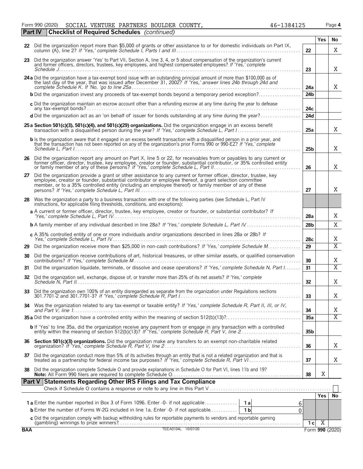Form 990 (2020) SOCIAL VENTURE PARTNERS BOULDER COUNTY, 46-1384125 Page **4** SOCIAL VENTURE PARTNERS BOULDER COUNTY,  $46-1384125$ 

|            | Part IV | <b>Checklist of Required Schedules</b> (continued)                                                                                                                                                                                                                                                                                    |                 |                |                         |
|------------|---------|---------------------------------------------------------------------------------------------------------------------------------------------------------------------------------------------------------------------------------------------------------------------------------------------------------------------------------------|-----------------|----------------|-------------------------|
|            |         | 22 Did the organization report more than \$5,000 of grants or other assistance to or for domestic individuals on Part IX,                                                                                                                                                                                                             |                 | Yes            | No                      |
|            |         |                                                                                                                                                                                                                                                                                                                                       | 22              |                | X                       |
|            |         | 23 Did the organization answer 'Yes' to Part VII, Section A, line 3, 4, or 5 about compensation of the organization's current<br>and former officers, directors, trustees, key employees, and highest compensated employees? If 'Yes,' complete                                                                                       | 23              |                | X                       |
|            |         | 24 a Did the organization have a tax-exempt bond issue with an outstanding principal amount of more than \$100,000 as of the last day of the year, that was issued after December 31, 2002? If 'Yes,' answer lines 24b through                                                                                                        | 24a             |                | X                       |
|            |         | <b>b</b> Did the organization invest any proceeds of tax-exempt bonds beyond a temporary period exception?                                                                                                                                                                                                                            | 24 <sub>b</sub> |                |                         |
|            |         | c Did the organization maintain an escrow account other than a refunding escrow at any time during the year to defease                                                                                                                                                                                                                | 24с             |                |                         |
|            |         | d Did the organization act as an 'on behalf of' issuer for bonds outstanding at any time during the year?                                                                                                                                                                                                                             | 24d             |                |                         |
|            |         | 25 a Section 501(c)(3), 501(c)(4), and 501(c)(29) organizations. Did the organization engage in an excess benefit                                                                                                                                                                                                                     | 25a             |                | X                       |
|            |         | <b>b</b> Is the organization aware that it engaged in an excess benefit transaction with a disqualified person in a prior year, and<br>that the transaction has not been reported on any of the organization's prior Forms 990 or 990-EZ? If 'Yes,' complete                                                                          | 25b             |                | X                       |
|            |         | 26 Did the organization report any amount on Part X, line 5 or 22, for receivables from or payables to any current or former officer, director, trustee, key employee, creator or founder, substantial contributor, or 35% con                                                                                                        | 26              |                | Χ                       |
| 27         |         | Did the organization provide a grant or other assistance to any current or former officer, director, trustee, key<br>employee, creator or founder, substantial contributor or employee thereof, a grant selection committee<br>member, or to a 35% controlled entity (including an employee thereof) or family member of any of these | 27              |                | Χ                       |
| 28         |         | Was the organization a party to a business transaction with one of the following parties (see Schedule L, Part IV<br>instructions, for applicable filing thresholds, conditions, and exceptions):                                                                                                                                     |                 |                |                         |
|            |         | a A current or former officer, director, trustee, key employee, creator or founder, or substantial contributor? If                                                                                                                                                                                                                    | 28a             |                | Χ                       |
|            |         | <b>b</b> A family member of any individual described in line 28a? If 'Yes,' complete Schedule L, Part IV                                                                                                                                                                                                                              | 28 <sub>b</sub> |                | X                       |
|            |         | c A 35% controlled entity of one or more individuals and/or organizations described in lines 28a or 28b? If                                                                                                                                                                                                                           | 28c             |                | Χ                       |
| 29         |         | Did the organization receive more than \$25,000 in non-cash contributions? If 'Yes,' complete Schedule M                                                                                                                                                                                                                              | 29              |                | $\overline{\text{X}}$   |
| 30         |         | Did the organization receive contributions of art, historical treasures, or other similar assets, or qualified conservation                                                                                                                                                                                                           | 30              |                | Χ                       |
| 31         |         | Did the organization liquidate, terminate, or dissolve and cease operations? If 'Yes,' complete Schedule N, Part I                                                                                                                                                                                                                    | 31              |                | $\overline{\mathrm{X}}$ |
| 32         |         | Did the organization sell, exchange, dispose of, or transfer more than 25% of its net assets? If 'Yes,' complete                                                                                                                                                                                                                      | 32 <sub>2</sub> |                | Χ                       |
| 33         |         | Did the organization own 100% of an entity disregarded as separate from the organization under Regulations sections<br>301.7701-2 and 301.7701-3? If 'Yes,' complete Schedule R, Part 1                                                                                                                                               | 33              |                | Χ                       |
| 34         |         | Was the organization related to any tax-exempt or taxable entity? If 'Yes,' complete Schedule R, Part II, III, or IV,                                                                                                                                                                                                                 | 34              |                | Χ                       |
|            |         |                                                                                                                                                                                                                                                                                                                                       | 35a             |                | $\overline{X}$          |
|            |         | b If 'Yes' to line 35a, did the organization receive any payment from or engage in any transaction with a controlled<br>entity within the meaning of section 512(b)(13)? If 'Yes,' complete Schedule R, Part V, line 2                                                                                                                | 35 <sub>b</sub> |                |                         |
|            |         |                                                                                                                                                                                                                                                                                                                                       | 36              |                | Χ                       |
| 37         |         | Did the organization conduct more than 5% of its activities through an entity that is not a related organization and that is treated as a partnership for federal income tax purposes? If 'Yes,' complete Schedule R, Part VI.                                                                                                        | 37              |                | Χ                       |
| 38         |         | Did the organization complete Schedule O and provide explanations in Schedule O for Part VI, lines 11b and 19?                                                                                                                                                                                                                        | 38              | X              |                         |
|            |         | Part V Statements Regarding Other IRS Filings and Tax Compliance                                                                                                                                                                                                                                                                      |                 |                |                         |
|            |         |                                                                                                                                                                                                                                                                                                                                       |                 | <b>Yes</b>     | No                      |
|            |         | 6<br><b>b</b> Enter the number of Forms W-2G included in line 1a. Enter -0- if not applicable<br>1 <sub>b</sub><br>0                                                                                                                                                                                                                  |                 |                |                         |
|            |         |                                                                                                                                                                                                                                                                                                                                       |                 |                |                         |
| <b>BAA</b> |         | C Did the organization comply with backup withholding rules for reportable payments to vendors and reportable gaming<br>(gambling) winnings to prize winners?<br>TEEA0104L 10/07/20                                                                                                                                                   | 1 <sub>c</sub>  | $\overline{X}$ | Form 990 (2020)         |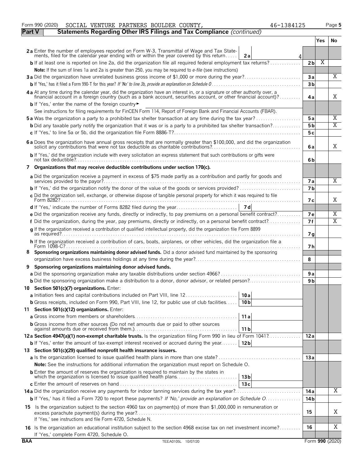|               | Form 990 (2020)<br>SOCIAL VENTURE PARTNERS BOULDER COUNTY,<br>46-1384125                                                                                                                                                                         |                |      | Page 5          |
|---------------|--------------------------------------------------------------------------------------------------------------------------------------------------------------------------------------------------------------------------------------------------|----------------|------|-----------------|
| <b>Part V</b> | Statements Regarding Other IRS Filings and Tax Compliance (continued)                                                                                                                                                                            |                |      |                 |
|               |                                                                                                                                                                                                                                                  |                | Yes. | No.             |
|               | 2a Enter the number of employees reported on Form W-3, Transmittal of Wage and Tax State-<br>ments, filed for the calendar year ending with or within the year covered by this return<br>2a                                                      |                |      |                 |
|               | $\mathbf b$ If at least one is reported on line 2a, did the organization file all required federal employment tax returns?                                                                                                                       | 2 <sub>b</sub> | Χ    |                 |
|               | Note: If the sum of lines 1a and 2a is greater than 250, you may be required to e-file (see instructions)                                                                                                                                        |                |      |                 |
|               | 3a Did the organization have unrelated business gross income of \$1,000 or more during the year?                                                                                                                                                 | 3a             |      | $\overline{X}$  |
|               |                                                                                                                                                                                                                                                  | 3 <sub>b</sub> |      |                 |
|               | 4a At any time during the calendar year, did the organization have an interest in, or a signature or other authority over, a<br>financial account in a foreign country (such as a bank account, securities account, or other financial account)? | 4 a            |      | X               |
|               | b If 'Yes,' enter the name of the foreign country                                                                                                                                                                                                |                |      |                 |
|               | See instructions for filing requirements for FinCEN Form 114, Report of Foreign Bank and Financial Accounts (FBAR).                                                                                                                              |                |      |                 |
|               | <b>5a</b> Was the organization a party to a prohibited tax shelter transaction at any time during the tax year?                                                                                                                                  | 5a             |      | $\overline{X}$  |
|               | <b>b</b> Did any taxable party notify the organization that it was or is a party to a prohibited tax shelter transaction?                                                                                                                        | 5 <sub>b</sub> |      | X               |
|               |                                                                                                                                                                                                                                                  | 5c             |      |                 |
|               | 6a Does the organization have annual gross receipts that are normally greater than \$100,000, and did the organization<br>solicit any contributions that were not tax deductible as charitable contributions?                                    | 6a             |      | Χ               |
|               | b If 'Yes,' did the organization include with every solicitation an express statement that such contributions or gifts were                                                                                                                      | 6b             |      |                 |
|               | 7 Organizations that may receive deductible contributions under section 170(c).                                                                                                                                                                  |                |      |                 |
|               | a Did the organization receive a payment in excess of \$75 made partly as a contribution and partly for goods and                                                                                                                                |                |      |                 |
|               |                                                                                                                                                                                                                                                  | 7a             |      | $\overline{X}$  |
|               |                                                                                                                                                                                                                                                  | 7 <sub>b</sub> |      |                 |
|               | c Did the organization sell, exchange, or otherwise dispose of tangible personal property for which it was required to file                                                                                                                      | 7 с            |      | Χ               |
|               |                                                                                                                                                                                                                                                  |                |      |                 |
|               | e Did the organization receive any funds, directly or indirectly, to pay premiums on a personal benefit contract?                                                                                                                                | 7е             |      | $\overline{X}$  |
|               | f Did the organization, during the year, pay premiums, directly or indirectly, on a personal benefit contract?                                                                                                                                   | 7f             |      | $\overline{X}$  |
|               | q If the organization received a contribution of qualified intellectual property, did the organization file Form 8899                                                                                                                            | 7 g            |      |                 |
|               | h If the organization received a contribution of cars, boats, airplanes, or other vehicles, did the organization file a                                                                                                                          |                |      |                 |
| 8             | Form 1098-C?<br>Sponsoring organizations maintaining donor advised funds. Did a donor advised fund maintained by the sponsoring                                                                                                                  | 7 h            |      |                 |
|               |                                                                                                                                                                                                                                                  | 8              |      |                 |
| 9             | Sponsoring organizations maintaining donor advised funds.                                                                                                                                                                                        |                |      |                 |
|               | a Did the sponsoring organization make any taxable distributions under section 4966?                                                                                                                                                             | 9a             |      |                 |
|               | <b>b</b> Did the sponsoring organization make a distribution to a donor, donor advisor, or related person?                                                                                                                                       | 9 <sub>b</sub> |      |                 |
|               | 10 Section 501(c)(7) organizations. Enter:                                                                                                                                                                                                       |                |      |                 |
|               | 10a                                                                                                                                                                                                                                              |                |      |                 |
|               | <b>b</b> Gross receipts, included on Form 990, Part VIII, line 12, for public use of club facilities<br>10 <sub>b</sub>                                                                                                                          |                |      |                 |
|               | 11 Section 501(c)(12) organizations. Enter:                                                                                                                                                                                                      |                |      |                 |
|               | 11a                                                                                                                                                                                                                                              |                |      |                 |
|               | <b>b</b> Gross income from other sources (Do not net amounts due or paid to other sources<br>11 b                                                                                                                                                |                |      |                 |
|               | 12a Section 4947(a)(1) non-exempt charitable trusts. Is the organization filing Form 990 in lieu of Form 1041?                                                                                                                                   | 12a            |      |                 |
|               | <b>b</b> If 'Yes,' enter the amount of tax-exempt interest received or accrued during the year<br>12 <sub>b</sub>                                                                                                                                |                |      |                 |
|               | 13 Section 501(c)(29) qualified nonprofit health insurance issuers.                                                                                                                                                                              |                |      |                 |
|               |                                                                                                                                                                                                                                                  | 13a            |      |                 |
|               | <b>Note:</b> See the instructions for additional information the organization must report on Schedule O.                                                                                                                                         |                |      |                 |
|               | <b>b</b> Enter the amount of reserves the organization is required to maintain by the states in<br>13 <sub>b</sub>                                                                                                                               |                |      |                 |
|               | 13c                                                                                                                                                                                                                                              |                |      |                 |
|               | 14a Did the organization receive any payments for indoor tanning services during the tax year?                                                                                                                                                   | 14 a           |      | X               |
|               | <b>b</b> If 'Yes,' has it filed a Form 720 to report these payments? If 'No,' provide an explanation on Schedule O.                                                                                                                              | 14 b           |      |                 |
|               | 15 Is the organization subject to the section 4960 tax on payment(s) of more than \$1,000,000 in remuneration or<br>excess parachute payment(s) during the year?                                                                                 | 15             |      | X               |
|               | If 'Yes,' see instructions and file Form 4720, Schedule N.                                                                                                                                                                                       |                |      |                 |
|               | 16 Is the organization an educational institution subject to the section 4968 excise tax on net investment income?<br>If 'Yes,' complete Form 4720, Schedule O.                                                                                  | 16             |      | Χ               |
| BAA           | TEEA0105L 10/07/20                                                                                                                                                                                                                               |                |      | Form 990 (2020) |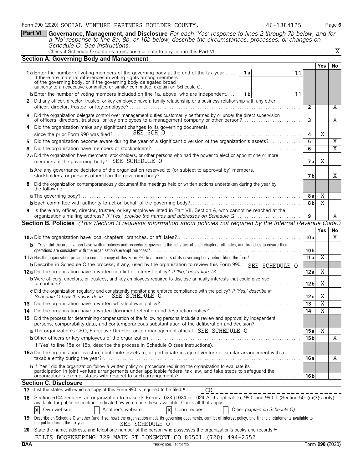**Part VI Governance, Management, and Disclosure** *For each 'Yes' response to lines 2 through 7b below, and for a 'No' response to line 8a, 8b, or 10b below, describe the circumstances, processes, or changes on Schedule O. See instructions.*

|  | Check if Schedule O contains a response or note to any line in this Part VI |  |  |  |  |
|--|-----------------------------------------------------------------------------|--|--|--|--|
|  |                                                                             |  |  |  |  |

|     | <b>Section A. Governing Body and Management</b>                                                                                                                                                                            |                 |                |                |  |  |  |  |  |
|-----|----------------------------------------------------------------------------------------------------------------------------------------------------------------------------------------------------------------------------|-----------------|----------------|----------------|--|--|--|--|--|
|     |                                                                                                                                                                                                                            |                 | <b>Yes</b>     | No             |  |  |  |  |  |
|     | 1a Enter the number of voting members of the governing body at the end of the tax year<br>1 a<br>11<br>If there are material differences in voting rights among members                                                    |                 |                |                |  |  |  |  |  |
|     | of the governing body, or if the governing body delegated broad<br>authority to an executive committee or similar committee, explain on Schedule O.                                                                        |                 |                |                |  |  |  |  |  |
|     | <b>b</b> Enter the number of voting members included on line 1a, above, who are independent   1b<br>11                                                                                                                     |                 |                |                |  |  |  |  |  |
|     | 2 Did any officer, director, trustee, or key employee have a family relationship or a business relationship with any other                                                                                                 |                 |                |                |  |  |  |  |  |
|     |                                                                                                                                                                                                                            | $\overline{2}$  |                | Χ              |  |  |  |  |  |
|     | 3 Did the organization delegate control over management duties customarily performed by or under the direct supervision<br>of officers, directors, trustees, or key employees to a management company or other person?     | 3               |                | Χ              |  |  |  |  |  |
|     | 4 Did the organization make any significant changes to its governing documents<br>since the prior Form 990 was filed? SEE SCH O                                                                                            | 4               | Χ              |                |  |  |  |  |  |
| 5.  | Did the organization become aware during the year of a significant diversion of the organization's assets?                                                                                                                 | 5               |                | X              |  |  |  |  |  |
| 6.  |                                                                                                                                                                                                                            | 6               |                | $\overline{X}$ |  |  |  |  |  |
|     | 7a Did the organization have members, stockholders, or other persons who had the power to elect or appoint one or more                                                                                                     | 7а              | X              |                |  |  |  |  |  |
|     | <b>b</b> Are any governance decisions of the organization reserved to (or subject to approval by) members,                                                                                                                 |                 |                |                |  |  |  |  |  |
|     |                                                                                                                                                                                                                            | 7 b             |                | X              |  |  |  |  |  |
|     | 8 Did the organization contemporaneously document the meetings held or written actions undertaken during the year by<br>the following:                                                                                     |                 |                |                |  |  |  |  |  |
|     |                                                                                                                                                                                                                            | 8 a             | X              |                |  |  |  |  |  |
|     |                                                                                                                                                                                                                            | 8 <sub>b</sub>  | $\overline{X}$ |                |  |  |  |  |  |
|     | 9 Is there any officer, director, trustee, or key employee listed in Part VII, Section A, who cannot be reached at the                                                                                                     |                 |                |                |  |  |  |  |  |
|     |                                                                                                                                                                                                                            |                 |                |                |  |  |  |  |  |
|     | <b>Section B. Policies</b> (This Section B requests information about policies not required by the Internal Revenue Code.)                                                                                                 |                 |                |                |  |  |  |  |  |
|     |                                                                                                                                                                                                                            |                 | <b>Yes</b>     | No             |  |  |  |  |  |
|     |                                                                                                                                                                                                                            | 10a             |                | X              |  |  |  |  |  |
|     | b If 'Yes,' did the organization have written policies and procedures governing the activities of such chapters, affiliates, and branches to ensure their                                                                  | 10 <sub>b</sub> |                |                |  |  |  |  |  |
|     |                                                                                                                                                                                                                            | 11a             | $\overline{X}$ |                |  |  |  |  |  |
|     | <b>b</b> Describe in Schedule O the process, if any, used by the organization to review this Form 990. SEE SCHEDULE O                                                                                                      |                 |                |                |  |  |  |  |  |
|     |                                                                                                                                                                                                                            | 12a             | Χ              |                |  |  |  |  |  |
|     | <b>b</b> Were officers, directors, or trustees, and key employees required to disclose annually interests that could give rise                                                                                             | 12 <sub>b</sub> | Χ              |                |  |  |  |  |  |
|     | c Did the organization regularly and consistently monitor and enforce compliance with the policy? If 'Yes,' describe in                                                                                                    | 12c             | X              |                |  |  |  |  |  |
|     |                                                                                                                                                                                                                            | 13              | $\overline{X}$ |                |  |  |  |  |  |
| 14. |                                                                                                                                                                                                                            | 14              | $\overline{X}$ |                |  |  |  |  |  |
|     | 15 Did the process for determining compensation of the following persons include a review and approval by independent<br>persons, comparability data, and contemporaneous substantiation of the deliberation and decision? |                 |                |                |  |  |  |  |  |
|     |                                                                                                                                                                                                                            | 15 a            | Χ              |                |  |  |  |  |  |
|     |                                                                                                                                                                                                                            | 15 <sub>b</sub> |                | X              |  |  |  |  |  |
|     | If 'Yes' to line 15a or 15b, describe the process in Schedule O (see instructions).                                                                                                                                        |                 |                |                |  |  |  |  |  |
|     | 16 a Did the organization invest in, contribute assets to, or participate in a joint venture or similar arrangement with a                                                                                                 | 16 a            |                | Χ              |  |  |  |  |  |
|     | b If 'Yes,' did the organization follow a written policy or procedure requiring the organization to evaluate its                                                                                                           |                 |                |                |  |  |  |  |  |
|     | participation in joint venture arrangements under applicable federal tax law, and take steps to safeguard the                                                                                                              | 16 <sub>b</sub> |                |                |  |  |  |  |  |
|     | <b>Section C. Disclosure</b>                                                                                                                                                                                               |                 |                |                |  |  |  |  |  |
|     | 17 List the states with which a copy of this Form 990 is required to be filed $\blacktriangleright$<br>CO                                                                                                                  |                 |                |                |  |  |  |  |  |
|     | 18 Section 6104 requires an organization to make its Forms 1023 (1024 or 1024-A, if applicable), 990, and 990-T (Section 501(c)(3)s only)                                                                                  |                 |                |                |  |  |  |  |  |
|     | available for public inspection. Indicate how you made these available. Check all that apply.<br>Another's website<br>X<br>Own website<br>X<br>Upon request<br>Other (explain on Schedule O)                               |                 |                |                |  |  |  |  |  |
| 19. | Describe on Schedule O whether (and if so, how) the organization made its governing documents, conflict of interest policy, and financial statements available to<br>the public during the tax year.                       |                 |                |                |  |  |  |  |  |
| 20  | SEE SCHEDULE O<br>State the name, address, and telephone number of the person who possesses the organization's books and records ►                                                                                         |                 |                |                |  |  |  |  |  |

ELLIS BOOKKEEPING 729 MAIN ST LONGMONT CO 80501 (720) 494-2552

Check if Schedule O contains a response or note to any line in this Part VI. . . . . . . . . . . . . . . . . . . . . . . . . . . . . . . . . . . . . . . . . . . . . . . . . .

X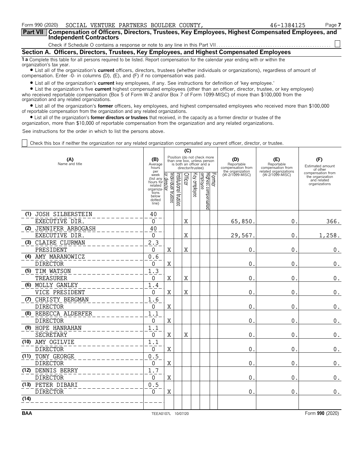| Form 990 (2020)  SOCIAL VENTURE PARTNERS BOULDER COUNTY,                                                                                                              | Page 7<br>46-1384125 |  |  |  |  |  |  |  |
|-----------------------------------------------------------------------------------------------------------------------------------------------------------------------|----------------------|--|--|--|--|--|--|--|
|                                                                                                                                                                       |                      |  |  |  |  |  |  |  |
|                                                                                                                                                                       |                      |  |  |  |  |  |  |  |
| Section A. Officers, Directors, Trustees, Key Employees, and Highest Compensated Employees                                                                            |                      |  |  |  |  |  |  |  |
| <b>1 a</b> Complete this table for all persons required to be listed. Report compensation for the calendar year ending with or within the<br>organization's tax year. |                      |  |  |  |  |  |  |  |

organization's tax year.<br>● List all of the organization's **current** officers, directors, trustees (whether individuals or organizations), regardless of amount of compensation. Enter -0- in columns (D), (E), and (F) if no compensation was paid.

? List all of the organization's **current** key employees, if any. See instructions for definition of 'key employee.'

? List the organization's five **current** highest compensated employees (other than an officer, director, trustee, or key employee) who received reportable compensation (Box 5 of Form W-2 and/or Box 7 of Form 1099-MISC) of more than \$100,000 from the organization and any related organizations.

? List all of the organization's **former** officers, key employees, and highest compensated employees who received more than \$100,000 of reportable compensation from the organization and any related organizations.

? List all of the organization's **former directors or trustees** that received, in the capacity as a former director or trustee of the

organization, more than \$10,000 of reportable compensation from the organization and any related organizations.

See instructions for the order in which to list the persons above.

Check this box if neither the organization nor any related organization compensated any current officer, director, or trustee.

|            |                                 |                                                                                             |                                    |                       | (C)     |                   |                                                                                        |                                                            |                                                                 |                                                                       |
|------------|---------------------------------|---------------------------------------------------------------------------------------------|------------------------------------|-----------------------|---------|-------------------|----------------------------------------------------------------------------------------|------------------------------------------------------------|-----------------------------------------------------------------|-----------------------------------------------------------------------|
|            | (A)<br>Name and title           | (B)<br>Average<br>hours<br>per                                                              |                                    |                       |         | director/trustee) | Position (do not check more<br>than one box, unless person<br>is both an officer and a | (D)<br>Reportable<br>compensation from<br>the organization | (E)<br>Reportable<br>compensation from<br>related organizations | (F)<br>Estimated amount<br>of other                                   |
|            |                                 | week<br>(list any<br>hours for<br>related<br>organiza-<br>tions<br>below<br>dotted<br>line) | ndividual<br>direct<br>Σ<br>pustee | Institutional trustee | Officer | Key employee      | Former<br>Highest compensated<br>employee                                              | (W-2/1099-MISC)                                            | (W-2/1099-MISC)                                                 | compensation from<br>the organization<br>and related<br>organizations |
|            | (1) JOSH SILBERSTEIN            | 40                                                                                          |                                    |                       |         |                   |                                                                                        |                                                            |                                                                 |                                                                       |
|            | EXECUTIVE DIR.                  | 0                                                                                           |                                    |                       | X       |                   |                                                                                        | 65,850                                                     | 0.                                                              | 366.                                                                  |
|            | (2) JENNIFER ARBOGASH           | 40                                                                                          |                                    |                       |         |                   |                                                                                        |                                                            |                                                                 |                                                                       |
|            | EXECUTIVE DIR.                  | $\Omega$                                                                                    |                                    |                       | X       |                   |                                                                                        | 29,567                                                     | 0.                                                              | 1,258.                                                                |
|            | (3) CLAIRE CLURMAN<br>PRESIDENT | 2.3<br>$\Omega$                                                                             | X                                  |                       | X       |                   |                                                                                        | $\mathbf 0$                                                | $\mathbf{0}$ .                                                  | 0.                                                                    |
|            | (4) AMY MARANOWICZ              | 0.6                                                                                         |                                    |                       |         |                   |                                                                                        |                                                            |                                                                 |                                                                       |
|            | <b>DIRECTOR</b>                 | 0                                                                                           | X                                  |                       |         |                   |                                                                                        | $\mathbf 0$                                                | $\mathsf{O}$ .                                                  | $\boldsymbol{0}$ .                                                    |
| (5)        | TIM WATSON                      | 1.3                                                                                         |                                    |                       |         |                   |                                                                                        |                                                            |                                                                 |                                                                       |
|            | TREASURER                       | $\theta$                                                                                    | Χ                                  |                       | X       |                   |                                                                                        | 0                                                          | 0.                                                              | 0.                                                                    |
|            | (6) MOLLY GANLEY                | $1.4\,$                                                                                     |                                    |                       |         |                   |                                                                                        |                                                            |                                                                 |                                                                       |
|            | VICE PRESIDENT                  | $\Omega$                                                                                    | X                                  |                       | X       |                   |                                                                                        | $\mathbf 0$                                                | 0.                                                              | $0_{.}$                                                               |
|            | (7) CHRISTY BERGMAN             | 1.6                                                                                         |                                    |                       |         |                   |                                                                                        |                                                            |                                                                 |                                                                       |
|            | <b>DIRECTOR</b>                 | $\mathbf{0}$                                                                                | X                                  |                       |         |                   |                                                                                        | $\mathbf 0$                                                | 0.                                                              | $0_{.}$                                                               |
|            | (8) REBECCA ALDERFER            | 1.1                                                                                         |                                    |                       |         |                   |                                                                                        |                                                            |                                                                 |                                                                       |
|            | <b>DIRECTOR</b>                 | 0                                                                                           | X                                  |                       |         |                   |                                                                                        | $\mathbf 0$                                                | 0.                                                              | 0.                                                                    |
|            | (9) HOPE HANRAHAN               | 1.1                                                                                         |                                    |                       |         |                   |                                                                                        |                                                            |                                                                 |                                                                       |
|            | SECRETARY                       | 0                                                                                           | X                                  |                       | X       |                   |                                                                                        | $\mathbf 0$                                                | 0.                                                              | $0$ .                                                                 |
|            | (10) AMY OGILVIE                | 1.1                                                                                         |                                    |                       |         |                   |                                                                                        |                                                            |                                                                 |                                                                       |
|            | <b>DIRECTOR</b>                 | $\Omega$                                                                                    | X                                  |                       |         |                   |                                                                                        | $\mathbf 0$                                                | 0.                                                              | $0$ .                                                                 |
|            | (11) TONY GEORGE                | 0.5                                                                                         |                                    |                       |         |                   |                                                                                        |                                                            |                                                                 |                                                                       |
|            | <b>DIRECTOR</b>                 | 0                                                                                           | Χ                                  |                       |         |                   |                                                                                        | $\mathbf 0$                                                | 0.                                                              | $0$ .                                                                 |
|            | (12) DENNIS BERRY               | 1.7                                                                                         |                                    |                       |         |                   |                                                                                        |                                                            |                                                                 |                                                                       |
|            | <b>DIRECTOR</b>                 | 0                                                                                           | X                                  |                       |         |                   |                                                                                        | $\mathbf 0$                                                | 0.                                                              | 0.                                                                    |
|            | (13) PETER DIBARI               | 0.5                                                                                         |                                    |                       |         |                   |                                                                                        |                                                            |                                                                 |                                                                       |
|            | <b>DIRECTOR</b>                 | $\Omega$                                                                                    | X                                  |                       |         |                   |                                                                                        | $\mathbf 0$                                                | $\mathbf{0}$ .                                                  | 0.                                                                    |
| (14)       |                                 |                                                                                             |                                    |                       |         |                   |                                                                                        |                                                            |                                                                 |                                                                       |
| <b>BAA</b> |                                 | TEEA0107L 10/07/20                                                                          |                                    |                       |         |                   |                                                                                        |                                                            |                                                                 | Form 990 (2020)                                                       |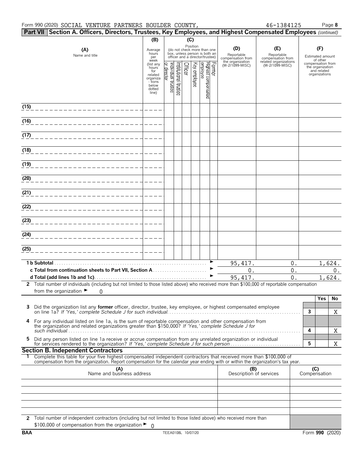### Form 990 (2020) Page **8** SOCIAL VENTURE PARTNERS BOULDER COUNTY, 46-1384125

| 46-1384125 |  |
|------------|--|

| pocine venight intimina poompen coomit,<br>Part VII Section A. Officers, Directors, Trustees, Key Employees, and Highest Compensated Employees (continued)                                                           |                                                                                                                                                                                                              |                               |                      |         |              |                                 |        |                                                                 |                                     |                                                                       |
|----------------------------------------------------------------------------------------------------------------------------------------------------------------------------------------------------------------------|--------------------------------------------------------------------------------------------------------------------------------------------------------------------------------------------------------------|-------------------------------|----------------------|---------|--------------|---------------------------------|--------|-----------------------------------------------------------------|-------------------------------------|-----------------------------------------------------------------------|
|                                                                                                                                                                                                                      | (B)                                                                                                                                                                                                          |                               |                      | (C)     |              |                                 |        |                                                                 |                                     |                                                                       |
| (A)<br>Name and title                                                                                                                                                                                                | Position<br>(do not check more than one<br>(D)<br>Average<br>box, unless person is both an<br>officer and a director/trustee)<br>hours<br>Reportable<br>per<br>compensation from<br>week<br>the organization |                               |                      |         |              |                                 |        | (E)<br>Reportable<br>compensation from<br>related organizations | (F)<br>Estimated amount<br>of other |                                                                       |
|                                                                                                                                                                                                                      | (list any<br>hours<br>for<br>related<br>organiza                                                                                                                                                             | ndividual trustee<br>director | nstitutional trustes | Officer | Key employee |                                 | Former | (W-2/1099-MISC)                                                 | (W-2/1099-MISC)                     | compensation from<br>the organization<br>and related<br>organizations |
|                                                                                                                                                                                                                      | - tions<br>below<br>dotted<br>line)                                                                                                                                                                          |                               |                      |         |              | Highest compensated<br>employee |        |                                                                 |                                     |                                                                       |
| (15)                                                                                                                                                                                                                 |                                                                                                                                                                                                              |                               |                      |         |              |                                 |        |                                                                 |                                     |                                                                       |
| (16)                                                                                                                                                                                                                 |                                                                                                                                                                                                              |                               |                      |         |              |                                 |        |                                                                 |                                     |                                                                       |
| (17)                                                                                                                                                                                                                 |                                                                                                                                                                                                              |                               |                      |         |              |                                 |        |                                                                 |                                     |                                                                       |
| (18)                                                                                                                                                                                                                 |                                                                                                                                                                                                              |                               |                      |         |              |                                 |        |                                                                 |                                     |                                                                       |
| (19)                                                                                                                                                                                                                 |                                                                                                                                                                                                              |                               |                      |         |              |                                 |        |                                                                 |                                     |                                                                       |
| (20)                                                                                                                                                                                                                 |                                                                                                                                                                                                              |                               |                      |         |              |                                 |        |                                                                 |                                     |                                                                       |
| (21)                                                                                                                                                                                                                 |                                                                                                                                                                                                              |                               |                      |         |              |                                 |        |                                                                 |                                     |                                                                       |
| (22)                                                                                                                                                                                                                 |                                                                                                                                                                                                              |                               |                      |         |              |                                 |        |                                                                 |                                     |                                                                       |
| (23)                                                                                                                                                                                                                 |                                                                                                                                                                                                              |                               |                      |         |              |                                 |        |                                                                 |                                     |                                                                       |
| (24)                                                                                                                                                                                                                 |                                                                                                                                                                                                              |                               |                      |         |              |                                 |        |                                                                 |                                     |                                                                       |
| (25)                                                                                                                                                                                                                 |                                                                                                                                                                                                              |                               |                      |         |              |                                 |        |                                                                 |                                     |                                                                       |
|                                                                                                                                                                                                                      |                                                                                                                                                                                                              |                               |                      |         |              |                                 |        | 95, 417.                                                        | 0.                                  | 1,624.                                                                |
|                                                                                                                                                                                                                      |                                                                                                                                                                                                              |                               |                      |         |              |                                 |        | 0.<br>95, 417.                                                  | $0$ .<br>0.                         | $0$ .<br>1,624.                                                       |
| 2 Total number of individuals (including but not limited to those listed above) who received more than \$100,000 of reportable compensation<br>from the organization $\blacktriangleright$ 0                         |                                                                                                                                                                                                              |                               |                      |         |              |                                 |        |                                                                 |                                     |                                                                       |
|                                                                                                                                                                                                                      |                                                                                                                                                                                                              |                               |                      |         |              |                                 |        |                                                                 |                                     | Yes<br>No                                                             |
| Did the organization list any former officer, director, trustee, key employee, or highest compensated employee<br>3                                                                                                  |                                                                                                                                                                                                              |                               |                      |         |              |                                 |        |                                                                 |                                     | $\mathbf{3}$<br>X                                                     |
| For any individual listed on line 1a, is the sum of reportable compensation and other compensation from<br>4<br>the organization and related organizations greater than \$150,000? If 'Yes,' complete Schedule J for |                                                                                                                                                                                                              |                               |                      |         |              |                                 |        |                                                                 |                                     | 4<br>X                                                                |
| 5<br>Did any person listed on line 1a receive or accrue compensation from any unrelated organization or individual                                                                                                   |                                                                                                                                                                                                              |                               |                      |         |              |                                 |        |                                                                 |                                     | 5<br>X                                                                |
| <b>Section B. Independent Contractors</b><br>Complete this table for your five highest compensated independent contractors that received more than \$100,000 of                                                      |                                                                                                                                                                                                              |                               |                      |         |              |                                 |        |                                                                 |                                     |                                                                       |
| compensation from the organization. Report compensation for the calendar year ending with or within the organization's tax year.                                                                                     |                                                                                                                                                                                                              |                               |                      |         |              |                                 |        |                                                                 |                                     |                                                                       |
| (A)<br>Name and business address                                                                                                                                                                                     |                                                                                                                                                                                                              |                               |                      |         |              |                                 |        | (B)<br>Description of services                                  |                                     | (C)<br>Compensation                                                   |
|                                                                                                                                                                                                                      |                                                                                                                                                                                                              |                               |                      |         |              |                                 |        |                                                                 |                                     |                                                                       |
|                                                                                                                                                                                                                      |                                                                                                                                                                                                              |                               |                      |         |              |                                 |        |                                                                 |                                     |                                                                       |
| 2 Total number of independent contractors (including but not limited to those listed above) who received more than                                                                                                   |                                                                                                                                                                                                              |                               |                      |         |              |                                 |        |                                                                 |                                     |                                                                       |
| \$100,000 of compensation from the organization $\blacktriangleright$ 0                                                                                                                                              |                                                                                                                                                                                                              |                               |                      |         |              |                                 |        |                                                                 |                                     |                                                                       |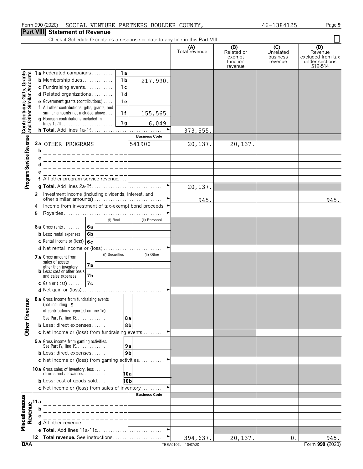### Form 990 (2020) Page **9** SOCIAL VENTURE PARTNERS BOULDER COUNTY, 46-1384125

### **Part VIII Statement of Revenue**

Check if Schedule O contains a response or note to any line in this Part VIII. . . . . . . . . . . . . . . . . . . . . . . . . . . . . . . . . . . . . . . . . . . . . . . . .

|                                                           |                                                                                                             |                                                                     |                |                |                |                          | (A)<br>Total revenue | (B)<br>Related or<br>exempt<br>function<br>revenue | (C)<br>Unrelated<br>business<br>revenue | (D)<br>Revenue<br>excluded from tax<br>under sections<br>512-514 |
|-----------------------------------------------------------|-------------------------------------------------------------------------------------------------------------|---------------------------------------------------------------------|----------------|----------------|----------------|--------------------------|----------------------|----------------------------------------------------|-----------------------------------------|------------------------------------------------------------------|
|                                                           |                                                                                                             | 1a Federated campaigns                                              |                |                | 1a             |                          |                      |                                                    |                                         |                                                                  |
| Contributions, Gifts, Grants<br>and Other Similar Amounts |                                                                                                             | <b>b</b> Membership dues                                            |                |                | 1 <sub>b</sub> | 217,990.                 |                      |                                                    |                                         |                                                                  |
|                                                           | c Fundraising events                                                                                        |                                                                     |                |                | 1 <sub>c</sub> |                          |                      |                                                    |                                         |                                                                  |
|                                                           |                                                                                                             | d Related organizations                                             |                |                | 1 <sub>d</sub> |                          |                      |                                                    |                                         |                                                                  |
|                                                           |                                                                                                             | e Government grants (contributions)                                 |                |                | 1 <sub>e</sub> |                          |                      |                                                    |                                         |                                                                  |
|                                                           |                                                                                                             | f All other contributions, gifts, grants, and                       |                |                |                |                          |                      |                                                    |                                         |                                                                  |
|                                                           |                                                                                                             | similar amounts not included above                                  |                |                | 1f             | 155,565.                 |                      |                                                    |                                         |                                                                  |
|                                                           |                                                                                                             | g Noncash contributions included in                                 |                |                | 1 <sub>g</sub> | 6,049.                   |                      |                                                    |                                         |                                                                  |
|                                                           |                                                                                                             | h Total. Add lines 1a-1f                                            |                |                |                | $\blacktriangleright$    | 373, 555.            |                                                    |                                         |                                                                  |
|                                                           |                                                                                                             |                                                                     |                |                |                | <b>Business Code</b>     |                      |                                                    |                                         |                                                                  |
|                                                           |                                                                                                             | 2a OTHER PROGRAMS                                                   |                |                |                | 541900                   | 20,137.              | 20,137.                                            |                                         |                                                                  |
|                                                           | b                                                                                                           |                                                                     |                |                |                |                          |                      |                                                    |                                         |                                                                  |
|                                                           | C                                                                                                           |                                                                     |                |                |                |                          |                      |                                                    |                                         |                                                                  |
|                                                           | d                                                                                                           |                                                                     |                |                |                |                          |                      |                                                    |                                         |                                                                  |
|                                                           | e                                                                                                           |                                                                     |                |                |                |                          |                      |                                                    |                                         |                                                                  |
| Program Service Revenue                                   |                                                                                                             | All other program service revenue                                   |                |                |                |                          |                      |                                                    |                                         |                                                                  |
|                                                           |                                                                                                             |                                                                     |                |                |                | $\overline{\phantom{0}}$ | 20,137.              |                                                    |                                         |                                                                  |
|                                                           | 3                                                                                                           |                                                                     |                |                |                |                          |                      |                                                    |                                         |                                                                  |
|                                                           | 4                                                                                                           | Income from investment of tax-exempt bond proceeds ▶                |                |                |                |                          | 945.                 |                                                    |                                         | 945.                                                             |
|                                                           | 5                                                                                                           |                                                                     |                |                |                |                          |                      |                                                    |                                         |                                                                  |
|                                                           |                                                                                                             |                                                                     |                | (i) Real       |                | (ii) Personal            |                      |                                                    |                                         |                                                                  |
|                                                           |                                                                                                             | 6a Gross rents  6a                                                  |                |                |                |                          |                      |                                                    |                                         |                                                                  |
|                                                           |                                                                                                             | <b>b</b> Less: rental expenses                                      | 6 <sub>b</sub> |                |                |                          |                      |                                                    |                                         |                                                                  |
|                                                           |                                                                                                             | c Rental income or (loss) 6c                                        |                |                |                |                          |                      |                                                    |                                         |                                                                  |
|                                                           |                                                                                                             |                                                                     |                |                |                | $\blacktriangleright$    |                      |                                                    |                                         |                                                                  |
|                                                           |                                                                                                             | 7 a Gross amount from                                               |                | (i) Securities |                | (ii) Other               |                      |                                                    |                                         |                                                                  |
|                                                           |                                                                                                             | sales of assets                                                     | 7а             |                |                |                          |                      |                                                    |                                         |                                                                  |
|                                                           |                                                                                                             | other than inventory<br><b>b</b> Less: cost or other basis          |                |                |                |                          |                      |                                                    |                                         |                                                                  |
|                                                           |                                                                                                             | and sales expenses                                                  | 7b             |                |                |                          |                      |                                                    |                                         |                                                                  |
|                                                           |                                                                                                             | <b>c</b> Gain or (loss) $\ldots$                                    | 7c             |                |                |                          |                      |                                                    |                                         |                                                                  |
|                                                           |                                                                                                             |                                                                     |                |                |                |                          |                      |                                                    |                                         |                                                                  |
| nue                                                       |                                                                                                             | 8 a Gross income from fundraising events                            |                |                |                |                          |                      |                                                    |                                         |                                                                  |
|                                                           |                                                                                                             | (not including $\zeta$                                              |                |                |                |                          |                      |                                                    |                                         |                                                                  |
|                                                           |                                                                                                             | of contributions reported on line 1c).                              |                |                |                |                          |                      |                                                    |                                         |                                                                  |
|                                                           |                                                                                                             | See Part IV, line 18<br><b>b</b> Less: direct expenses              |                |                | 8a<br>8b       |                          |                      |                                                    |                                         |                                                                  |
| Other Reve                                                |                                                                                                             | c Net income or (loss) from fundraising events                      |                |                |                | ▶                        |                      |                                                    |                                         |                                                                  |
|                                                           |                                                                                                             |                                                                     |                |                |                |                          |                      |                                                    |                                         |                                                                  |
|                                                           |                                                                                                             | 9 a Gross income from gaming activities.<br>See Part IV, line 19.   |                |                | 9a             |                          |                      |                                                    |                                         |                                                                  |
|                                                           |                                                                                                             | <b>b</b> Less: direct expenses                                      |                |                | 9 <sub>b</sub> |                          |                      |                                                    |                                         |                                                                  |
|                                                           |                                                                                                             | c Net income or (loss) from gaming activities                       |                |                |                | ▶                        |                      |                                                    |                                         |                                                                  |
|                                                           |                                                                                                             |                                                                     |                |                |                |                          |                      |                                                    |                                         |                                                                  |
|                                                           |                                                                                                             | <b>10a</b> Gross sales of inventory, less<br>returns and allowances |                |                | 10a            |                          |                      |                                                    |                                         |                                                                  |
|                                                           |                                                                                                             | <b>b</b> Less: cost of goods sold                                   |                |                | 10b            |                          |                      |                                                    |                                         |                                                                  |
|                                                           |                                                                                                             | c Net income or (loss) from sales of inventory                      |                |                |                |                          |                      |                                                    |                                         |                                                                  |
|                                                           |                                                                                                             |                                                                     |                |                |                | <b>Business Code</b>     |                      |                                                    |                                         |                                                                  |
| Miscellaneous                                             | $\begin{array}{c}\n\hline\n\text{Revalue} \\ \hline\n\text{or} \\ \hline\n\text{or} \\ \hline\n\end{array}$ |                                                                     |                |                |                |                          |                      |                                                    |                                         |                                                                  |
|                                                           |                                                                                                             |                                                                     |                |                |                |                          |                      |                                                    |                                         |                                                                  |
|                                                           |                                                                                                             |                                                                     |                |                |                |                          |                      |                                                    |                                         |                                                                  |
|                                                           |                                                                                                             | <b>d</b> All other revenue $\ldots \ldots \ldots \ldots \ldots$     |                |                |                |                          |                      |                                                    |                                         |                                                                  |
|                                                           |                                                                                                             | e Total. Add lines 11a-11d                                          |                |                |                | ▶                        |                      |                                                    |                                         |                                                                  |
|                                                           | 12                                                                                                          | Total revenue. See instructions                                     |                |                |                |                          | 394,637.             | 20,137.                                            | 0.                                      | 945.                                                             |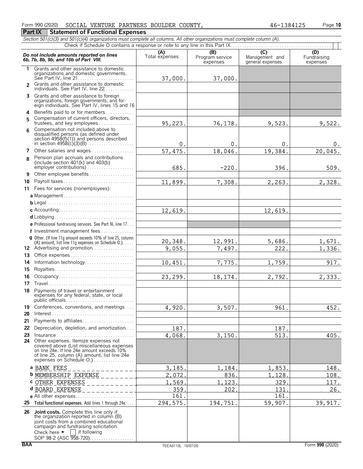### Form 990 (2020) SOCIAL VENTURE PARTNERS BOULDER COUNTY, 46-1384125 Page 1**0**

**Part IX Statement of Functional Expenses**

|                | Section 501(c)(3) and 501(c)(4) organizations must complete all columns. All other organizations must complete column (A).                                                                                                                              |                       |                                    |                                           |                                |
|----------------|---------------------------------------------------------------------------------------------------------------------------------------------------------------------------------------------------------------------------------------------------------|-----------------------|------------------------------------|-------------------------------------------|--------------------------------|
|                |                                                                                                                                                                                                                                                         |                       |                                    |                                           |                                |
|                | Do not include amounts reported on lines<br>6b, 7b, 8b, 9b, and 10b of Part VIII.                                                                                                                                                                       | (A)<br>Total expenses | (B)<br>Program service<br>expenses | (C)<br>Management and<br>general expenses | (D)<br>Fundraising<br>expenses |
| $\mathbf{1}$   | Grants and other assistance to domestic<br>organizations and domestic governments.                                                                                                                                                                      | 37,000.               | 37,000.                            |                                           |                                |
| $\mathfrak{p}$ | Grants and other assistance to domestic<br>individuals. See Part IV, line 22                                                                                                                                                                            |                       |                                    |                                           |                                |
| 3              | Grants and other assistance to foreign<br>organizations, foreign governments, and for-<br>eign individuals. See Part IV, lines 15 and 16                                                                                                                |                       |                                    |                                           |                                |
| 4<br>5         | Benefits paid to or for members<br>Compensation of current officers, directors,<br>trustees, and key employees                                                                                                                                          |                       |                                    |                                           |                                |
| 6              | Compensation not included above to                                                                                                                                                                                                                      | 95,223.               | 76,178.                            | 9,523.                                    | 9,522.                         |
|                | disqualified persons (as defined under<br>section $4958(f)(1)$ and persons described                                                                                                                                                                    | 0.                    | $0$ .                              | 0.                                        | 0.                             |
| 7              | Other salaries and wages                                                                                                                                                                                                                                | 57, 475.              | 18,046.                            | 19,384.                                   | 20,045.                        |
| R              | Pension plan accruals and contributions<br>(include section $401(k)$ and $403(b)$<br>employer contributions)                                                                                                                                            | 685.                  | $-220.$                            | 396.                                      | 509.                           |
| 9              | Other employee benefits                                                                                                                                                                                                                                 |                       |                                    |                                           |                                |
| 10             | Payroll taxes<br>11 Fees for services (nonemployees):                                                                                                                                                                                                   | 11,899.               | 7,308.                             | 2,263.                                    | 2,328.                         |
|                |                                                                                                                                                                                                                                                         |                       |                                    |                                           |                                |
|                |                                                                                                                                                                                                                                                         |                       |                                    |                                           |                                |
|                |                                                                                                                                                                                                                                                         | 12,619.               |                                    | 12,619.                                   |                                |
|                |                                                                                                                                                                                                                                                         |                       |                                    |                                           |                                |
|                | e Professional fundraising services. See Part IV, line 17                                                                                                                                                                                               |                       |                                    |                                           |                                |
|                | f Investment management fees                                                                                                                                                                                                                            |                       |                                    |                                           |                                |
|                | g Other. (If line 11g amount exceeds 10% of line 25, column                                                                                                                                                                                             | 20,348.               | 12,991.                            | 5,686.                                    | <u>1,671.</u>                  |
|                | (A) amount, list line 11g expenses on Schedule $0.$ )<br>12 Advertising and promotion                                                                                                                                                                   | 9,055.                | 7,497.                             | 222.                                      | 1,336.                         |
| 13             |                                                                                                                                                                                                                                                         |                       |                                    |                                           |                                |
| 14             | Information technology                                                                                                                                                                                                                                  | 10,451.               | 7,775.                             | 1,759.                                    | 917.                           |
| 15             |                                                                                                                                                                                                                                                         |                       |                                    |                                           |                                |
| 16             | Occupancy                                                                                                                                                                                                                                               | 23,299.               | 18,174.                            | 2,792.                                    | 2,333.                         |
| 17             |                                                                                                                                                                                                                                                         |                       |                                    |                                           |                                |
| 18             | Payments of travel or entertainment<br>expenses for any federal, state, or local<br>public officials                                                                                                                                                    |                       |                                    |                                           |                                |
| 19<br>20       | Conferences, conventions, and meetings                                                                                                                                                                                                                  | 4,920.                | 3,507.                             | 961.                                      | 452.                           |
| 21             | Payments to affiliates                                                                                                                                                                                                                                  |                       |                                    |                                           |                                |
| 22             | Depreciation, depletion, and amortization                                                                                                                                                                                                               | 187.                  |                                    | 187.                                      |                                |
| 23<br>24       | $insurance \ldots \ldots \ldots \ldots \ldots \ldots \ldots \ldots \ldots \ldots$<br>Other expenses. Itemize expenses not<br>covered above (List miscellaneous expenses<br>on line 24e. If line 24e amount exceeds 10%                                  | 4,068.                | 3,150.                             | 513.                                      | 405.                           |
|                | of line 25, column (A) amount, list line 24e                                                                                                                                                                                                            |                       |                                    |                                           |                                |
|                | a BANK FEES                                                                                                                                                                                                                                             | 3,185                 | 1,184                              | 1,853                                     | 148.                           |
|                | <b>b MEMBERSHIP EXPENSE</b>                                                                                                                                                                                                                             | 2,072.                | 836.                               | 1,128                                     | 108.                           |
|                | <b>c</b> OTHER EXPENSES<br>$- - - - - - -$                                                                                                                                                                                                              | 1,569.                | 1,123.                             | 329                                       | 117.                           |
|                | d BOARD EXPENSE<br>----------                                                                                                                                                                                                                           | 359.                  | 202                                | 131                                       | 26.                            |
|                |                                                                                                                                                                                                                                                         | 161.                  |                                    | 161.                                      |                                |
|                | 25 Total functional expenses. Add lines 1 through 24e                                                                                                                                                                                                   | 294,575.              | 194,751.                           | 59,907.                                   | 39,917.                        |
|                | 26 Joint costs. Complete this line only if<br>the organization reported in column (B)<br>joint costs from a combined educational<br>campaign and fundraising solicitation.<br>Check here $\blacktriangleright$   if following<br>SOP 98-2 (ASC 958-720) |                       |                                    |                                           |                                |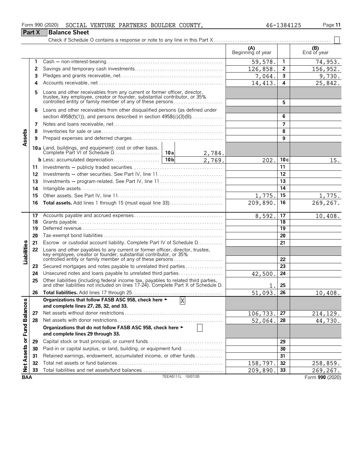|                                   | Form 990 (2020)<br>SOCIAL VENTURE PARTNERS BOULDER COUNTY,                                                                                                                                                            |                          | 46-1384125     | Page 11            |
|-----------------------------------|-----------------------------------------------------------------------------------------------------------------------------------------------------------------------------------------------------------------------|--------------------------|----------------|--------------------|
| <b>Part X</b>                     | <b>Balance Sheet</b>                                                                                                                                                                                                  |                          |                |                    |
|                                   |                                                                                                                                                                                                                       |                          |                |                    |
|                                   |                                                                                                                                                                                                                       | (A)<br>Beginning of year |                | (B)<br>End of year |
|                                   |                                                                                                                                                                                                                       | 59,578.                  | $\mathbf{1}$   | 74,953.            |
| 2                                 |                                                                                                                                                                                                                       | 126,858.                 | $\overline{2}$ | 156,952.           |
| 3                                 |                                                                                                                                                                                                                       | 7,064.                   | $\mathbf{3}$   | 9,730.             |
| Δ                                 |                                                                                                                                                                                                                       | 14, 413.                 | 4              | 25,842.            |
| 5                                 | Loans and other receivables from any current or former officer, director,<br>trustee, key employee, creator or founder, substantial contributor, or 35%<br>controlled entity or family member of any of these persons |                          | 5              |                    |
| 6                                 | Loans and other receivables from other disqualified persons (as defined under                                                                                                                                         |                          |                |                    |
|                                   | section 4958(f)(1)), and persons described in section $4958(c)(3)(B)$                                                                                                                                                 |                          | 6              |                    |
| 7                                 |                                                                                                                                                                                                                       |                          | $\overline{7}$ |                    |
| Assets<br>8                       |                                                                                                                                                                                                                       |                          | 8              |                    |
| 9                                 |                                                                                                                                                                                                                       |                          | 9              |                    |
|                                   | 2,784.                                                                                                                                                                                                                |                          |                |                    |
|                                   | $\overline{2,769}$ .                                                                                                                                                                                                  | 202.                     | 10c            | 15.                |
| 11                                |                                                                                                                                                                                                                       |                          | 11             |                    |
| 12                                |                                                                                                                                                                                                                       |                          | 12             |                    |
| 13                                | Investments – program-related. See Part IV, line 11                                                                                                                                                                   |                          | 13             |                    |
| 14                                |                                                                                                                                                                                                                       |                          | 14             |                    |
| 15                                |                                                                                                                                                                                                                       | 1,775.                   | 15             | 1,775.             |
| 16                                |                                                                                                                                                                                                                       | 209,890.                 | 16             | 269,267.           |
| 17                                |                                                                                                                                                                                                                       | 8,592.                   | 17             | 10,408.            |
| 18                                |                                                                                                                                                                                                                       |                          | 18             |                    |
| 19                                |                                                                                                                                                                                                                       |                          | 19             |                    |
| 20                                |                                                                                                                                                                                                                       |                          | 20             |                    |
| 21                                | Escrow or custodial account liability. Complete Part IV of Schedule D.                                                                                                                                                |                          | 21             |                    |
| Liabilities<br>22                 | Loans and other payables to any current or former officer, director, trustee,<br>key employee, creator or founder, substantial contributor, or 35%<br>controlled entity or family member of any of these persons      |                          | 22             |                    |
| 23                                | Secured mortgages and notes payable to unrelated third parties                                                                                                                                                        |                          | 23             |                    |
| 24                                | Unsecured notes and loans payable to unrelated third parties                                                                                                                                                          | 42,500.                  | 24             |                    |
| 25                                | Other liabilities (including federal income tax, payables to related third parties, and other liabilities not included on lines 17-24). Complete Part X of Schedule D.                                                | 1.                       | 25             |                    |
| 26                                |                                                                                                                                                                                                                       | 51,093.                  | 26             | 10,408.            |
|                                   | Organizations that follow FASB ASC 958, check here ►<br>X<br>and complete lines 27, 28, 32, and 33.                                                                                                                   |                          |                |                    |
| 27                                |                                                                                                                                                                                                                       | 106, 733.                | 27             | 214, 129.          |
| 28                                |                                                                                                                                                                                                                       | 52,064.                  | 28             | 44,730.            |
|                                   | Organizations that do not follow FASB ASC 958, check here ►<br>and complete lines 29 through 33.                                                                                                                      |                          |                |                    |
| 29                                | Capital stock or trust principal, or current funds                                                                                                                                                                    |                          | 29             |                    |
|                                   |                                                                                                                                                                                                                       |                          | 30             |                    |
| 30                                | Paid-in or capital surplus, or land, building, or equipment fund                                                                                                                                                      |                          |                |                    |
| 31                                | Retained earnings, endowment, accumulated income, or other funds                                                                                                                                                      |                          | 31             |                    |
| Net Assets or Fund Balances<br>32 |                                                                                                                                                                                                                       | 158,797.                 | 32             | 258,859.           |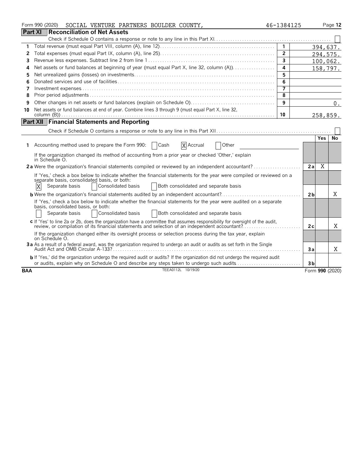|                | Form 990 (2020)<br>SOCIAL VENTURE PARTNERS BOULDER COUNTY,                                                                                                                                                                    | 46-1384125              |                |     | Page 12         |
|----------------|-------------------------------------------------------------------------------------------------------------------------------------------------------------------------------------------------------------------------------|-------------------------|----------------|-----|-----------------|
| <b>Part XI</b> | Reconciliation of Net Assets                                                                                                                                                                                                  |                         |                |     |                 |
|                |                                                                                                                                                                                                                               |                         |                |     |                 |
| 1              |                                                                                                                                                                                                                               | $\mathbf{1}$            |                |     | 394,637.        |
| 2              |                                                                                                                                                                                                                               | $\overline{2}$          |                |     | 294,575.        |
| 3              |                                                                                                                                                                                                                               | $\overline{\mathbf{3}}$ |                |     | 100,062.        |
| 4              | Net assets or fund balances at beginning of year (must equal Part X, line 32, column (A)).                                                                                                                                    | 4                       |                |     | 158,797.        |
| 5              |                                                                                                                                                                                                                               | 5                       |                |     |                 |
| 6              |                                                                                                                                                                                                                               | 6                       |                |     |                 |
| 7              |                                                                                                                                                                                                                               | $\overline{7}$          |                |     |                 |
| 8              |                                                                                                                                                                                                                               | 8                       |                |     |                 |
| 9              |                                                                                                                                                                                                                               | 9                       |                |     | 0.              |
| 10             | Net assets or fund balances at end of year. Combine lines 3 through 9 (must equal Part X, line 32,                                                                                                                            |                         |                |     |                 |
|                |                                                                                                                                                                                                                               | 10                      |                |     | 258,859.        |
|                | <b>Part XII Financial Statements and Reporting</b>                                                                                                                                                                            |                         |                |     |                 |
|                |                                                                                                                                                                                                                               |                         |                |     |                 |
|                |                                                                                                                                                                                                                               |                         |                | Yes | No              |
|                | Cash<br>X Accrual<br>Other<br>1 Accounting method used to prepare the Form 990:                                                                                                                                               |                         |                |     |                 |
|                | If the organization changed its method of accounting from a prior year or checked 'Other,' explain<br>in Schedule O.                                                                                                          |                         |                |     |                 |
|                | 2a Were the organization's financial statements compiled or reviewed by an independent accountant?                                                                                                                            |                         | 2a             | Χ   |                 |
|                | If 'Yes,' check a box below to indicate whether the financial statements for the year were compiled or reviewed on a                                                                                                          |                         |                |     |                 |
|                | separate basis, consolidated basis, or both:                                                                                                                                                                                  |                         |                |     |                 |
|                | X<br>Separate basis<br>Consolidated basis<br>Both consolidated and separate basis                                                                                                                                             |                         |                |     |                 |
|                |                                                                                                                                                                                                                               |                         | 2 <sub>b</sub> |     | Χ               |
|                | If 'Yes,' check a box below to indicate whether the financial statements for the year were audited on a separate                                                                                                              |                         |                |     |                 |
|                | basis, consolidated basis, or both:                                                                                                                                                                                           |                         |                |     |                 |
|                | Consolidated basis<br>Both consolidated and separate basis<br>Separate basis                                                                                                                                                  |                         |                |     |                 |
|                | c If 'Yes' to line 2a or 2b, does the organization have a committee that assumes responsibility for oversight of the audit,<br>review, or compilation of its financial statements and selection of an independent accountant? |                         | 2c             |     | X               |
|                | If the organization changed either its oversight process or selection process during the tax year, explain<br>on Schedule O.                                                                                                  |                         |                |     |                 |
|                | 3a As a result of a federal award, was the organization required to undergo an audit or audits as set forth in the Single                                                                                                     |                         | 3a             |     | Χ               |
|                | <b>b</b> If 'Yes,' did the organization undergo the required audit or audits? If the organization did not undergo the required audit                                                                                          |                         |                |     |                 |
|                | or audits, explain why on Schedule O and describe any steps taken to undergo such audits                                                                                                                                      |                         | 3 <sub>b</sub> |     |                 |
| <b>BAA</b>     | TEEA0112L 10/19/20                                                                                                                                                                                                            |                         |                |     | Form 990 (2020) |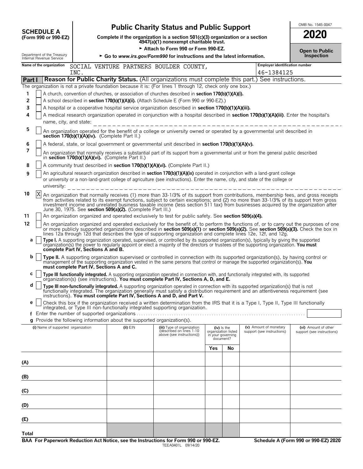| <b>Public Charity Status and Public Support</b>                                                                   |                                                                                                                                                                                                                                                                                                                                                                                                                                                                                                                                                                                                                                                                                                                                                                                                                                                                                                                                                                                                                                                                                                                                                                                                                                                                                                                                                                                                                                                                                                                                                                                                                                                                                                                                                                                                                                                                                                                                                                                                                                                                                                     |                                                                                                                                                                       |                                                                                                                                                                                                                                                                                                                                                                                                                                                                                                                                                                                                                                                                                                                                                                                                                                                                                                                                                                                                                                                                                                                                                                                               |                                                                        |    | OMB No. 1545-0047                                    |                                                    |  |  |  |
|-------------------------------------------------------------------------------------------------------------------|-----------------------------------------------------------------------------------------------------------------------------------------------------------------------------------------------------------------------------------------------------------------------------------------------------------------------------------------------------------------------------------------------------------------------------------------------------------------------------------------------------------------------------------------------------------------------------------------------------------------------------------------------------------------------------------------------------------------------------------------------------------------------------------------------------------------------------------------------------------------------------------------------------------------------------------------------------------------------------------------------------------------------------------------------------------------------------------------------------------------------------------------------------------------------------------------------------------------------------------------------------------------------------------------------------------------------------------------------------------------------------------------------------------------------------------------------------------------------------------------------------------------------------------------------------------------------------------------------------------------------------------------------------------------------------------------------------------------------------------------------------------------------------------------------------------------------------------------------------------------------------------------------------------------------------------------------------------------------------------------------------------------------------------------------------------------------------------------------------|-----------------------------------------------------------------------------------------------------------------------------------------------------------------------|-----------------------------------------------------------------------------------------------------------------------------------------------------------------------------------------------------------------------------------------------------------------------------------------------------------------------------------------------------------------------------------------------------------------------------------------------------------------------------------------------------------------------------------------------------------------------------------------------------------------------------------------------------------------------------------------------------------------------------------------------------------------------------------------------------------------------------------------------------------------------------------------------------------------------------------------------------------------------------------------------------------------------------------------------------------------------------------------------------------------------------------------------------------------------------------------------|------------------------------------------------------------------------|----|------------------------------------------------------|----------------------------------------------------|--|--|--|
| <b>SCHEDULE A</b><br>(Form 990 or 990-EZ)                                                                         |                                                                                                                                                                                                                                                                                                                                                                                                                                                                                                                                                                                                                                                                                                                                                                                                                                                                                                                                                                                                                                                                                                                                                                                                                                                                                                                                                                                                                                                                                                                                                                                                                                                                                                                                                                                                                                                                                                                                                                                                                                                                                                     | 2020<br>Complete if the organization is a section 501(c)(3) organization or a section<br>4947(a)(1) nonexempt charitable trust.<br>Attach to Form 990 or Form 990-EZ. |                                                                                                                                                                                                                                                                                                                                                                                                                                                                                                                                                                                                                                                                                                                                                                                                                                                                                                                                                                                                                                                                                                                                                                                               |                                                                        |    |                                                      |                                                    |  |  |  |
|                                                                                                                   |                                                                                                                                                                                                                                                                                                                                                                                                                                                                                                                                                                                                                                                                                                                                                                                                                                                                                                                                                                                                                                                                                                                                                                                                                                                                                                                                                                                                                                                                                                                                                                                                                                                                                                                                                                                                                                                                                                                                                                                                                                                                                                     |                                                                                                                                                                       | <b>Open to Public</b>                                                                                                                                                                                                                                                                                                                                                                                                                                                                                                                                                                                                                                                                                                                                                                                                                                                                                                                                                                                                                                                                                                                                                                         |                                                                        |    |                                                      |                                                    |  |  |  |
| Department of the Treasury<br>Internal Revenue Service                                                            |                                                                                                                                                                                                                                                                                                                                                                                                                                                                                                                                                                                                                                                                                                                                                                                                                                                                                                                                                                                                                                                                                                                                                                                                                                                                                                                                                                                                                                                                                                                                                                                                                                                                                                                                                                                                                                                                                                                                                                                                                                                                                                     |                                                                                                                                                                       | ► Go to www.irs.gov/Form990 for instructions and the latest information.                                                                                                                                                                                                                                                                                                                                                                                                                                                                                                                                                                                                                                                                                                                                                                                                                                                                                                                                                                                                                                                                                                                      |                                                                        |    |                                                      | Inspection                                         |  |  |  |
| Name of the organization                                                                                          | INC.                                                                                                                                                                                                                                                                                                                                                                                                                                                                                                                                                                                                                                                                                                                                                                                                                                                                                                                                                                                                                                                                                                                                                                                                                                                                                                                                                                                                                                                                                                                                                                                                                                                                                                                                                                                                                                                                                                                                                                                                                                                                                                |                                                                                                                                                                       | SOCIAL VENTURE PARTNERS BOULDER COUNTY,                                                                                                                                                                                                                                                                                                                                                                                                                                                                                                                                                                                                                                                                                                                                                                                                                                                                                                                                                                                                                                                                                                                                                       |                                                                        |    | <b>Employer identification number</b><br>46-1384125  |                                                    |  |  |  |
| Part I                                                                                                            |                                                                                                                                                                                                                                                                                                                                                                                                                                                                                                                                                                                                                                                                                                                                                                                                                                                                                                                                                                                                                                                                                                                                                                                                                                                                                                                                                                                                                                                                                                                                                                                                                                                                                                                                                                                                                                                                                                                                                                                                                                                                                                     |                                                                                                                                                                       | <b>Reason for Public Charity Status.</b> (All organizations must complete this part.) See instructions.                                                                                                                                                                                                                                                                                                                                                                                                                                                                                                                                                                                                                                                                                                                                                                                                                                                                                                                                                                                                                                                                                       |                                                                        |    |                                                      |                                                    |  |  |  |
| 1<br>2<br>3<br>4<br>name, city, and state:<br>5<br>6<br>7<br>8<br>9                                               | section 170(b)(1)(A)(iv). (Complete Part II.)                                                                                                                                                                                                                                                                                                                                                                                                                                                                                                                                                                                                                                                                                                                                                                                                                                                                                                                                                                                                                                                                                                                                                                                                                                                                                                                                                                                                                                                                                                                                                                                                                                                                                                                                                                                                                                                                                                                                                                                                                                                       | in section 170(b)(1)(A)(vi). (Complete Part II.)                                                                                                                      | The organization is not a private foundation because it is: (For lines 1 through 12, check only one box.)<br>A church, convention of churches, or association of churches described in section 170(b)(1)(A)(i).<br>A school described in section 170(b)(1)(A)(ii). (Attach Schedule E (Form 990 or 990-EZ).)<br>A hospital or a cooperative hospital service organization described in section 170(b)(1)(A)(iii).<br>A medical research organization operated in conjunction with a hospital described in section 170(b)(1)(A)(iii). Enter the hospital's<br>_____________________________<br>An organization operated for the benefit of a college or university owned or operated by a governmental unit described in<br>A federal, state, or local government or governmental unit described in section 170(b)(1)(A)(v).<br>An organization that normally receives a substantial part of its support from a governmental unit or from the general public described<br>A community trust described in section 170(b)(1)(A)(vi). (Complete Part II.)<br>An agricultural research organization described in <b>section 170(b)(1)(A)(ix)</b> operated in conjunction with a land-grant college |                                                                        |    |                                                      |                                                    |  |  |  |
| university:<br>10<br>X                                                                                            |                                                                                                                                                                                                                                                                                                                                                                                                                                                                                                                                                                                                                                                                                                                                                                                                                                                                                                                                                                                                                                                                                                                                                                                                                                                                                                                                                                                                                                                                                                                                                                                                                                                                                                                                                                                                                                                                                                                                                                                                                                                                                                     |                                                                                                                                                                       | or university or a non-land-grant college of agriculture (see instructions). Enter the name, city, and state of the college or<br>An organization that normally receives (1) more than 33-1/3% of its support from contributions, membership fees, and gross receipts from activities related to its exempt functions, subject to certain exceptions; and (2) no                                                                                                                                                                                                                                                                                                                                                                                                                                                                                                                                                                                                                                                                                                                                                                                                                              |                                                                        |    |                                                      |                                                    |  |  |  |
| 11<br>12<br>а<br>b<br>С<br>d<br>е<br>integrated, or Type III non-functionally integrated supporting organization. | investment income and unrelated business taxable income (less section 511 tax) from businesses acquired by the organization after<br>June 30, 1975. See section 509(a)(2). (Complete Part III.)<br>An organization organized and operated exclusively to test for public safety. See section 509(a)(4).<br>An organization organized and operated exclusively for the benefit of, to perform the functions of, or to carry out the purposes of one<br>or more publicly supported organizations described in section 509(a)(1) or section 509(a)(2). See section 509(a)(3). Check the box in<br>lines 12a through 12d that describes the type of supporting organization and complete lines 12e, 12f, and 12g.<br>Type I. A supporting organization operated, supervised, or controlled by its supported organization(s), typically by giving the supported<br>organization(s) the power to regularly appoint or elect a majority of the directors or trustees of the supporting organization. You must<br>complete Part IV, Sections A and B.<br>Type II. A supporting organization supervised or controlled in connection with its supported organization(s), by having control or<br>management of the supporting organization vested in the same persons that control or manage the supported organization(s). You<br>must complete Part IV, Sections A and C.<br>Type III functionally integrated. A supporting organization operated in connection with, and functionally integrated with, its supported organization(s) (see instructions). You must complete Part IV, Sections A, D, and E.<br>Type III non-functionally integrated. A supporting organization operated in connection with its supported organization(s) that is not<br>functionally integrated. The organization generally must satisfy a distribution requirement and an attentiveness requirement (see<br>instructions). You must complete Part IV, Sections A and D, and Part V.<br>Check this box if the organization received a written determination from the IRS that it is a Type I, Type II, Type III functionally |                                                                                                                                                                       |                                                                                                                                                                                                                                                                                                                                                                                                                                                                                                                                                                                                                                                                                                                                                                                                                                                                                                                                                                                                                                                                                                                                                                                               |                                                                        |    |                                                      |                                                    |  |  |  |
|                                                                                                                   |                                                                                                                                                                                                                                                                                                                                                                                                                                                                                                                                                                                                                                                                                                                                                                                                                                                                                                                                                                                                                                                                                                                                                                                                                                                                                                                                                                                                                                                                                                                                                                                                                                                                                                                                                                                                                                                                                                                                                                                                                                                                                                     | g Provide the following information about the supported organization(s).                                                                                              |                                                                                                                                                                                                                                                                                                                                                                                                                                                                                                                                                                                                                                                                                                                                                                                                                                                                                                                                                                                                                                                                                                                                                                                               |                                                                        |    |                                                      |                                                    |  |  |  |
| (i) Name of supported organization                                                                                |                                                                                                                                                                                                                                                                                                                                                                                                                                                                                                                                                                                                                                                                                                                                                                                                                                                                                                                                                                                                                                                                                                                                                                                                                                                                                                                                                                                                                                                                                                                                                                                                                                                                                                                                                                                                                                                                                                                                                                                                                                                                                                     | $(ii)$ $EIN$                                                                                                                                                          | (iii) Type of organization<br>described on lines 1-10<br>above (see instructions))                                                                                                                                                                                                                                                                                                                                                                                                                                                                                                                                                                                                                                                                                                                                                                                                                                                                                                                                                                                                                                                                                                            | $(iv)$ is the<br>organization listed<br>in your governing<br>document? |    | (v) Amount of monetary<br>support (see instructions) | (vi) Amount of other<br>support (see instructions) |  |  |  |
|                                                                                                                   |                                                                                                                                                                                                                                                                                                                                                                                                                                                                                                                                                                                                                                                                                                                                                                                                                                                                                                                                                                                                                                                                                                                                                                                                                                                                                                                                                                                                                                                                                                                                                                                                                                                                                                                                                                                                                                                                                                                                                                                                                                                                                                     |                                                                                                                                                                       |                                                                                                                                                                                                                                                                                                                                                                                                                                                                                                                                                                                                                                                                                                                                                                                                                                                                                                                                                                                                                                                                                                                                                                                               | Yes                                                                    | No |                                                      |                                                    |  |  |  |
| (A)                                                                                                               |                                                                                                                                                                                                                                                                                                                                                                                                                                                                                                                                                                                                                                                                                                                                                                                                                                                                                                                                                                                                                                                                                                                                                                                                                                                                                                                                                                                                                                                                                                                                                                                                                                                                                                                                                                                                                                                                                                                                                                                                                                                                                                     |                                                                                                                                                                       |                                                                                                                                                                                                                                                                                                                                                                                                                                                                                                                                                                                                                                                                                                                                                                                                                                                                                                                                                                                                                                                                                                                                                                                               |                                                                        |    |                                                      |                                                    |  |  |  |
| (B)                                                                                                               |                                                                                                                                                                                                                                                                                                                                                                                                                                                                                                                                                                                                                                                                                                                                                                                                                                                                                                                                                                                                                                                                                                                                                                                                                                                                                                                                                                                                                                                                                                                                                                                                                                                                                                                                                                                                                                                                                                                                                                                                                                                                                                     |                                                                                                                                                                       |                                                                                                                                                                                                                                                                                                                                                                                                                                                                                                                                                                                                                                                                                                                                                                                                                                                                                                                                                                                                                                                                                                                                                                                               |                                                                        |    |                                                      |                                                    |  |  |  |
| (C)                                                                                                               |                                                                                                                                                                                                                                                                                                                                                                                                                                                                                                                                                                                                                                                                                                                                                                                                                                                                                                                                                                                                                                                                                                                                                                                                                                                                                                                                                                                                                                                                                                                                                                                                                                                                                                                                                                                                                                                                                                                                                                                                                                                                                                     |                                                                                                                                                                       |                                                                                                                                                                                                                                                                                                                                                                                                                                                                                                                                                                                                                                                                                                                                                                                                                                                                                                                                                                                                                                                                                                                                                                                               |                                                                        |    |                                                      |                                                    |  |  |  |
| (D)                                                                                                               |                                                                                                                                                                                                                                                                                                                                                                                                                                                                                                                                                                                                                                                                                                                                                                                                                                                                                                                                                                                                                                                                                                                                                                                                                                                                                                                                                                                                                                                                                                                                                                                                                                                                                                                                                                                                                                                                                                                                                                                                                                                                                                     |                                                                                                                                                                       |                                                                                                                                                                                                                                                                                                                                                                                                                                                                                                                                                                                                                                                                                                                                                                                                                                                                                                                                                                                                                                                                                                                                                                                               |                                                                        |    |                                                      |                                                    |  |  |  |
| (E)                                                                                                               |                                                                                                                                                                                                                                                                                                                                                                                                                                                                                                                                                                                                                                                                                                                                                                                                                                                                                                                                                                                                                                                                                                                                                                                                                                                                                                                                                                                                                                                                                                                                                                                                                                                                                                                                                                                                                                                                                                                                                                                                                                                                                                     |                                                                                                                                                                       |                                                                                                                                                                                                                                                                                                                                                                                                                                                                                                                                                                                                                                                                                                                                                                                                                                                                                                                                                                                                                                                                                                                                                                                               |                                                                        |    |                                                      |                                                    |  |  |  |
| Total                                                                                                             |                                                                                                                                                                                                                                                                                                                                                                                                                                                                                                                                                                                                                                                                                                                                                                                                                                                                                                                                                                                                                                                                                                                                                                                                                                                                                                                                                                                                                                                                                                                                                                                                                                                                                                                                                                                                                                                                                                                                                                                                                                                                                                     |                                                                                                                                                                       |                                                                                                                                                                                                                                                                                                                                                                                                                                                                                                                                                                                                                                                                                                                                                                                                                                                                                                                                                                                                                                                                                                                                                                                               |                                                                        |    |                                                      |                                                    |  |  |  |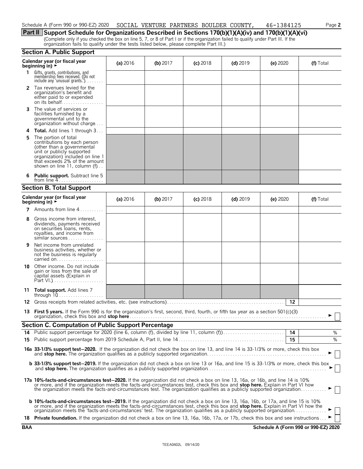### Schedule A (Form 990 or 990-EZ) 2020 SOCIAL VENTURE PARTNERS BOULDER COUNTY, 46-1384125 Page 2

**Part II Support Schedule for Organizations Described in Sections 170(b)(1)(A)(iv) and 170(b)(1)(A)(vi)** (Complete only if you checked the box on line 5, 7, or 8 of Part I or if the organization failed to qualify under Part III. If the organization fails to qualify under the tests listed below, please complete Part III.)

### **Section A. Public Support**

|     | Calendar year (or fiscal year<br>beginning in) ►                                                                                                                                                                                                                                                                                                                                             | (a) 2016 | $(b)$ 2017 | $(c)$ 2018 | $(d)$ 2019 | $(e)$ 2020 | (f) Total |
|-----|----------------------------------------------------------------------------------------------------------------------------------------------------------------------------------------------------------------------------------------------------------------------------------------------------------------------------------------------------------------------------------------------|----------|------------|------------|------------|------------|-----------|
| 1.  | Gifts, grants, contributions, and<br>membership fees received. (Do not<br>include any 'unusual grants.'). $\ldots$                                                                                                                                                                                                                                                                           |          |            |            |            |            |           |
|     | Tax revenues levied for the<br>organization's benefit and<br>either paid to or expended<br>on its behalf                                                                                                                                                                                                                                                                                     |          |            |            |            |            |           |
| 3.  | The value of services or<br>facilities furnished by a<br>governmental unit to the<br>organization without charge                                                                                                                                                                                                                                                                             |          |            |            |            |            |           |
|     | <b>Total.</b> Add lines 1 through 3                                                                                                                                                                                                                                                                                                                                                          |          |            |            |            |            |           |
| 5   | The portion of total<br>contributions by each person<br>(other than a governmental<br>unit or publicly supported<br>organization) included on line 1<br>that exceeds 2% of the amount<br>shown on line 11, column $(f)$                                                                                                                                                                      |          |            |            |            |            |           |
|     | <b>Public support.</b> Subtract line 5<br>from line $4 \ldots \ldots \ldots \ldots \ldots$                                                                                                                                                                                                                                                                                                   |          |            |            |            |            |           |
|     | <b>Section B. Total Support</b>                                                                                                                                                                                                                                                                                                                                                              |          |            |            |            |            |           |
|     | Calendar year (or fiscal year<br>beginning in) ►                                                                                                                                                                                                                                                                                                                                             | (a) 2016 | $(b)$ 2017 | $(c)$ 2018 | $(d)$ 2019 | (e) $2020$ | (f) Total |
|     | <b>7</b> Amounts from line 4                                                                                                                                                                                                                                                                                                                                                                 |          |            |            |            |            |           |
| 8   | Gross income from interest.<br>dividends, payments received<br>on securities loans, rents,<br>royalties, and income from<br>similar sources                                                                                                                                                                                                                                                  |          |            |            |            |            |           |
| 9   | Net income from unrelated<br>business activities, whether or<br>not the business is regularly<br>carried on                                                                                                                                                                                                                                                                                  |          |            |            |            |            |           |
| 10. | Other income. Do not include<br>gain or loss from the sale of<br>capital assets (Explain in                                                                                                                                                                                                                                                                                                  |          |            |            |            |            |           |
|     | 11 <b>Total support.</b> Add lines 7                                                                                                                                                                                                                                                                                                                                                         |          |            |            |            |            |           |
| 12  |                                                                                                                                                                                                                                                                                                                                                                                              |          |            |            |            | 12         |           |
|     | 13 First 5 years. If the Form 990 is for the organization's first, second, third, fourth, or fifth tax year as a section 501(c)(3)                                                                                                                                                                                                                                                           |          |            |            |            |            |           |
|     | <b>Section C. Computation of Public Support Percentage</b>                                                                                                                                                                                                                                                                                                                                   |          |            |            |            |            |           |
|     |                                                                                                                                                                                                                                                                                                                                                                                              |          |            |            |            | 15         | %<br>%    |
|     |                                                                                                                                                                                                                                                                                                                                                                                              |          |            |            |            |            |           |
|     | 16a 33-1/3% support test-2020. If the organization did not check the box on line 13, and line 14 is 33-1/3% or more, check this box                                                                                                                                                                                                                                                          |          |            |            |            |            |           |
|     | b 33-1/3% support test-2019. If the organization did not check a box on line 13 or 16a, and line 15 is 33-1/3% or more, check this box                                                                                                                                                                                                                                                       |          |            |            |            |            |           |
|     | 17a 10%-facts-and-circumstances test-2020. If the organization did not check a box on line 13, 16a, or 16b, and line 14 is 10%<br>or more, and if the organization meets the facts-and-circumstances test, check this box and stop here. Explain in Part VI how<br>the organization meets the facts and circumstances test. The organization qualifies as a publicly supported organization. |          |            |            |            |            |           |
|     | <b>b 10%-facts-and-circumstances test-2019.</b> If the organization did not check a box on line 13, 16a, 16b, or 17a, and line 15 is 10%<br>or more, and if the organization meets the facts-and-circumstances test, check this box and stop here. Explain in Part VI how the organization meets the 'facts-and-circumstances' test. The organization qualifies as a publi                   |          |            |            |            |            |           |
|     | 18 Private foundation. If the organization did not check a box on line 13, 16a, 16b, 17a, or 17b, check this box and see instructions                                                                                                                                                                                                                                                        |          |            |            |            |            |           |

**BAA Schedule A (Form 990 or 990-EZ) 2020**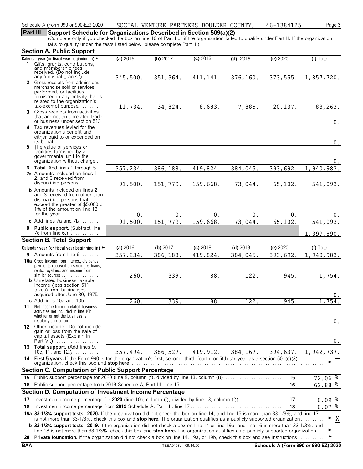### Schedule A (Form 990 or 990-EZ) 2020 **SOCIAL VENTURE PARTNERS BOULDER COUNTY,** 46-1384125 Page 3

### **Part III Support Schedule for Organizations Described in Section 509(a)(2)**

(Complete only if you checked the box on line 10 of Part I or if the organization failed to qualify under Part II. If the organization fails to qualify under the tests listed below, please complete Part II.)

|    | <b>Section A. Public Support</b>                                                                                                                                                                                                                               |          |                                |            |            |           |                   |
|----|----------------------------------------------------------------------------------------------------------------------------------------------------------------------------------------------------------------------------------------------------------------|----------|--------------------------------|------------|------------|-----------|-------------------|
|    | Calendar year (or fiscal year beginning in) ►                                                                                                                                                                                                                  | (a) 2016 | (b) $2017$                     | (c) 2018   | $(d)$ 2019 | (e) 2020  | (f) Total         |
|    | 1 Gifts, grants, contributions,                                                                                                                                                                                                                                |          |                                |            |            |           |                   |
|    | and membership fees<br>received. (Do not include<br>any 'unusual grants.')                                                                                                                                                                                     |          |                                |            |            |           |                   |
|    | 2 Gross receipts from admissions,                                                                                                                                                                                                                              | 345,500. | 351,364.                       | 411,141.   | 376,160.   | 373, 555. | 1,857,720.        |
|    | merchandise sold or services                                                                                                                                                                                                                                   |          |                                |            |            |           |                   |
|    | performed, or facilities                                                                                                                                                                                                                                       |          |                                |            |            |           |                   |
|    | furnished in any activity that is<br>related to the organization's                                                                                                                                                                                             |          |                                |            |            |           |                   |
|    | $tax\text{-}exempt$ purpose                                                                                                                                                                                                                                    | 11,734.  | 34,824.                        | 8,683.     | 7,885.     | 20,137.   | 83,263.           |
|    | <b>3</b> Gross receipts from activities<br>that are not an unrelated trade                                                                                                                                                                                     |          |                                |            |            |           |                   |
|    | or business under section 513.                                                                                                                                                                                                                                 |          |                                |            |            |           | $0$ .             |
|    | 4 Tax revenues levied for the                                                                                                                                                                                                                                  |          |                                |            |            |           |                   |
|    | organization's benefit and<br>either paid to or expended on                                                                                                                                                                                                    |          |                                |            |            |           |                   |
|    |                                                                                                                                                                                                                                                                |          |                                |            |            |           | 0.                |
| 5. | The value of services or<br>facilities furnished by a                                                                                                                                                                                                          |          |                                |            |            |           |                   |
|    | governmental unit to the                                                                                                                                                                                                                                       |          |                                |            |            |           |                   |
|    | organization without charge                                                                                                                                                                                                                                    |          |                                |            |            |           | 0.                |
|    | 6 Total. Add lines 1 through 5                                                                                                                                                                                                                                 | 357,234. | 386,188                        | 419,824.   | 384,045.   | 393,692.  | 1,940,983.        |
|    | <b>7a</b> Amounts included on lines 1,<br>2, and 3 received from                                                                                                                                                                                               |          |                                |            |            |           |                   |
|    | disqualified persons                                                                                                                                                                                                                                           | 91,500.  | 151,779.                       | 159,668.   | 73,044.    | 65,102.   | 541,093.          |
|    | <b>b</b> Amounts included on lines 2                                                                                                                                                                                                                           |          |                                |            |            |           |                   |
|    | and 3 received from other than<br>disqualified persons that                                                                                                                                                                                                    |          |                                |            |            |           |                   |
|    | exceed the greater of \$5,000 or                                                                                                                                                                                                                               |          |                                |            |            |           |                   |
|    | 1% of the amount on line 13<br>for the year                                                                                                                                                                                                                    | 0.       | $\mathbf{0}$ .                 | 0.         | 0.         | 0.        |                   |
|    | c Add lines 7a and 7b                                                                                                                                                                                                                                          | 91,500   | 151,779.                       | 159,668.   | 73,044.    | 65,102    | 0.<br>541,093.    |
|    | 8 Public support. (Subtract line                                                                                                                                                                                                                               |          |                                |            |            |           |                   |
|    | 7c from line 6.)                                                                                                                                                                                                                                               |          |                                |            |            |           | 1,399,890.        |
|    | <b>Section B. Total Support</b>                                                                                                                                                                                                                                |          |                                |            |            |           |                   |
|    | Calendar year (or fiscal year beginning in) $\blacktriangleright$                                                                                                                                                                                              | (a) 2016 | ( <b>b</b> ) $201\overline{7}$ | $(c)$ 2018 | $(d)$ 2019 | (e) 2020  | (f) Total         |
|    | <b>9</b> Amounts from line $6, \ldots, \ldots$                                                                                                                                                                                                                 | 357,234. | 386,188.                       | 419,824.   | 384,045.   | 393,692.  | 1,940,983.        |
|    | <b>10a</b> Gross income from interest, dividends,<br>payments received on securities loans,                                                                                                                                                                    |          |                                |            |            |           |                   |
|    | rents, royalties, and income from                                                                                                                                                                                                                              |          |                                |            |            |           |                   |
|    | similar sources                                                                                                                                                                                                                                                | 260.     | 339.                           | 88.        | 122.       | 945.      | 1,754.            |
|    | <b>b</b> Unrelated business taxable<br>income (less section 511                                                                                                                                                                                                |          |                                |            |            |           |                   |
|    | taxes) from businesses                                                                                                                                                                                                                                         |          |                                |            |            |           |                   |
|    | acquired after June 30, 1975<br>c Add lines $10a$ and $10b$                                                                                                                                                                                                    |          |                                |            |            |           |                   |
|    | <b>11</b> Net income from unrelated business                                                                                                                                                                                                                   | 260      | 339.                           | 88.        | 122.       | 945.      | 754.              |
|    | activities not included in line 10b.                                                                                                                                                                                                                           |          |                                |            |            |           |                   |
|    | whether or not the business is<br>regularly carried on $\dots\dots\dots$                                                                                                                                                                                       |          |                                |            |            |           | 0.                |
|    | 12 Other income. Do not include                                                                                                                                                                                                                                |          |                                |            |            |           |                   |
|    | gain or loss from the sale of<br>capital assets (Explain in                                                                                                                                                                                                    |          |                                |            |            |           |                   |
|    |                                                                                                                                                                                                                                                                |          |                                |            |            |           | 0.                |
|    | 13 Total support. (Add lines 9,<br>10c, 11, and $12.$ )                                                                                                                                                                                                        |          | 386,527.                       |            | 384, 167.  |           |                   |
|    | 14 First 5 years. If the Form 990 is for the organization's first, second, third, fourth, or fifth tax year as a section 501(c)(3)                                                                                                                             | 357,494. |                                | 419,912.   |            | 394,637.  | 1,942,737.        |
|    | organization, check this box and stop here                                                                                                                                                                                                                     |          |                                |            |            |           |                   |
|    | <b>Section C. Computation of Public Support Percentage</b>                                                                                                                                                                                                     |          |                                |            |            |           |                   |
|    | 15 Public support percentage for 2020 (line 8, column (f), divided by line 13, column (f)                                                                                                                                                                      |          |                                |            |            | 15        | 72.06%            |
|    |                                                                                                                                                                                                                                                                |          |                                |            |            | 16        | $62.88$ $%$       |
|    | Section D. Computation of Investment Income Percentage                                                                                                                                                                                                         |          |                                |            |            |           |                   |
| 17 | Investment income percentage for 2020 (line 10c, column (f), divided by line 13, column (f)                                                                                                                                                                    |          |                                |            |            | 17        | $0.09$ $%$        |
| 18 |                                                                                                                                                                                                                                                                |          |                                |            |            | 18        | $0.07\frac{2}{3}$ |
|    | 19a 33-1/3% support tests-2020. If the organization did not check the box on line 14, and line 15 is more than 33-1/3%, and line 17<br>is not more than 33-1/3%, check this box and stop here. The organization qualifies as a publicly supported organization |          |                                |            |            |           | X                 |
|    | <b>b</b> 33-1/3% support tests-2019. If the organization did not check a box on line 14 or line 19a, and line 16 is more than 33-1/3%, and                                                                                                                     |          |                                |            |            |           |                   |
|    | line 18 is not more than 33-1/3%, check this box and stop here. The organization qualifies as a publicly supported organization                                                                                                                                |          |                                |            |            |           |                   |
|    | 20 Private foundation. If the organization did not check a box on line 14, 19a, or 19b, check this box and see instructions                                                                                                                                    |          |                                |            |            |           |                   |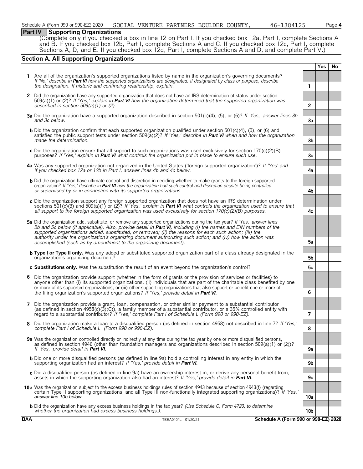### **Part IV Supporting Organizations**

(Complete only if you checked a box in line 12 on Part I. If you checked box 12a, Part I, complete Sections A and B. If you checked box 12b, Part I, complete Sections A and C. If you checked box 12c, Part I, complete Sections A, D, and E. If you checked box 12d, Part I, complete Sections A and D, and complete Part V.)

### **Section A. All Supporting Organizations**

|   |                                                                                                                                                                                                                                                                                                                                                                                                                                                                                                                                              |                 | Yes. | No |
|---|----------------------------------------------------------------------------------------------------------------------------------------------------------------------------------------------------------------------------------------------------------------------------------------------------------------------------------------------------------------------------------------------------------------------------------------------------------------------------------------------------------------------------------------------|-----------------|------|----|
|   | 1 Are all of the organization's supported organizations listed by name in the organization's governing documents?<br>If 'No,' describe in Part VI how the supported organizations are designated. If designated by class or purpose, describe                                                                                                                                                                                                                                                                                                |                 |      |    |
|   | the designation. If historic and continuing relationship, explain.                                                                                                                                                                                                                                                                                                                                                                                                                                                                           | 1               |      |    |
|   | 2 Did the organization have any supported organization that does not have an IRS determination of status under section<br>$509(a)(1)$ or (2)? If 'Yes,' explain in Part VI how the organization determined that the supported organization was<br>described in section $509(a)(1)$ or (2).                                                                                                                                                                                                                                                   | $\overline{2}$  |      |    |
|   |                                                                                                                                                                                                                                                                                                                                                                                                                                                                                                                                              |                 |      |    |
|   | 3a Did the organization have a supported organization described in section 501(c)(4), (5), or (6)? If 'Yes,' answer lines 3b<br>and 3c below.                                                                                                                                                                                                                                                                                                                                                                                                | 3a              |      |    |
|   | <b>b</b> Did the organization confirm that each supported organization qualified under section 501(c)(4), (5), or (6) and<br>satisfied the public support tests under section 509(a)(2)? If 'Yes,' describe in Part VI when and how the organization<br>made the determination.                                                                                                                                                                                                                                                              | 3b              |      |    |
|   | c Did the organization ensure that all support to such organizations was used exclusively for section $170(c)(2)(B)$<br>purposes? If 'Yes,' explain in <b>Part VI</b> what controls the organization put in place to ensure such use.                                                                                                                                                                                                                                                                                                        | 3c              |      |    |
|   | 4a Was any supported organization not organized in the United States ('foreign supported organization')? If 'Yes' and<br>if you checked box 12a or 12b in Part I, answer lines 4b and 4c below.                                                                                                                                                                                                                                                                                                                                              | 4a              |      |    |
|   | <b>b</b> Did the organization have ultimate control and discretion in deciding whether to make grants to the foreign supported<br>organization? If 'Yes,' describe in Part VI how the organization had such control and discretion despite being controlled<br>or supervised by or in connection with its supported organizations.                                                                                                                                                                                                           | 4b              |      |    |
|   | c Did the organization support any foreign supported organization that does not have an IRS determination under<br>sections 501(c)(3) and 509(a)(1) or (2)? If 'Yes,' explain in <b>Part VI</b> what controls the organization used to ensure that<br>all support to the foreign supported organization was used exclusively for section $170(c)(2)(B)$ purposes.                                                                                                                                                                            | 4c              |      |    |
|   | 5a Did the organization add, substitute, or remove any supported organizations during the tax year? If 'Yes,' answer lines<br>5b and 5c below (if applicable). Also, provide detail in Part VI, including (i) the names and EIN numbers of the<br>supported organizations added, substituted, or removed; (ii) the reasons for each such action; (iii) the<br>authority under the organization's organizing document authorizing such action; and (iv) how the action was<br>accomplished (such as by amendment to the organizing document). | 5а              |      |    |
|   | <b>b</b> Type I or Type II only. Was any added or substituted supported organization part of a class already designated in the<br>organization's organizing document?                                                                                                                                                                                                                                                                                                                                                                        | 5b              |      |    |
|   | c Substitutions only. Was the substitution the result of an event beyond the organization's control?                                                                                                                                                                                                                                                                                                                                                                                                                                         | 5c              |      |    |
|   | 6 Did the organization provide support (whether in the form of grants or the provision of services or facilities) to<br>anyone other than (i) its supported organizations, (ii) individuals that are part of the charitable class benefited by one<br>or more of its supported organizations, or (iii) other supporting organizations that also support or benefit one or more of<br>the filing organization's supported organizations? If 'Yes,' provide detail in Part VI.                                                                 | 6               |      |    |
| 7 | Did the organization provide a grant, loan, compensation, or other similar payment to a substantial contributor<br>(as defined in section 4958(c)( $3$ )(C)), a family member of a substantial contributor, or a 35% controlled entity with<br>regard to a substantial contributor? If 'Yes,' complete Part I of Schedule L (Form 990 or 990-EZ).                                                                                                                                                                                            | 7               |      |    |
| 8 | Did the organization make a loan to a disqualified person (as defined in section 4958) not described in line 7? If 'Yes,'<br>complete Part I of Schedule L (Form 990 or 990-EZ).                                                                                                                                                                                                                                                                                                                                                             | 8               |      |    |
|   | 9a Was the organization controlled directly or indirectly at any time during the tax year by one or more disqualified persons,<br>as defined in section 4946 (other than foundation managers and organizations described in section 509(a)(1) or (2))?<br>If 'Yes,' provide detail in <b>Part VI.</b>                                                                                                                                                                                                                                        | 9а              |      |    |
|   | <b>b</b> Did one or more disqualified persons (as defined in line 9a) hold a controlling interest in any entity in which the<br>supporting organization had an interest? If 'Yes,' provide detail in Part VI.                                                                                                                                                                                                                                                                                                                                | 9b              |      |    |
|   | c Did a disqualified person (as defined in line 9a) have an ownership interest in, or derive any personal benefit from,<br>assets in which the supporting organization also had an interest? If 'Yes,' provide detail in Part VI.                                                                                                                                                                                                                                                                                                            | 9c              |      |    |
|   | 10a Was the organization subject to the excess business holdings rules of section 4943 because of section 4943(f) (regarding<br>certain Type II supporting organizations, and all Type III non-functionally integrated supporting organizations)? If 'Yes,'                                                                                                                                                                                                                                                                                  |                 |      |    |
|   | answer line 10b below.                                                                                                                                                                                                                                                                                                                                                                                                                                                                                                                       | 10a             |      |    |
|   | <b>b</b> Did the organization have any excess business holdings in the tax year? (Use Schedule C, Form 4720, to determine<br>whether the organization had excess business holdings.).                                                                                                                                                                                                                                                                                                                                                        | 10 <sub>b</sub> |      |    |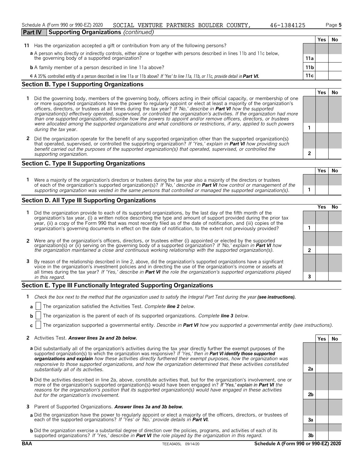### Schedule A (Form 990 or 990-EZ) 2020 GOCIAL VENTURE PARTNERS BOULDER COUNTY,  $46-1384125$  Page 5

**Yes No**

| <b>Part IV</b>                                                                                                              | <b>Supporting Organizations (continued)</b>                                                                                             |                 |     |    |
|-----------------------------------------------------------------------------------------------------------------------------|-----------------------------------------------------------------------------------------------------------------------------------------|-----------------|-----|----|
|                                                                                                                             |                                                                                                                                         |                 | Yes | No |
| 11                                                                                                                          | Has the organization accepted a gift or contribution from any of the following persons?                                                 |                 |     |    |
| a A person who directly or indirectly controls, either alone or together with persons described in lines 11b and 11c below, |                                                                                                                                         |                 |     |    |
|                                                                                                                             | the governing body of a supported organization?                                                                                         |                 |     |    |
|                                                                                                                             | <b>b</b> A family member of a person described in line 11a above?                                                                       | 11 <sub>b</sub> |     |    |
|                                                                                                                             | C A 35% controlled entity of a person described in line 11a or 11b above? If 'Yes' to line 11a, 11b, or 11c, provide detail in Part VI. | 11c             |     |    |

### **Section B. Type I Supporting Organizations**

- **1** Did the governing body, members of the governing body, officers acting in their official capacity, or membership of one or more supported organizations have the power to regularly appoint or elect at least a majority of the organization's officers, directors, or trustees at all times during the tax year? *If 'No,' describe in Part VI how the supported organization(s) effectively operated, supervised, or controlled the organization's activities. If the organization had more than one supported organization, describe how the powers to appoint and/or remove officers, directors, or trustees were allocated among the supported organizations and what conditions or restrictions, if any, applied to such powers* **1** *during the tax* year.
- **2** Did the organization operate for the benefit of any supported organization other than the supported organization(s) that operated, supervised, or controlled the supporting organization? *If 'Yes,' explain in Part VI how providing such benefit carried out the purposes of the supported organization(s) that operated, supervised, or controlled the supporting organization.* **2**

### **Section C. Type II Supporting Organizations**

**Yes No 1** Were a majority of the organization's directors or trustees during the tax year also a majority of the directors or trustees of each of the organization's supported organization(s)? *If 'No,' describe in Part VI how control or management of the supporting organization was vested in the same persons that controlled or managed the supported organization(s).* **1**

### **Section D. All Type III Supporting Organizations**

### **Section E. Type III Functionally Integrated Supporting Organizations**

- **1** *Check the box next to the method that the organization used to satisfy the Integral Part Test during the year (see instructions).* 
	- **a** The organization satisfied the Activities Test. *Complete line 2 below.*
	- **b** The organization is the parent of each of its supported organizations. *Complete line 3 below.*
	- **c** The organization supported a governmental entity. *Describe in Part VI how you supported a governmental entity (see instructions).*

### **2** Activities Test. *Answer lines 2a and 2b below.* **Yes No**

- **a** Did substantially all of the organization's activities during the tax year directly further the exempt purposes of the supported organization(s) to which the organization was responsive? *If 'Yes,' then in Part VI identify those supported organizations and explain how these activities directly furthered their exempt purposes, how the organization was responsive to those supported organizations, and how the organization determined that these activities constituted substantially all of its activities.* **2a**
- **b** Did the activities described in line 2a, above, constitute activities that, but for the organization's involvement, one or more of the organization's supported organization(s) would have been engaged in? *If 'Yes,' explain in Part VI the reasons for the organization's position that its supported organization(s) would have engaged in these activities but for the organization's involvement.* **2b**
- **3** Parent of Supported Organizations. *Answer lines 3a and 3b below.*
- **a** Did the organization have the power to regularly appoint or elect a majority of the officers, directors, or trustees of each of the supported organizations? *If 'Yes' or 'No,' provide details in Part VI.* **3a**
- **b** Did the organization exercise a substantial degree of direction over the policies, programs, and activities of each of its supported organizations? *If 'Yes,' describe in Part VI the role played by the organization in this regard.* **3b**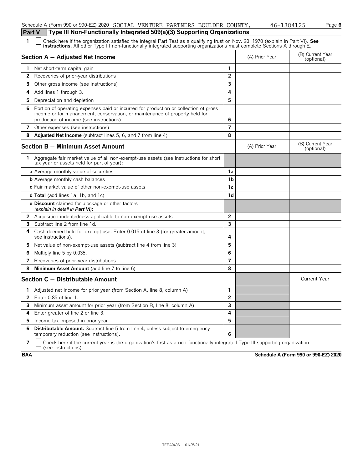| Schedule A (Form 990 or 990-EZ) 2020 SOCIAL VENTURE PARTNERS BOULDER COUNTY,          |  |  | 46-1384125 | Page 6 |
|---------------------------------------------------------------------------------------|--|--|------------|--------|
| <b>Part V</b> Type III Non-Functionally Integrated 509(a)(3) Supporting Organizations |  |  |            |        |

| c | 16 |  |
|---|----|--|
|   |    |  |

Check here if the organization satisfied the Integral Part Test as a qualifying trust on Nov. 20, 1970 (explain in Part VI). See instructions. All other Type III non-functionally integrated supporting organizations must co

|              | Section A - Adjusted Net Income                                                                                                                                                                                |                | (A) Prior Year | (B) Current Year<br>(optional) |
|--------------|----------------------------------------------------------------------------------------------------------------------------------------------------------------------------------------------------------------|----------------|----------------|--------------------------------|
| 1.           | Net short-term capital gain                                                                                                                                                                                    | $\mathbf{1}$   |                |                                |
| 2            | Recoveries of prior-year distributions                                                                                                                                                                         | $\overline{2}$ |                |                                |
| 3            | Other gross income (see instructions)                                                                                                                                                                          | 3              |                |                                |
| 4            | Add lines 1 through 3.                                                                                                                                                                                         | 4              |                |                                |
| 5.           | Depreciation and depletion                                                                                                                                                                                     | 5              |                |                                |
| 6            | Portion of operating expenses paid or incurred for production or collection of gross<br>income or for management, conservation, or maintenance of property held for<br>production of income (see instructions) | 6              |                |                                |
| 7            | Other expenses (see instructions)                                                                                                                                                                              | $\overline{7}$ |                |                                |
| 8            | <b>Adjusted Net Income</b> (subtract lines 5, 6, and 7 from line 4)                                                                                                                                            | 8              |                |                                |
|              | Section B - Minimum Asset Amount                                                                                                                                                                               |                | (A) Prior Year | (B) Current Year<br>(optional) |
| 1.           | Aggregate fair market value of all non-exempt-use assets (see instructions for short<br>tax year or assets held for part of year):                                                                             |                |                |                                |
|              | a Average monthly value of securities                                                                                                                                                                          | 1a             |                |                                |
|              | <b>b</b> Average monthly cash balances                                                                                                                                                                         | 1b             |                |                                |
|              | c Fair market value of other non-exempt-use assets                                                                                                                                                             | 1c             |                |                                |
|              | <b>d Total</b> (add lines 1a, 1b, and 1c)                                                                                                                                                                      | 1d             |                |                                |
|              | <b>e Discount</b> claimed for blockage or other factors<br>(explain in detail in <b>Part VI</b> ):                                                                                                             |                |                |                                |
|              | 2 Acquisition indebtedness applicable to non-exempt-use assets                                                                                                                                                 | $\overline{2}$ |                |                                |
| 3            | Subtract line 2 from line 1d.                                                                                                                                                                                  | 3              |                |                                |
| 4            | Cash deemed held for exempt use. Enter 0.015 of line 3 (for greater amount,<br>see instructions).                                                                                                              | 4              |                |                                |
| 5.           | Net value of non-exempt-use assets (subtract line 4 from line 3)                                                                                                                                               | 5              |                |                                |
| 6            | Multiply line 5 by 0.035.                                                                                                                                                                                      | 6              |                |                                |
| 7            | Recoveries of prior-year distributions                                                                                                                                                                         | $\overline{7}$ |                |                                |
| 8            | Minimum Asset Amount (add line 7 to line 6)                                                                                                                                                                    | 8              |                |                                |
|              | Section C - Distributable Amount                                                                                                                                                                               |                |                | <b>Current Year</b>            |
| 1            | Adjusted net income for prior year (from Section A, line 8, column A)                                                                                                                                          | $\mathbf{1}$   |                |                                |
| $\mathbf{2}$ | Enter 0.85 of line 1.                                                                                                                                                                                          | $\overline{2}$ |                |                                |
| 3            | Minimum asset amount for prior year (from Section B, line 8, column A)                                                                                                                                         | $\overline{3}$ |                |                                |
| 4            | Enter greater of line 2 or line 3.                                                                                                                                                                             | 4              |                |                                |
| 5            | Income tax imposed in prior year                                                                                                                                                                               | 5              |                |                                |
| 6            | <b>Distributable Amount.</b> Subtract line 5 from line 4, unless subject to emergency<br>temporary reduction (see instructions).                                                                               | 6              |                |                                |

**7**  $\mid$  Check here if the current year is the organization's first as a non-functionally integrated Type III supporting organization (see instructions).

**BAA Schedule A (Form 990 or 990-EZ) 2020**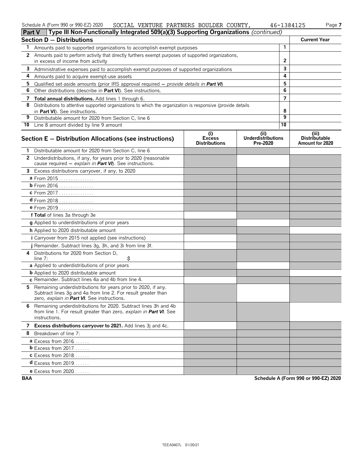### Schedule A (Form 990 or 990-EZ) 2020 SOCIAL VENTURE PARTNERS BOULDER COUNTY, 46-1384125 Page **7** SOCIAL VENTURE PARTNERS BOULDER COUNTY, 46-1384125

| <b>Part V</b> | Type III Non-Functionally Integrated 509(a)(3) Supporting Organizations (continued)                                                                                           |                                              |                                              |                |                                                  |
|---------------|-------------------------------------------------------------------------------------------------------------------------------------------------------------------------------|----------------------------------------------|----------------------------------------------|----------------|--------------------------------------------------|
|               | <b>Section D - Distributions</b>                                                                                                                                              |                                              |                                              |                | <b>Current Year</b>                              |
| 1             | Amounts paid to supported organizations to accomplish exempt purposes                                                                                                         |                                              |                                              | $\mathbf{1}$   |                                                  |
| $\mathbf{2}$  | Amounts paid to perform activity that directly furthers exempt purposes of supported organizations,                                                                           |                                              |                                              |                |                                                  |
|               | in excess of income from activity                                                                                                                                             |                                              |                                              | 2              |                                                  |
| 3             | Administrative expenses paid to accomplish exempt purposes of supported organizations                                                                                         |                                              |                                              | 3              |                                                  |
| 4             | Amounts paid to acquire exempt-use assets                                                                                                                                     |                                              |                                              | 4              |                                                  |
| 5             | Qualified set-aside amounts (prior IRS approval required $-$ provide details in Part VI)                                                                                      |                                              |                                              | 5              |                                                  |
| 6             | Other distributions (describe in Part VI). See instructions.                                                                                                                  |                                              |                                              | 6              |                                                  |
| 7             | Total annual distributions. Add lines 1 through 6.                                                                                                                            |                                              |                                              | $\overline{7}$ |                                                  |
| 8             | Distributions to attentive supported organizations to which the organization is responsive (provide details<br>in Part VI). See instructions.                                 |                                              |                                              | 8              |                                                  |
| 9             | Distributable amount for 2020 from Section C, line 6                                                                                                                          |                                              |                                              | 9              |                                                  |
|               | 10 Line 8 amount divided by line 9 amount                                                                                                                                     |                                              |                                              | 10             |                                                  |
|               | Section E - Distribution Allocations (see instructions)                                                                                                                       | (i)<br><b>Excess</b><br><b>Distributions</b> | (i)<br><b>Underdistributions</b><br>Pre-2020 |                | (iii)<br><b>Distributable</b><br>Amount for 2020 |
|               | Distributable amount for 2020 from Section C, line 6                                                                                                                          |                                              |                                              |                |                                                  |
|               | 2 Underdistributions, if any, for years prior to 2020 (reasonable<br>cause required $-$ explain in <b>Part VI</b> ). See instructions.                                        |                                              |                                              |                |                                                  |
| 3             | Excess distributions carryover, if any, to 2020                                                                                                                               |                                              |                                              |                |                                                  |
|               | a From 2015                                                                                                                                                                   |                                              |                                              |                |                                                  |
|               | <b>b</b> From 2016                                                                                                                                                            |                                              |                                              |                |                                                  |
|               | c From 2017.                                                                                                                                                                  |                                              |                                              |                |                                                  |
|               | <b>d</b> From 2018                                                                                                                                                            |                                              |                                              |                |                                                  |
|               | e From 2019                                                                                                                                                                   |                                              |                                              |                |                                                  |
|               | f Total of lines 3a through 3e                                                                                                                                                |                                              |                                              |                |                                                  |
|               | g Applied to underdistributions of prior years                                                                                                                                |                                              |                                              |                |                                                  |
|               | h Applied to 2020 distributable amount                                                                                                                                        |                                              |                                              |                |                                                  |
|               | <i>i</i> Carryover from 2015 not applied (see instructions)                                                                                                                   |                                              |                                              |                |                                                  |
|               | j Remainder. Subtract lines 3g, 3h, and 3i from line 3f.                                                                                                                      |                                              |                                              |                |                                                  |
| 4             | Distributions for 2020 from Section D,<br>\$<br>line $7:$                                                                                                                     |                                              |                                              |                |                                                  |
|               | a Applied to underdistributions of prior years                                                                                                                                |                                              |                                              |                |                                                  |
|               | <b>b</b> Applied to 2020 distributable amount                                                                                                                                 |                                              |                                              |                |                                                  |
|               | c Remainder. Subtract lines 4a and 4b from line 4.                                                                                                                            |                                              |                                              |                |                                                  |
| 5.            | Remaining underdistributions for years prior to 2020, if any.<br>Subtract lines 3g and 4a from line 2. For result greater than<br>zero, explain in Part VI. See instructions. |                                              |                                              |                |                                                  |
|               | 6 Remaining underdistributions for 2020. Subtract lines 3h and 4b<br>from line 1. For result greater than zero, explain in Part VI. See<br>instructions.                      |                                              |                                              |                |                                                  |
|               | 7 Excess distributions carryover to 2021. Add lines 3j and 4c.                                                                                                                |                                              |                                              |                |                                                  |
|               | 8 Breakdown of line 7:                                                                                                                                                        |                                              |                                              |                |                                                  |
|               | <b>a</b> Excess from $2016$                                                                                                                                                   |                                              |                                              |                |                                                  |
|               | $b$ Excess from 2017.                                                                                                                                                         |                                              |                                              |                |                                                  |
|               | <b>c</b> Excess from 2018                                                                                                                                                     |                                              |                                              |                |                                                  |
|               | <b>d</b> Excess from 2019                                                                                                                                                     |                                              |                                              |                |                                                  |
|               | <b>e</b> Excess from 2020                                                                                                                                                     |                                              |                                              |                |                                                  |

**BAA Schedule A (Form 990 or 990-EZ) 2020**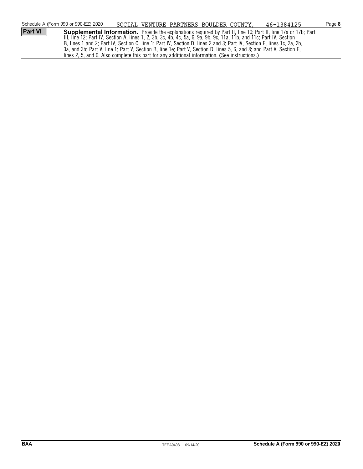|                | Schedule A (Form 990 or 990-EZ) 2020                                                                                 |  | SOCIAL VENTURE PARTNERS BOULDER COUNTY, |  | 46-1384125                                                                                                                                                                                                                         | Page 8 |
|----------------|----------------------------------------------------------------------------------------------------------------------|--|-----------------------------------------|--|------------------------------------------------------------------------------------------------------------------------------------------------------------------------------------------------------------------------------------|--------|
| <b>Part VI</b> |                                                                                                                      |  |                                         |  | <b>Supplemental Information.</b> Provide the explanations required by Part II, line 10; Part II, line 17a or 17b; Part III, line 17a or 17b; Part III, line 12; Part IV, Section A, lines 1, 2, 3b, 3c, 4b, 4c, 5a, 6, 9a, 9b, 9c, |        |
|                |                                                                                                                      |  |                                         |  |                                                                                                                                                                                                                                    |        |
|                |                                                                                                                      |  |                                         |  | B, lines 1 and 2; Part IV, Section C, line 1; Part IV, Section D, lines 2 and 3; Part IV, Section E, lines 1c, 2a, 2b,                                                                                                             |        |
|                | 3a, and 3b; Part V, line 1; Part V, Section B, line 1e; Part V, Section D, lines 5, 6, and 8; and Part V, Section E, |  |                                         |  |                                                                                                                                                                                                                                    |        |
|                | lines 2, 5, and 6. Also complete this part for any additional information. (See instructions.)                       |  |                                         |  |                                                                                                                                                                                                                                    |        |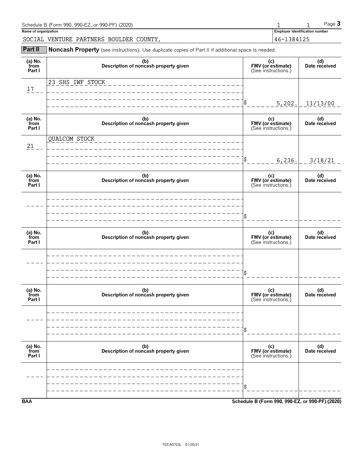| Schedule B (Form 990, 990-EZ, or 990-PF) (2020) |                                       | $P$ aqe $\mathbf 3$ |
|-------------------------------------------------|---------------------------------------|---------------------|
| Name of organization                            | <b>Employer identification number</b> |                     |
| SOCIAL<br>VENTURE PARTNERS BOULDER COUNTY,      | 46-1384125                            |                     |

**Part II** Noncash Property (see instructions). Use duplicate copies of Part II if additional space is needed.

| (a) No.<br>from<br>Part I | (b)<br>Description of noncash property given | (c)<br>FMV (or estimate)<br>(See instructions.) | (d)<br>Date received |
|---------------------------|----------------------------------------------|-------------------------------------------------|----------------------|
| 17                        | 23 SHS IWF STOCK                             |                                                 |                      |
|                           |                                              | 5,202.                                          | 11/13/00             |
| (a) No.<br>from<br>Part I | (b)<br>Description of noncash property given | (c)<br>FMV (or estimate)<br>(See instructions.) | (d)<br>Date received |
| $21 -$                    | QUALCOM STOCK                                |                                                 |                      |
|                           |                                              | \$<br>6,236.                                    | 3/18/21              |
| (a) No.<br>from<br>Part I | (b)<br>Description of noncash property given | (c)<br>FMV (or estimate)<br>(See instructions.) | (d)<br>Date received |
|                           |                                              |                                                 |                      |
|                           |                                              | \$                                              |                      |
| (a) No.<br>from<br>Part I | (b)<br>Description of noncash property given | (c)<br>FMV (or estimate)<br>(See instructions.) | (d)<br>Date received |
|                           |                                              |                                                 |                      |
|                           |                                              | \$                                              |                      |
| (a) No.<br>from<br>Part I | (b)<br>Description of noncash property given | (c)<br>FMV (or estimate)<br>(See instructions.) | (d)<br>Date received |
|                           |                                              |                                                 |                      |
|                           |                                              | Ś                                               |                      |
| (a) No.<br>from<br>Part I | (b)<br>Description of noncash property given | (c)<br>FMV (or estimate)<br>(See instructions.) | (d)<br>Date received |
|                           |                                              |                                                 |                      |
|                           |                                              |                                                 |                      |
| <b>BAA</b>                |                                              | Schedule B (Form 990, 990-EZ, or 990-PF) (2020) |                      |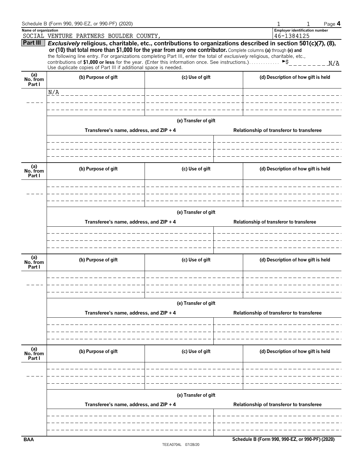|                           | Schedule B (Form 990, 990-EZ, or 990-PF) (2020)                                                                                                                                                                                                                                                                                                                  |                                          |                                          |                                                     | Page 4 |  |  |
|---------------------------|------------------------------------------------------------------------------------------------------------------------------------------------------------------------------------------------------------------------------------------------------------------------------------------------------------------------------------------------------------------|------------------------------------------|------------------------------------------|-----------------------------------------------------|--------|--|--|
| Name of organization      | SOCIAL VENTURE PARTNERS BOULDER COUNTY,                                                                                                                                                                                                                                                                                                                          |                                          |                                          | <b>Employer identification number</b><br>46-1384125 |        |  |  |
| Part III                  | Exclusively religious, charitable, etc., contributions to organizations described in section 501(c)(7), (8),<br>or (10) that total more than \$1,000 for the year from any one contributor. Complete columns (a) through (e) and<br>the following line entry. For organizations completing Part III, enter the total of exclusively religious, charitable, etc., |                                          |                                          |                                                     | N/A    |  |  |
| (a)<br>No. from           | Use duplicate copies of Part III if additional space is needed.<br>(b) Purpose of gift                                                                                                                                                                                                                                                                           | (c) Use of gift                          |                                          | (d) Description of how gift is held                 |        |  |  |
| Part I                    |                                                                                                                                                                                                                                                                                                                                                                  |                                          |                                          |                                                     |        |  |  |
|                           | N/A<br>_ _ _ _ _ _ _ _ _ _ _ _ _ _                                                                                                                                                                                                                                                                                                                               | _____________________                    |                                          |                                                     |        |  |  |
|                           |                                                                                                                                                                                                                                                                                                                                                                  |                                          |                                          |                                                     |        |  |  |
|                           |                                                                                                                                                                                                                                                                                                                                                                  |                                          |                                          |                                                     |        |  |  |
|                           | Transferee's name, address, and ZIP + 4                                                                                                                                                                                                                                                                                                                          | (e) Transfer of gift                     |                                          | Relationship of transferor to transferee            |        |  |  |
|                           |                                                                                                                                                                                                                                                                                                                                                                  |                                          |                                          |                                                     |        |  |  |
|                           |                                                                                                                                                                                                                                                                                                                                                                  |                                          |                                          |                                                     |        |  |  |
| (a)<br>No. from<br>Part I | (b) Purpose of gift                                                                                                                                                                                                                                                                                                                                              | (c) Use of gift                          |                                          | (d) Description of how gift is held                 |        |  |  |
|                           |                                                                                                                                                                                                                                                                                                                                                                  |                                          |                                          |                                                     |        |  |  |
|                           |                                                                                                                                                                                                                                                                                                                                                                  |                                          |                                          |                                                     |        |  |  |
|                           |                                                                                                                                                                                                                                                                                                                                                                  | (e) Transfer of gift                     |                                          |                                                     |        |  |  |
|                           | Transferee's name, address, and ZIP + 4                                                                                                                                                                                                                                                                                                                          |                                          | Relationship of transferor to transferee |                                                     |        |  |  |
|                           |                                                                                                                                                                                                                                                                                                                                                                  |                                          |                                          |                                                     |        |  |  |
|                           |                                                                                                                                                                                                                                                                                                                                                                  |                                          |                                          |                                                     |        |  |  |
| (a)<br>No. from<br>Part I | (b) Purpose of gift                                                                                                                                                                                                                                                                                                                                              | (c) Use of gift                          |                                          | (d) Description of how gift is held                 |        |  |  |
|                           |                                                                                                                                                                                                                                                                                                                                                                  |                                          |                                          |                                                     |        |  |  |
|                           |                                                                                                                                                                                                                                                                                                                                                                  |                                          |                                          |                                                     |        |  |  |
|                           | Transferee's name, address, and ZIP + 4                                                                                                                                                                                                                                                                                                                          | (e) Transfer of gift                     |                                          | Relationship of transferor to transferee            |        |  |  |
|                           |                                                                                                                                                                                                                                                                                                                                                                  |                                          |                                          |                                                     |        |  |  |
|                           |                                                                                                                                                                                                                                                                                                                                                                  |                                          |                                          |                                                     |        |  |  |
|                           |                                                                                                                                                                                                                                                                                                                                                                  |                                          |                                          |                                                     |        |  |  |
| (a)<br>No. from<br>Part I | (b) Purpose of gift                                                                                                                                                                                                                                                                                                                                              | (c) Use of gift                          |                                          | (d) Description of how gift is held                 |        |  |  |
|                           |                                                                                                                                                                                                                                                                                                                                                                  |                                          |                                          |                                                     |        |  |  |
|                           |                                                                                                                                                                                                                                                                                                                                                                  |                                          |                                          |                                                     |        |  |  |
|                           |                                                                                                                                                                                                                                                                                                                                                                  | (e) Transfer of gift                     |                                          |                                                     |        |  |  |
|                           | Transferee's name, address, and ZIP + 4                                                                                                                                                                                                                                                                                                                          | Relationship of transferor to transferee |                                          |                                                     |        |  |  |
|                           |                                                                                                                                                                                                                                                                                                                                                                  |                                          |                                          |                                                     |        |  |  |
|                           |                                                                                                                                                                                                                                                                                                                                                                  |                                          |                                          |                                                     |        |  |  |
| <b>BAA</b>                |                                                                                                                                                                                                                                                                                                                                                                  |                                          |                                          | Schedule B (Form 990, 990-EZ, or 990-PF) (2020)     |        |  |  |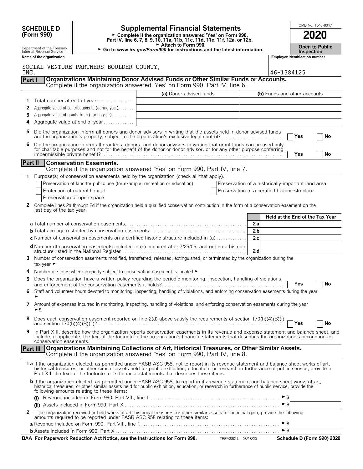| Part IV, line 6, 7, 8, 9, 10, 11a, 11b, 11c, 11d, 11e, 11f, 12a, or 12b.<br>Attach to Form 990.<br><b>Open to Public</b><br>Department of the Treasury<br>► Go to www.irs.gov/Form990 for instructions and the latest information.<br><b>Inspection</b><br>Internal Revenue Service<br>Name of the organization<br><b>Employer identification number</b><br>SOCIAL VENTURE PARTNERS BOULDER COUNTY,<br>INC.<br>46-1384125<br>Organizations Maintaining Donor Advised Funds or Other Similar Funds or Accounts.<br>Part I<br>Complete if the organization answered 'Yes' on Form 990, Part IV, line 6.<br>(a) Donor advised funds<br>(b) Funds and other accounts<br>Total number at end of year<br>1<br>Aggregate value of contributions to (during year)<br>2<br>Aggregate value of grants from (during year)<br>3<br>Aggregate value at end of year<br>4<br>Did the organization inform all donors and donor advisors in writing that the assets held in donor advised funds<br>5<br>Yes<br>are the organization's property, subject to the organization's exclusive legal control?<br>No<br>Did the organization inform all grantees, donors, and donor advisors in writing that grant funds can be used only for charitable purposes and not for the benefit of the donor or donor advisor, or for any other purpose conf<br>6<br>Yes<br>No<br>Part II<br><b>Conservation Easements.</b><br>Complete if the organization answered 'Yes' on Form 990, Part IV, line 7.<br>Purpose(s) of conservation easements held by the organization (check all that apply).<br>1<br>Preservation of land for public use (for example, recreation or education)<br>Preservation of a historically important land area<br>Protection of natural habitat<br>Preservation of a certified historic structure<br>Preservation of open space<br>Complete lines 2a through 2d if the organization held a qualified conservation contribution in the form of a conservation easement on the<br>2<br>last day of the tax year.<br><b>Held at the End of the Tax Year</b><br>2a<br>2 <sub>b</sub><br><b>c</b> Number of conservation easements on a certified historic structure included in (a) $\dots$<br>2c<br>d Number of conservation easements included in (c) acquired after 7/25/06, and not on a historic<br>2 d<br>Number of conservation easements modified, transferred, released, extinguished, or terminated by the organization during the<br>3<br>tax year $\blacktriangleright$<br>Number of states where property subject to conservation easement is located ►<br>4<br>Does the organization have a written policy regarding the periodic monitoring, inspection, handling of violations,<br>5<br><b>Yes</b><br>No<br>ட<br>Staff and volunteer hours devoted to monitoring, inspecting, handling of violations, and enforcing conservation easements during the year<br>6<br>Amount of expenses incurred in monitoring, inspecting, handling of violations, and enforcing conservation easements during the year<br>7<br>►\$<br>8<br>$\sqcap$ Yes<br>No<br>In Part XIII, describe how the organization reports conservation easements in its revenue and expense statement and balance sheet, and include, if applicable, the text of the footnote to the organization's financial statem<br>9<br>conservation easements.<br><b>Organizations Maintaining Collections of Art, Historical Treasures, or Other Similar Assets.</b><br><b>Part III</b><br>Complete if the organization answered 'Yes' on Form 990, Part IV, line 8.<br>1a If the organization elected, as permitted under FASB ASC 958, not to report in its revenue statement and balance sheet works of art,<br>historical treasures, or other similar assets held for public exhibition, education, or research in furtherance of public service, provide in<br>Part XIII the text of the footnote to its financial statements that describes these items.<br>b If the organization elected, as permitted under FASB ASC 958, to report in its revenue statement and balance sheet works of art,<br>historical treasures, or other similar assets held for public exhibition, education, or research in furtherance of public service, provide the<br>following amounts relating to these items:<br>►s<br>$\triangleright$ \$<br>2 If the organization received or held works of art, historical treasures, or other similar assets for financial gain, provide the following amounts required to be reported under FASB ASC 958 relating to these items:<br>$\blacktriangleright$ \$<br>BAA For Paperwork Reduction Act Notice, see the Instructions for Form 990. TEEA3301L 08/18/20<br>Schedule D (Form 990) 2020 | <b>SCHEDULE D</b><br>(Form 990) |  | <b>Supplemental Financial Statements</b><br>Complete if the organization answered 'Yes' on Form 990, |  |  |  | OMB No. 1545-0047<br>2020 |  |  |  |  |  |
|-------------------------------------------------------------------------------------------------------------------------------------------------------------------------------------------------------------------------------------------------------------------------------------------------------------------------------------------------------------------------------------------------------------------------------------------------------------------------------------------------------------------------------------------------------------------------------------------------------------------------------------------------------------------------------------------------------------------------------------------------------------------------------------------------------------------------------------------------------------------------------------------------------------------------------------------------------------------------------------------------------------------------------------------------------------------------------------------------------------------------------------------------------------------------------------------------------------------------------------------------------------------------------------------------------------------------------------------------------------------------------------------------------------------------------------------------------------------------------------------------------------------------------------------------------------------------------------------------------------------------------------------------------------------------------------------------------------------------------------------------------------------------------------------------------------------------------------------------------------------------------------------------------------------------------------------------------------------------------------------------------------------------------------------------------------------------------------------------------------------------------------------------------------------------------------------------------------------------------------------------------------------------------------------------------------------------------------------------------------------------------------------------------------------------------------------------------------------------------------------------------------------------------------------------------------------------------------------------------------------------------------------------------------------------------------------------------------------------------------------------------------------------------------------------------------------------------------------------------------------------------------------------------------------------------------------------------------------------------------------------------------------------------------------------------------------------------------------------------------------------------------------------------------------------------------------------------------------------------------------------------------------------------------------------------------------------------------------------------------------------------------------------------------------------------------------------------------------------------------------------------------------------------------------------------------------------------------------------------------------------------------------------------------------------------------------------------------------------------------------------------------------------------------------------------------------------------------------------------------------------------------------------------------------------------------------------------------------------------------------------------------------------------------------------------------------------------------------------------------------------------------------------------------------------------------------------------------------------------------------------------------------------------------------------------------------------------------------------------------------------------------------------------------------------------------------------------------------------------------------------------------------------------------------------------------------------------------------------------------------------------------------------------------------------------------|---------------------------------|--|------------------------------------------------------------------------------------------------------|--|--|--|---------------------------|--|--|--|--|--|
|                                                                                                                                                                                                                                                                                                                                                                                                                                                                                                                                                                                                                                                                                                                                                                                                                                                                                                                                                                                                                                                                                                                                                                                                                                                                                                                                                                                                                                                                                                                                                                                                                                                                                                                                                                                                                                                                                                                                                                                                                                                                                                                                                                                                                                                                                                                                                                                                                                                                                                                                                                                                                                                                                                                                                                                                                                                                                                                                                                                                                                                                                                                                                                                                                                                                                                                                                                                                                                                                                                                                                                                                                                                                                                                                                                                                                                                                                                                                                                                                                                                                                                                                                                                                                                                                                                                                                                                                                                                                                                                                                                                                                                                                                     |                                 |  |                                                                                                      |  |  |  |                           |  |  |  |  |  |
|                                                                                                                                                                                                                                                                                                                                                                                                                                                                                                                                                                                                                                                                                                                                                                                                                                                                                                                                                                                                                                                                                                                                                                                                                                                                                                                                                                                                                                                                                                                                                                                                                                                                                                                                                                                                                                                                                                                                                                                                                                                                                                                                                                                                                                                                                                                                                                                                                                                                                                                                                                                                                                                                                                                                                                                                                                                                                                                                                                                                                                                                                                                                                                                                                                                                                                                                                                                                                                                                                                                                                                                                                                                                                                                                                                                                                                                                                                                                                                                                                                                                                                                                                                                                                                                                                                                                                                                                                                                                                                                                                                                                                                                                                     |                                 |  |                                                                                                      |  |  |  |                           |  |  |  |  |  |
|                                                                                                                                                                                                                                                                                                                                                                                                                                                                                                                                                                                                                                                                                                                                                                                                                                                                                                                                                                                                                                                                                                                                                                                                                                                                                                                                                                                                                                                                                                                                                                                                                                                                                                                                                                                                                                                                                                                                                                                                                                                                                                                                                                                                                                                                                                                                                                                                                                                                                                                                                                                                                                                                                                                                                                                                                                                                                                                                                                                                                                                                                                                                                                                                                                                                                                                                                                                                                                                                                                                                                                                                                                                                                                                                                                                                                                                                                                                                                                                                                                                                                                                                                                                                                                                                                                                                                                                                                                                                                                                                                                                                                                                                                     |                                 |  |                                                                                                      |  |  |  |                           |  |  |  |  |  |
|                                                                                                                                                                                                                                                                                                                                                                                                                                                                                                                                                                                                                                                                                                                                                                                                                                                                                                                                                                                                                                                                                                                                                                                                                                                                                                                                                                                                                                                                                                                                                                                                                                                                                                                                                                                                                                                                                                                                                                                                                                                                                                                                                                                                                                                                                                                                                                                                                                                                                                                                                                                                                                                                                                                                                                                                                                                                                                                                                                                                                                                                                                                                                                                                                                                                                                                                                                                                                                                                                                                                                                                                                                                                                                                                                                                                                                                                                                                                                                                                                                                                                                                                                                                                                                                                                                                                                                                                                                                                                                                                                                                                                                                                                     |                                 |  |                                                                                                      |  |  |  |                           |  |  |  |  |  |
|                                                                                                                                                                                                                                                                                                                                                                                                                                                                                                                                                                                                                                                                                                                                                                                                                                                                                                                                                                                                                                                                                                                                                                                                                                                                                                                                                                                                                                                                                                                                                                                                                                                                                                                                                                                                                                                                                                                                                                                                                                                                                                                                                                                                                                                                                                                                                                                                                                                                                                                                                                                                                                                                                                                                                                                                                                                                                                                                                                                                                                                                                                                                                                                                                                                                                                                                                                                                                                                                                                                                                                                                                                                                                                                                                                                                                                                                                                                                                                                                                                                                                                                                                                                                                                                                                                                                                                                                                                                                                                                                                                                                                                                                                     |                                 |  |                                                                                                      |  |  |  |                           |  |  |  |  |  |
|                                                                                                                                                                                                                                                                                                                                                                                                                                                                                                                                                                                                                                                                                                                                                                                                                                                                                                                                                                                                                                                                                                                                                                                                                                                                                                                                                                                                                                                                                                                                                                                                                                                                                                                                                                                                                                                                                                                                                                                                                                                                                                                                                                                                                                                                                                                                                                                                                                                                                                                                                                                                                                                                                                                                                                                                                                                                                                                                                                                                                                                                                                                                                                                                                                                                                                                                                                                                                                                                                                                                                                                                                                                                                                                                                                                                                                                                                                                                                                                                                                                                                                                                                                                                                                                                                                                                                                                                                                                                                                                                                                                                                                                                                     |                                 |  |                                                                                                      |  |  |  |                           |  |  |  |  |  |
|                                                                                                                                                                                                                                                                                                                                                                                                                                                                                                                                                                                                                                                                                                                                                                                                                                                                                                                                                                                                                                                                                                                                                                                                                                                                                                                                                                                                                                                                                                                                                                                                                                                                                                                                                                                                                                                                                                                                                                                                                                                                                                                                                                                                                                                                                                                                                                                                                                                                                                                                                                                                                                                                                                                                                                                                                                                                                                                                                                                                                                                                                                                                                                                                                                                                                                                                                                                                                                                                                                                                                                                                                                                                                                                                                                                                                                                                                                                                                                                                                                                                                                                                                                                                                                                                                                                                                                                                                                                                                                                                                                                                                                                                                     |                                 |  |                                                                                                      |  |  |  |                           |  |  |  |  |  |
|                                                                                                                                                                                                                                                                                                                                                                                                                                                                                                                                                                                                                                                                                                                                                                                                                                                                                                                                                                                                                                                                                                                                                                                                                                                                                                                                                                                                                                                                                                                                                                                                                                                                                                                                                                                                                                                                                                                                                                                                                                                                                                                                                                                                                                                                                                                                                                                                                                                                                                                                                                                                                                                                                                                                                                                                                                                                                                                                                                                                                                                                                                                                                                                                                                                                                                                                                                                                                                                                                                                                                                                                                                                                                                                                                                                                                                                                                                                                                                                                                                                                                                                                                                                                                                                                                                                                                                                                                                                                                                                                                                                                                                                                                     |                                 |  |                                                                                                      |  |  |  |                           |  |  |  |  |  |
|                                                                                                                                                                                                                                                                                                                                                                                                                                                                                                                                                                                                                                                                                                                                                                                                                                                                                                                                                                                                                                                                                                                                                                                                                                                                                                                                                                                                                                                                                                                                                                                                                                                                                                                                                                                                                                                                                                                                                                                                                                                                                                                                                                                                                                                                                                                                                                                                                                                                                                                                                                                                                                                                                                                                                                                                                                                                                                                                                                                                                                                                                                                                                                                                                                                                                                                                                                                                                                                                                                                                                                                                                                                                                                                                                                                                                                                                                                                                                                                                                                                                                                                                                                                                                                                                                                                                                                                                                                                                                                                                                                                                                                                                                     |                                 |  |                                                                                                      |  |  |  |                           |  |  |  |  |  |
|                                                                                                                                                                                                                                                                                                                                                                                                                                                                                                                                                                                                                                                                                                                                                                                                                                                                                                                                                                                                                                                                                                                                                                                                                                                                                                                                                                                                                                                                                                                                                                                                                                                                                                                                                                                                                                                                                                                                                                                                                                                                                                                                                                                                                                                                                                                                                                                                                                                                                                                                                                                                                                                                                                                                                                                                                                                                                                                                                                                                                                                                                                                                                                                                                                                                                                                                                                                                                                                                                                                                                                                                                                                                                                                                                                                                                                                                                                                                                                                                                                                                                                                                                                                                                                                                                                                                                                                                                                                                                                                                                                                                                                                                                     |                                 |  |                                                                                                      |  |  |  |                           |  |  |  |  |  |
|                                                                                                                                                                                                                                                                                                                                                                                                                                                                                                                                                                                                                                                                                                                                                                                                                                                                                                                                                                                                                                                                                                                                                                                                                                                                                                                                                                                                                                                                                                                                                                                                                                                                                                                                                                                                                                                                                                                                                                                                                                                                                                                                                                                                                                                                                                                                                                                                                                                                                                                                                                                                                                                                                                                                                                                                                                                                                                                                                                                                                                                                                                                                                                                                                                                                                                                                                                                                                                                                                                                                                                                                                                                                                                                                                                                                                                                                                                                                                                                                                                                                                                                                                                                                                                                                                                                                                                                                                                                                                                                                                                                                                                                                                     |                                 |  |                                                                                                      |  |  |  |                           |  |  |  |  |  |
|                                                                                                                                                                                                                                                                                                                                                                                                                                                                                                                                                                                                                                                                                                                                                                                                                                                                                                                                                                                                                                                                                                                                                                                                                                                                                                                                                                                                                                                                                                                                                                                                                                                                                                                                                                                                                                                                                                                                                                                                                                                                                                                                                                                                                                                                                                                                                                                                                                                                                                                                                                                                                                                                                                                                                                                                                                                                                                                                                                                                                                                                                                                                                                                                                                                                                                                                                                                                                                                                                                                                                                                                                                                                                                                                                                                                                                                                                                                                                                                                                                                                                                                                                                                                                                                                                                                                                                                                                                                                                                                                                                                                                                                                                     |                                 |  |                                                                                                      |  |  |  |                           |  |  |  |  |  |
|                                                                                                                                                                                                                                                                                                                                                                                                                                                                                                                                                                                                                                                                                                                                                                                                                                                                                                                                                                                                                                                                                                                                                                                                                                                                                                                                                                                                                                                                                                                                                                                                                                                                                                                                                                                                                                                                                                                                                                                                                                                                                                                                                                                                                                                                                                                                                                                                                                                                                                                                                                                                                                                                                                                                                                                                                                                                                                                                                                                                                                                                                                                                                                                                                                                                                                                                                                                                                                                                                                                                                                                                                                                                                                                                                                                                                                                                                                                                                                                                                                                                                                                                                                                                                                                                                                                                                                                                                                                                                                                                                                                                                                                                                     |                                 |  |                                                                                                      |  |  |  |                           |  |  |  |  |  |
|                                                                                                                                                                                                                                                                                                                                                                                                                                                                                                                                                                                                                                                                                                                                                                                                                                                                                                                                                                                                                                                                                                                                                                                                                                                                                                                                                                                                                                                                                                                                                                                                                                                                                                                                                                                                                                                                                                                                                                                                                                                                                                                                                                                                                                                                                                                                                                                                                                                                                                                                                                                                                                                                                                                                                                                                                                                                                                                                                                                                                                                                                                                                                                                                                                                                                                                                                                                                                                                                                                                                                                                                                                                                                                                                                                                                                                                                                                                                                                                                                                                                                                                                                                                                                                                                                                                                                                                                                                                                                                                                                                                                                                                                                     |                                 |  |                                                                                                      |  |  |  |                           |  |  |  |  |  |
|                                                                                                                                                                                                                                                                                                                                                                                                                                                                                                                                                                                                                                                                                                                                                                                                                                                                                                                                                                                                                                                                                                                                                                                                                                                                                                                                                                                                                                                                                                                                                                                                                                                                                                                                                                                                                                                                                                                                                                                                                                                                                                                                                                                                                                                                                                                                                                                                                                                                                                                                                                                                                                                                                                                                                                                                                                                                                                                                                                                                                                                                                                                                                                                                                                                                                                                                                                                                                                                                                                                                                                                                                                                                                                                                                                                                                                                                                                                                                                                                                                                                                                                                                                                                                                                                                                                                                                                                                                                                                                                                                                                                                                                                                     |                                 |  |                                                                                                      |  |  |  |                           |  |  |  |  |  |
|                                                                                                                                                                                                                                                                                                                                                                                                                                                                                                                                                                                                                                                                                                                                                                                                                                                                                                                                                                                                                                                                                                                                                                                                                                                                                                                                                                                                                                                                                                                                                                                                                                                                                                                                                                                                                                                                                                                                                                                                                                                                                                                                                                                                                                                                                                                                                                                                                                                                                                                                                                                                                                                                                                                                                                                                                                                                                                                                                                                                                                                                                                                                                                                                                                                                                                                                                                                                                                                                                                                                                                                                                                                                                                                                                                                                                                                                                                                                                                                                                                                                                                                                                                                                                                                                                                                                                                                                                                                                                                                                                                                                                                                                                     |                                 |  |                                                                                                      |  |  |  |                           |  |  |  |  |  |
|                                                                                                                                                                                                                                                                                                                                                                                                                                                                                                                                                                                                                                                                                                                                                                                                                                                                                                                                                                                                                                                                                                                                                                                                                                                                                                                                                                                                                                                                                                                                                                                                                                                                                                                                                                                                                                                                                                                                                                                                                                                                                                                                                                                                                                                                                                                                                                                                                                                                                                                                                                                                                                                                                                                                                                                                                                                                                                                                                                                                                                                                                                                                                                                                                                                                                                                                                                                                                                                                                                                                                                                                                                                                                                                                                                                                                                                                                                                                                                                                                                                                                                                                                                                                                                                                                                                                                                                                                                                                                                                                                                                                                                                                                     |                                 |  |                                                                                                      |  |  |  |                           |  |  |  |  |  |
|                                                                                                                                                                                                                                                                                                                                                                                                                                                                                                                                                                                                                                                                                                                                                                                                                                                                                                                                                                                                                                                                                                                                                                                                                                                                                                                                                                                                                                                                                                                                                                                                                                                                                                                                                                                                                                                                                                                                                                                                                                                                                                                                                                                                                                                                                                                                                                                                                                                                                                                                                                                                                                                                                                                                                                                                                                                                                                                                                                                                                                                                                                                                                                                                                                                                                                                                                                                                                                                                                                                                                                                                                                                                                                                                                                                                                                                                                                                                                                                                                                                                                                                                                                                                                                                                                                                                                                                                                                                                                                                                                                                                                                                                                     |                                 |  |                                                                                                      |  |  |  |                           |  |  |  |  |  |
|                                                                                                                                                                                                                                                                                                                                                                                                                                                                                                                                                                                                                                                                                                                                                                                                                                                                                                                                                                                                                                                                                                                                                                                                                                                                                                                                                                                                                                                                                                                                                                                                                                                                                                                                                                                                                                                                                                                                                                                                                                                                                                                                                                                                                                                                                                                                                                                                                                                                                                                                                                                                                                                                                                                                                                                                                                                                                                                                                                                                                                                                                                                                                                                                                                                                                                                                                                                                                                                                                                                                                                                                                                                                                                                                                                                                                                                                                                                                                                                                                                                                                                                                                                                                                                                                                                                                                                                                                                                                                                                                                                                                                                                                                     |                                 |  |                                                                                                      |  |  |  |                           |  |  |  |  |  |
|                                                                                                                                                                                                                                                                                                                                                                                                                                                                                                                                                                                                                                                                                                                                                                                                                                                                                                                                                                                                                                                                                                                                                                                                                                                                                                                                                                                                                                                                                                                                                                                                                                                                                                                                                                                                                                                                                                                                                                                                                                                                                                                                                                                                                                                                                                                                                                                                                                                                                                                                                                                                                                                                                                                                                                                                                                                                                                                                                                                                                                                                                                                                                                                                                                                                                                                                                                                                                                                                                                                                                                                                                                                                                                                                                                                                                                                                                                                                                                                                                                                                                                                                                                                                                                                                                                                                                                                                                                                                                                                                                                                                                                                                                     |                                 |  |                                                                                                      |  |  |  |                           |  |  |  |  |  |
|                                                                                                                                                                                                                                                                                                                                                                                                                                                                                                                                                                                                                                                                                                                                                                                                                                                                                                                                                                                                                                                                                                                                                                                                                                                                                                                                                                                                                                                                                                                                                                                                                                                                                                                                                                                                                                                                                                                                                                                                                                                                                                                                                                                                                                                                                                                                                                                                                                                                                                                                                                                                                                                                                                                                                                                                                                                                                                                                                                                                                                                                                                                                                                                                                                                                                                                                                                                                                                                                                                                                                                                                                                                                                                                                                                                                                                                                                                                                                                                                                                                                                                                                                                                                                                                                                                                                                                                                                                                                                                                                                                                                                                                                                     |                                 |  |                                                                                                      |  |  |  |                           |  |  |  |  |  |
|                                                                                                                                                                                                                                                                                                                                                                                                                                                                                                                                                                                                                                                                                                                                                                                                                                                                                                                                                                                                                                                                                                                                                                                                                                                                                                                                                                                                                                                                                                                                                                                                                                                                                                                                                                                                                                                                                                                                                                                                                                                                                                                                                                                                                                                                                                                                                                                                                                                                                                                                                                                                                                                                                                                                                                                                                                                                                                                                                                                                                                                                                                                                                                                                                                                                                                                                                                                                                                                                                                                                                                                                                                                                                                                                                                                                                                                                                                                                                                                                                                                                                                                                                                                                                                                                                                                                                                                                                                                                                                                                                                                                                                                                                     |                                 |  |                                                                                                      |  |  |  |                           |  |  |  |  |  |
|                                                                                                                                                                                                                                                                                                                                                                                                                                                                                                                                                                                                                                                                                                                                                                                                                                                                                                                                                                                                                                                                                                                                                                                                                                                                                                                                                                                                                                                                                                                                                                                                                                                                                                                                                                                                                                                                                                                                                                                                                                                                                                                                                                                                                                                                                                                                                                                                                                                                                                                                                                                                                                                                                                                                                                                                                                                                                                                                                                                                                                                                                                                                                                                                                                                                                                                                                                                                                                                                                                                                                                                                                                                                                                                                                                                                                                                                                                                                                                                                                                                                                                                                                                                                                                                                                                                                                                                                                                                                                                                                                                                                                                                                                     |                                 |  |                                                                                                      |  |  |  |                           |  |  |  |  |  |
|                                                                                                                                                                                                                                                                                                                                                                                                                                                                                                                                                                                                                                                                                                                                                                                                                                                                                                                                                                                                                                                                                                                                                                                                                                                                                                                                                                                                                                                                                                                                                                                                                                                                                                                                                                                                                                                                                                                                                                                                                                                                                                                                                                                                                                                                                                                                                                                                                                                                                                                                                                                                                                                                                                                                                                                                                                                                                                                                                                                                                                                                                                                                                                                                                                                                                                                                                                                                                                                                                                                                                                                                                                                                                                                                                                                                                                                                                                                                                                                                                                                                                                                                                                                                                                                                                                                                                                                                                                                                                                                                                                                                                                                                                     |                                 |  |                                                                                                      |  |  |  |                           |  |  |  |  |  |
|                                                                                                                                                                                                                                                                                                                                                                                                                                                                                                                                                                                                                                                                                                                                                                                                                                                                                                                                                                                                                                                                                                                                                                                                                                                                                                                                                                                                                                                                                                                                                                                                                                                                                                                                                                                                                                                                                                                                                                                                                                                                                                                                                                                                                                                                                                                                                                                                                                                                                                                                                                                                                                                                                                                                                                                                                                                                                                                                                                                                                                                                                                                                                                                                                                                                                                                                                                                                                                                                                                                                                                                                                                                                                                                                                                                                                                                                                                                                                                                                                                                                                                                                                                                                                                                                                                                                                                                                                                                                                                                                                                                                                                                                                     |                                 |  |                                                                                                      |  |  |  |                           |  |  |  |  |  |
|                                                                                                                                                                                                                                                                                                                                                                                                                                                                                                                                                                                                                                                                                                                                                                                                                                                                                                                                                                                                                                                                                                                                                                                                                                                                                                                                                                                                                                                                                                                                                                                                                                                                                                                                                                                                                                                                                                                                                                                                                                                                                                                                                                                                                                                                                                                                                                                                                                                                                                                                                                                                                                                                                                                                                                                                                                                                                                                                                                                                                                                                                                                                                                                                                                                                                                                                                                                                                                                                                                                                                                                                                                                                                                                                                                                                                                                                                                                                                                                                                                                                                                                                                                                                                                                                                                                                                                                                                                                                                                                                                                                                                                                                                     |                                 |  |                                                                                                      |  |  |  |                           |  |  |  |  |  |
|                                                                                                                                                                                                                                                                                                                                                                                                                                                                                                                                                                                                                                                                                                                                                                                                                                                                                                                                                                                                                                                                                                                                                                                                                                                                                                                                                                                                                                                                                                                                                                                                                                                                                                                                                                                                                                                                                                                                                                                                                                                                                                                                                                                                                                                                                                                                                                                                                                                                                                                                                                                                                                                                                                                                                                                                                                                                                                                                                                                                                                                                                                                                                                                                                                                                                                                                                                                                                                                                                                                                                                                                                                                                                                                                                                                                                                                                                                                                                                                                                                                                                                                                                                                                                                                                                                                                                                                                                                                                                                                                                                                                                                                                                     |                                 |  |                                                                                                      |  |  |  |                           |  |  |  |  |  |
|                                                                                                                                                                                                                                                                                                                                                                                                                                                                                                                                                                                                                                                                                                                                                                                                                                                                                                                                                                                                                                                                                                                                                                                                                                                                                                                                                                                                                                                                                                                                                                                                                                                                                                                                                                                                                                                                                                                                                                                                                                                                                                                                                                                                                                                                                                                                                                                                                                                                                                                                                                                                                                                                                                                                                                                                                                                                                                                                                                                                                                                                                                                                                                                                                                                                                                                                                                                                                                                                                                                                                                                                                                                                                                                                                                                                                                                                                                                                                                                                                                                                                                                                                                                                                                                                                                                                                                                                                                                                                                                                                                                                                                                                                     |                                 |  |                                                                                                      |  |  |  |                           |  |  |  |  |  |
|                                                                                                                                                                                                                                                                                                                                                                                                                                                                                                                                                                                                                                                                                                                                                                                                                                                                                                                                                                                                                                                                                                                                                                                                                                                                                                                                                                                                                                                                                                                                                                                                                                                                                                                                                                                                                                                                                                                                                                                                                                                                                                                                                                                                                                                                                                                                                                                                                                                                                                                                                                                                                                                                                                                                                                                                                                                                                                                                                                                                                                                                                                                                                                                                                                                                                                                                                                                                                                                                                                                                                                                                                                                                                                                                                                                                                                                                                                                                                                                                                                                                                                                                                                                                                                                                                                                                                                                                                                                                                                                                                                                                                                                                                     |                                 |  |                                                                                                      |  |  |  |                           |  |  |  |  |  |
|                                                                                                                                                                                                                                                                                                                                                                                                                                                                                                                                                                                                                                                                                                                                                                                                                                                                                                                                                                                                                                                                                                                                                                                                                                                                                                                                                                                                                                                                                                                                                                                                                                                                                                                                                                                                                                                                                                                                                                                                                                                                                                                                                                                                                                                                                                                                                                                                                                                                                                                                                                                                                                                                                                                                                                                                                                                                                                                                                                                                                                                                                                                                                                                                                                                                                                                                                                                                                                                                                                                                                                                                                                                                                                                                                                                                                                                                                                                                                                                                                                                                                                                                                                                                                                                                                                                                                                                                                                                                                                                                                                                                                                                                                     |                                 |  |                                                                                                      |  |  |  |                           |  |  |  |  |  |
|                                                                                                                                                                                                                                                                                                                                                                                                                                                                                                                                                                                                                                                                                                                                                                                                                                                                                                                                                                                                                                                                                                                                                                                                                                                                                                                                                                                                                                                                                                                                                                                                                                                                                                                                                                                                                                                                                                                                                                                                                                                                                                                                                                                                                                                                                                                                                                                                                                                                                                                                                                                                                                                                                                                                                                                                                                                                                                                                                                                                                                                                                                                                                                                                                                                                                                                                                                                                                                                                                                                                                                                                                                                                                                                                                                                                                                                                                                                                                                                                                                                                                                                                                                                                                                                                                                                                                                                                                                                                                                                                                                                                                                                                                     |                                 |  |                                                                                                      |  |  |  |                           |  |  |  |  |  |
|                                                                                                                                                                                                                                                                                                                                                                                                                                                                                                                                                                                                                                                                                                                                                                                                                                                                                                                                                                                                                                                                                                                                                                                                                                                                                                                                                                                                                                                                                                                                                                                                                                                                                                                                                                                                                                                                                                                                                                                                                                                                                                                                                                                                                                                                                                                                                                                                                                                                                                                                                                                                                                                                                                                                                                                                                                                                                                                                                                                                                                                                                                                                                                                                                                                                                                                                                                                                                                                                                                                                                                                                                                                                                                                                                                                                                                                                                                                                                                                                                                                                                                                                                                                                                                                                                                                                                                                                                                                                                                                                                                                                                                                                                     |                                 |  |                                                                                                      |  |  |  |                           |  |  |  |  |  |
|                                                                                                                                                                                                                                                                                                                                                                                                                                                                                                                                                                                                                                                                                                                                                                                                                                                                                                                                                                                                                                                                                                                                                                                                                                                                                                                                                                                                                                                                                                                                                                                                                                                                                                                                                                                                                                                                                                                                                                                                                                                                                                                                                                                                                                                                                                                                                                                                                                                                                                                                                                                                                                                                                                                                                                                                                                                                                                                                                                                                                                                                                                                                                                                                                                                                                                                                                                                                                                                                                                                                                                                                                                                                                                                                                                                                                                                                                                                                                                                                                                                                                                                                                                                                                                                                                                                                                                                                                                                                                                                                                                                                                                                                                     |                                 |  |                                                                                                      |  |  |  |                           |  |  |  |  |  |
|                                                                                                                                                                                                                                                                                                                                                                                                                                                                                                                                                                                                                                                                                                                                                                                                                                                                                                                                                                                                                                                                                                                                                                                                                                                                                                                                                                                                                                                                                                                                                                                                                                                                                                                                                                                                                                                                                                                                                                                                                                                                                                                                                                                                                                                                                                                                                                                                                                                                                                                                                                                                                                                                                                                                                                                                                                                                                                                                                                                                                                                                                                                                                                                                                                                                                                                                                                                                                                                                                                                                                                                                                                                                                                                                                                                                                                                                                                                                                                                                                                                                                                                                                                                                                                                                                                                                                                                                                                                                                                                                                                                                                                                                                     |                                 |  |                                                                                                      |  |  |  |                           |  |  |  |  |  |
|                                                                                                                                                                                                                                                                                                                                                                                                                                                                                                                                                                                                                                                                                                                                                                                                                                                                                                                                                                                                                                                                                                                                                                                                                                                                                                                                                                                                                                                                                                                                                                                                                                                                                                                                                                                                                                                                                                                                                                                                                                                                                                                                                                                                                                                                                                                                                                                                                                                                                                                                                                                                                                                                                                                                                                                                                                                                                                                                                                                                                                                                                                                                                                                                                                                                                                                                                                                                                                                                                                                                                                                                                                                                                                                                                                                                                                                                                                                                                                                                                                                                                                                                                                                                                                                                                                                                                                                                                                                                                                                                                                                                                                                                                     |                                 |  |                                                                                                      |  |  |  |                           |  |  |  |  |  |
|                                                                                                                                                                                                                                                                                                                                                                                                                                                                                                                                                                                                                                                                                                                                                                                                                                                                                                                                                                                                                                                                                                                                                                                                                                                                                                                                                                                                                                                                                                                                                                                                                                                                                                                                                                                                                                                                                                                                                                                                                                                                                                                                                                                                                                                                                                                                                                                                                                                                                                                                                                                                                                                                                                                                                                                                                                                                                                                                                                                                                                                                                                                                                                                                                                                                                                                                                                                                                                                                                                                                                                                                                                                                                                                                                                                                                                                                                                                                                                                                                                                                                                                                                                                                                                                                                                                                                                                                                                                                                                                                                                                                                                                                                     |                                 |  |                                                                                                      |  |  |  |                           |  |  |  |  |  |
|                                                                                                                                                                                                                                                                                                                                                                                                                                                                                                                                                                                                                                                                                                                                                                                                                                                                                                                                                                                                                                                                                                                                                                                                                                                                                                                                                                                                                                                                                                                                                                                                                                                                                                                                                                                                                                                                                                                                                                                                                                                                                                                                                                                                                                                                                                                                                                                                                                                                                                                                                                                                                                                                                                                                                                                                                                                                                                                                                                                                                                                                                                                                                                                                                                                                                                                                                                                                                                                                                                                                                                                                                                                                                                                                                                                                                                                                                                                                                                                                                                                                                                                                                                                                                                                                                                                                                                                                                                                                                                                                                                                                                                                                                     |                                 |  |                                                                                                      |  |  |  |                           |  |  |  |  |  |
|                                                                                                                                                                                                                                                                                                                                                                                                                                                                                                                                                                                                                                                                                                                                                                                                                                                                                                                                                                                                                                                                                                                                                                                                                                                                                                                                                                                                                                                                                                                                                                                                                                                                                                                                                                                                                                                                                                                                                                                                                                                                                                                                                                                                                                                                                                                                                                                                                                                                                                                                                                                                                                                                                                                                                                                                                                                                                                                                                                                                                                                                                                                                                                                                                                                                                                                                                                                                                                                                                                                                                                                                                                                                                                                                                                                                                                                                                                                                                                                                                                                                                                                                                                                                                                                                                                                                                                                                                                                                                                                                                                                                                                                                                     |                                 |  |                                                                                                      |  |  |  |                           |  |  |  |  |  |
|                                                                                                                                                                                                                                                                                                                                                                                                                                                                                                                                                                                                                                                                                                                                                                                                                                                                                                                                                                                                                                                                                                                                                                                                                                                                                                                                                                                                                                                                                                                                                                                                                                                                                                                                                                                                                                                                                                                                                                                                                                                                                                                                                                                                                                                                                                                                                                                                                                                                                                                                                                                                                                                                                                                                                                                                                                                                                                                                                                                                                                                                                                                                                                                                                                                                                                                                                                                                                                                                                                                                                                                                                                                                                                                                                                                                                                                                                                                                                                                                                                                                                                                                                                                                                                                                                                                                                                                                                                                                                                                                                                                                                                                                                     |                                 |  |                                                                                                      |  |  |  |                           |  |  |  |  |  |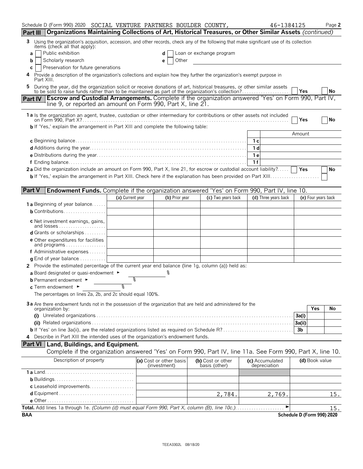| Schedule D (Form 990) 2020 SOCIAL VENTURE PARTNERS BOULDER COUNTY,<br>Organizations Maintaining Collections of Art, Historical Treasures, or Other Similar Assets (continued)                                                  |                  |                                         |                |                                    | 46-1384125                      |                            | Page 2 |
|--------------------------------------------------------------------------------------------------------------------------------------------------------------------------------------------------------------------------------|------------------|-----------------------------------------|----------------|------------------------------------|---------------------------------|----------------------------|--------|
| <b>Part III</b>                                                                                                                                                                                                                |                  |                                         |                |                                    |                                 |                            |        |
| Using the organization's acquisition, accession, and other records, check any of the following that make significant use of its collection<br>3<br>items (check all that apply):                                               |                  |                                         |                |                                    |                                 |                            |        |
| Public exhibition<br>a                                                                                                                                                                                                         |                  | d                                       |                | Loan or exchange program           |                                 |                            |        |
| Scholarly research<br>b                                                                                                                                                                                                        |                  | е                                       | Other          |                                    |                                 |                            |        |
| Preservation for future generations<br>С<br>Provide a description of the organization's collections and explain how they further the organization's exempt purpose in<br>4                                                     |                  |                                         |                |                                    |                                 |                            |        |
| Part XIII.                                                                                                                                                                                                                     |                  |                                         |                |                                    |                                 |                            |        |
| During the year, did the organization solicit or receive donations of art, historical treasures, or other similar assets to be sold to raise funds rather than to be maintained as part of the organization's collection?<br>5 |                  |                                         |                |                                    |                                 | Yes                        | No     |
| <b>Escrow and Custodial Arrangements.</b> Complete if the organization answered 'Yes' on Form 990, Part IV,<br><b>Part IV</b>                                                                                                  |                  |                                         |                |                                    |                                 |                            |        |
| line 9, or reported an amount on Form 990, Part X, line 21.                                                                                                                                                                    |                  |                                         |                |                                    |                                 |                            |        |
| 1 a Is the organization an agent, trustee, custodian or other intermediary for contributions or other assets not included                                                                                                      |                  |                                         |                |                                    |                                 |                            |        |
|                                                                                                                                                                                                                                |                  |                                         |                |                                    |                                 | Yes                        | No     |
| <b>b</b> If 'Yes,' explain the arrangement in Part XIII and complete the following table:                                                                                                                                      |                  |                                         |                |                                    |                                 | Amount                     |        |
|                                                                                                                                                                                                                                |                  |                                         |                |                                    | 1 с                             |                            |        |
|                                                                                                                                                                                                                                |                  |                                         |                |                                    | 1 <sub>d</sub>                  |                            |        |
|                                                                                                                                                                                                                                |                  |                                         |                |                                    | 1e                              |                            |        |
|                                                                                                                                                                                                                                |                  |                                         |                |                                    | 1f                              |                            |        |
| 2a Did the organization include an amount on Form 990, Part X, line 21, for escrow or custodial account liability?                                                                                                             |                  |                                         |                |                                    |                                 | Yes                        | No     |
|                                                                                                                                                                                                                                |                  |                                         |                |                                    |                                 |                            |        |
|                                                                                                                                                                                                                                |                  |                                         |                |                                    |                                 |                            |        |
| <b>Part V</b><br>Endowment Funds. Complete if the organization answered 'Yes' on Form 990, Part IV, line 10.                                                                                                                   |                  |                                         |                |                                    |                                 |                            |        |
|                                                                                                                                                                                                                                | (a) Current year |                                         | (b) Prior year | (c) Two years back                 | (d) Three years back            | (e) Four years back        |        |
| <b>1 a</b> Beginning of year balance                                                                                                                                                                                           |                  |                                         |                |                                    |                                 |                            |        |
| <b>b</b> Contributions                                                                                                                                                                                                         |                  |                                         |                |                                    |                                 |                            |        |
| c Net investment earnings, gains,                                                                                                                                                                                              |                  |                                         |                |                                    |                                 |                            |        |
| and losses                                                                                                                                                                                                                     |                  |                                         |                |                                    |                                 |                            |        |
| d Grants or scholarships                                                                                                                                                                                                       |                  |                                         |                |                                    |                                 |                            |        |
| <b>e</b> Other expenditures for facilities<br>and programs $\ldots \ldots \ldots \ldots \ldots$                                                                                                                                |                  |                                         |                |                                    |                                 |                            |        |
| <b>f</b> Administrative expenses $\dots$                                                                                                                                                                                       |                  |                                         |                |                                    |                                 |                            |        |
| <b>q</b> End of year balance $\dots\dots\dots\dots$                                                                                                                                                                            |                  |                                         |                |                                    |                                 |                            |        |
| 2 Provide the estimated percentage of the current year end balance (line 1g, column (a)) held as:                                                                                                                              |                  |                                         |                |                                    |                                 |                            |        |
| a Board designated or quasi-endowment $\blacktriangleright$                                                                                                                                                                    |                  |                                         |                |                                    |                                 |                            |        |
| <b>b</b> Permanent endowment ►                                                                                                                                                                                                 |                  |                                         |                |                                    |                                 |                            |        |
| c Term endowment ►                                                                                                                                                                                                             | ত্               |                                         |                |                                    |                                 |                            |        |
| The percentages on lines 2a, 2b, and 2c should equal 100%.                                                                                                                                                                     |                  |                                         |                |                                    |                                 |                            |        |
| 3a Are there endowment funds not in the possession of the organization that are held and administered for the                                                                                                                  |                  |                                         |                |                                    |                                 |                            |        |
| organization by:                                                                                                                                                                                                               |                  |                                         |                |                                    |                                 | <b>Yes</b>                 | No     |
|                                                                                                                                                                                                                                |                  |                                         |                |                                    |                                 | 3a(i)                      |        |
|                                                                                                                                                                                                                                |                  |                                         |                |                                    |                                 | 3a(ii)                     |        |
|                                                                                                                                                                                                                                |                  |                                         |                |                                    |                                 | 3 <sub>b</sub>             |        |
| 4 Describe in Part XIII the intended uses of the organization's endowment funds.                                                                                                                                               |                  |                                         |                |                                    |                                 |                            |        |
| <b>Part VI   Land, Buildings, and Equipment.</b>                                                                                                                                                                               |                  |                                         |                |                                    |                                 |                            |        |
| Complete if the organization answered 'Yes' on Form 990, Part IV, line 11a. See Form 990, Part X, line 10.                                                                                                                     |                  |                                         |                |                                    |                                 |                            |        |
| Description of property                                                                                                                                                                                                        |                  | (a) Cost or other basis<br>(investment) |                | (b) Cost or other<br>basis (other) | (c) Accumulated<br>depreciation | (d) Book value             |        |
|                                                                                                                                                                                                                                |                  |                                         |                |                                    |                                 |                            |        |
|                                                                                                                                                                                                                                |                  |                                         |                |                                    |                                 |                            |        |
| c Leasehold improvements                                                                                                                                                                                                       |                  |                                         |                |                                    |                                 |                            |        |
|                                                                                                                                                                                                                                |                  |                                         |                | 2,784.                             | 2,769.                          |                            | 15.    |
|                                                                                                                                                                                                                                |                  |                                         |                |                                    |                                 |                            |        |
| Total. Add lines 1a through 1e. (Column (d) must equal Form 990, Part X, column (B), line 10c.)                                                                                                                                |                  |                                         |                |                                    | ►                               |                            | 15.    |
| <b>BAA</b>                                                                                                                                                                                                                     |                  |                                         |                |                                    |                                 | Schedule D (Form 990) 2020 |        |

TEEA3302L 08/18/20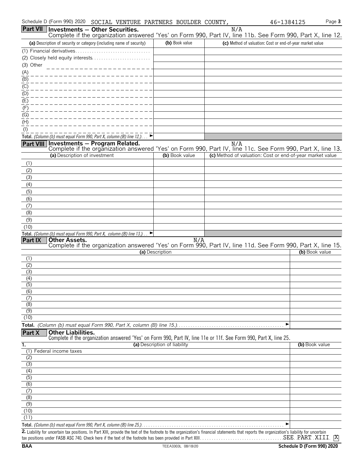| Schedule D (Form 990) 2020<br>SOCIAL VENTURE PARTNERS BOULDER COUNTY,                                                                                                                       |                              |     | 46-1384125                                                | Page 3 |
|---------------------------------------------------------------------------------------------------------------------------------------------------------------------------------------------|------------------------------|-----|-----------------------------------------------------------|--------|
| <b>Part VII Investments - Other Securities.</b>                                                                                                                                             |                              | N/A |                                                           |        |
| Complete if the organization answered 'Yes' on Form 990, Part IV, line 11b. See Form 990, Part X, line 12.<br>(a) Description of security or category (including name of security)          | (b) Book value               |     | (c) Method of valuation: Cost or end-of-year market value |        |
|                                                                                                                                                                                             |                              |     |                                                           |        |
|                                                                                                                                                                                             |                              |     |                                                           |        |
| (3) Other                                                                                                                                                                                   |                              |     |                                                           |        |
|                                                                                                                                                                                             |                              |     |                                                           |        |
|                                                                                                                                                                                             |                              |     |                                                           |        |
| $\frac{(A)}{(B)}$<br>$\frac{(C)}{(C)}$                                                                                                                                                      |                              |     |                                                           |        |
| $\frac{(D)}{(E)}$                                                                                                                                                                           |                              |     |                                                           |        |
|                                                                                                                                                                                             |                              |     |                                                           |        |
| (F)                                                                                                                                                                                         |                              |     |                                                           |        |
| (G)<br>(H)                                                                                                                                                                                  |                              |     |                                                           |        |
| $($ l $)$                                                                                                                                                                                   |                              |     |                                                           |        |
| Total. (Column (b) must equal Form 990, Part X, column (B) line 12.). $\Box$                                                                                                                |                              |     |                                                           |        |
| <b>Part VIII</b>                                                                                                                                                                            |                              |     |                                                           |        |
| <b>Investments - Program Related.</b> M/A N/A<br>Complete if the organization answered 'Yes' on Form 990, Part IV, line 11c. See Form 990, Part X, line 13.                                 |                              |     |                                                           |        |
| (a) Description of investment                                                                                                                                                               | (b) Book value               |     | (c) Method of valuation: Cost or end-of-year market value |        |
| (1)                                                                                                                                                                                         |                              |     |                                                           |        |
| (2)                                                                                                                                                                                         |                              |     |                                                           |        |
| (3)                                                                                                                                                                                         |                              |     |                                                           |        |
| (4)<br>(5)                                                                                                                                                                                  |                              |     |                                                           |        |
| (6)                                                                                                                                                                                         |                              |     |                                                           |        |
| (7)                                                                                                                                                                                         |                              |     |                                                           |        |
| (8)                                                                                                                                                                                         |                              |     |                                                           |        |
| (9)                                                                                                                                                                                         |                              |     |                                                           |        |
| (10)                                                                                                                                                                                        |                              |     |                                                           |        |
| Total. (Column (b) must equal Form 990, Part X, column (B) line 13.).                                                                                                                       |                              |     |                                                           |        |
| <b>Part IX</b><br><b>Other Assets.</b><br>Complete if the organization answered 'Yes' on Form 990, Part IV, line 11d. See Form 990, Part X, line 15.                                        | N/A                          |     |                                                           |        |
|                                                                                                                                                                                             | (a) Description              |     | (b) Book value                                            |        |
| (1)                                                                                                                                                                                         |                              |     |                                                           |        |
| (2)                                                                                                                                                                                         |                              |     |                                                           |        |
| (3)                                                                                                                                                                                         |                              |     |                                                           |        |
| (4)<br>(5)                                                                                                                                                                                  |                              |     |                                                           |        |
| (6)                                                                                                                                                                                         |                              |     |                                                           |        |
| (7)                                                                                                                                                                                         |                              |     |                                                           |        |
| (8)                                                                                                                                                                                         |                              |     |                                                           |        |
| (9)                                                                                                                                                                                         |                              |     |                                                           |        |
| (10)                                                                                                                                                                                        |                              |     |                                                           |        |
| <b>Other Liabilities.</b><br>Part X                                                                                                                                                         |                              |     |                                                           |        |
| Complete if the organization answered 'Yes' on Form 990, Part IV, line 11e or 11f. See Form 990, Part X, line 25.                                                                           |                              |     |                                                           |        |
| 1.                                                                                                                                                                                          | (a) Description of liability |     | (b) Book value                                            |        |
| Federal income taxes<br>(1)                                                                                                                                                                 |                              |     |                                                           |        |
| (2)                                                                                                                                                                                         |                              |     |                                                           |        |
| (3)<br>(4)                                                                                                                                                                                  |                              |     |                                                           |        |
| (5)                                                                                                                                                                                         |                              |     |                                                           |        |
| (6)                                                                                                                                                                                         |                              |     |                                                           |        |
| (7)                                                                                                                                                                                         |                              |     |                                                           |        |
| (8)                                                                                                                                                                                         |                              |     |                                                           |        |
| $\overline{(9)}$                                                                                                                                                                            |                              |     |                                                           |        |
| (10)                                                                                                                                                                                        |                              |     |                                                           |        |
| (11)                                                                                                                                                                                        |                              |     |                                                           |        |
| 2. Liability for uncertain tax positions. In Part XIII, provide the text of the footnote to the organization's financial statements that reports the organization's liability for uncertain |                              |     |                                                           |        |
|                                                                                                                                                                                             |                              |     |                                                           |        |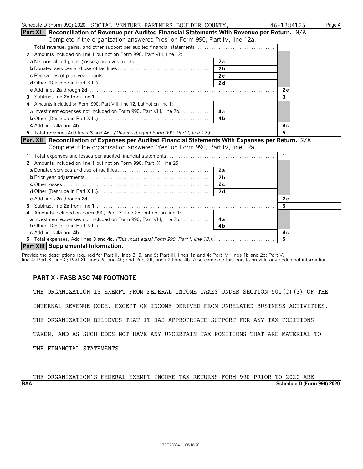| Schedule D (Form 990) 2020  SOCIAL VENTURE PARTNERS BOULDER COUNTY,                                |                | 46-1384125   | Page 4 |
|----------------------------------------------------------------------------------------------------|----------------|--------------|--------|
| Part XI   Reconciliation of Revenue per Audited Financial Statements With Revenue per Return. N/A  |                |              |        |
| Complete if the organization answered 'Yes' on Form 990, Part IV, line 12a.                        |                |              |        |
| $\mathbf{1}$                                                                                       |                | $\mathbf{1}$ |        |
| Amounts included on line 1 but not on Form 990, Part VIII, line 12:<br>2                           |                |              |        |
|                                                                                                    | 2al            |              |        |
|                                                                                                    | 2 <sub>b</sub> |              |        |
|                                                                                                    |                |              |        |
|                                                                                                    |                |              |        |
|                                                                                                    |                | 2e           |        |
| 3                                                                                                  |                | 3            |        |
| Amounts included on Form 990, Part VIII, line 12, but not on line 1:<br>4                          |                |              |        |
| a Investment expenses not included on Form 990, Part VIII, line 7b. 4a                             |                |              |        |
|                                                                                                    |                |              |        |
|                                                                                                    |                | 4 c          |        |
| 5 Total revenue. Add lines 3 and 4c. (This must equal Form 990, Part I, line 12.)                  |                | 5            |        |
| Part XII Reconciliation of Expenses per Audited Financial Statements With Expenses per Return. N/A |                |              |        |
| Complete if the organization answered 'Yes' on Form 990, Part IV, line 12a.                        |                |              |        |
|                                                                                                    |                | 1.           |        |
| Amounts included on line 1 but not on Form 990, Part IX, line 25:<br>2                             |                |              |        |
|                                                                                                    | 2a             |              |        |
|                                                                                                    | 2 <sub>b</sub> |              |        |
|                                                                                                    |                |              |        |
|                                                                                                    |                |              |        |
|                                                                                                    |                | <b>2e</b>    |        |
| 3                                                                                                  |                | 3            |        |
| Amounts included on Form 990, Part IX, line 25, but not on line 1:<br>4                            |                |              |        |
| <b>a</b> Investment expenses not included on Form 990, Part VIII, line 7b. 4a                      |                |              |        |
|                                                                                                    |                |              |        |
|                                                                                                    |                | 4 c          |        |
|                                                                                                    |                | 5.           |        |
| Part XIII Supplemental Information.                                                                |                |              |        |

Provide the descriptions required for Part II, lines 3, 5, and 9; Part III, lines 1a and 4; Part IV, lines 1b and 2b; Part V,

### line 4; Part X, line 2; Part XI, lines 2d and 4b; and Part XII, lines 2d and 4b. Also complete this part to provide any additional information.

### **PART X - FASB ASC 740 FOOTNOTE**

THE ORGANIZATION IS EXEMPT FROM FEDERAL INCOME TAXES UNDER SECTION 501(C)(3) OF THE INTERNAL REVENUE CODE, EXCEPT ON INCOME DERIVED FROM UNRELATED BUSINESS ACTIVITIES. THE ORGANIZATION BELIEVES THAT IT HAS APPROPRIATE SUPPORT FOR ANY TAX POSITIONS TAKEN, AND AS SUCH DOES NOT HAVE ANY UNCERTAIN TAX POSITIONS THAT ARE MATERIAL TO THE FINANCIAL STATEMENTS.

**BAA Schedule D (Form 990) 2020** THE ORGANIZATION'S FEDERAL EXEMPT INCOME TAX RETURNS FORM 990 PRIOR TO 2020 ARE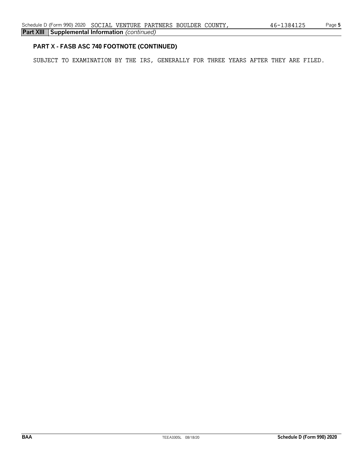### **PART X - FASB ASC 740 FOOTNOTE (CONTINUED)**

SUBJECT TO EXAMINATION BY THE IRS, GENERALLY FOR THREE YEARS AFTER THEY ARE FILED.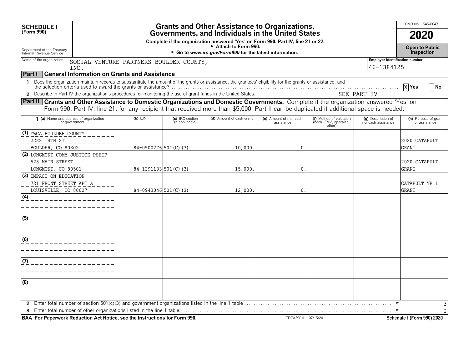| <b>SCHEDULE I</b>                                                                                                                      |                                                     |                                    | <b>Grants and Other Assistance to Organizations,</b>                                                                                                       |                                      |                                                             |                                                     | OMB No. 1545-0047                     |
|----------------------------------------------------------------------------------------------------------------------------------------|-----------------------------------------------------|------------------------------------|------------------------------------------------------------------------------------------------------------------------------------------------------------|--------------------------------------|-------------------------------------------------------------|-----------------------------------------------------|---------------------------------------|
| (Form 990)                                                                                                                             |                                                     |                                    | Governments, and Individuals in the United States                                                                                                          |                                      |                                                             |                                                     | 2020                                  |
|                                                                                                                                        |                                                     |                                    | Complete if the organization answered 'Yes' on Form 990, Part IV, line 21 or 22.<br>Attach to Form 990.                                                    |                                      |                                                             |                                                     | <b>Open to Public</b>                 |
| Department of the Treasury<br>Internal Revenue Service                                                                                 |                                                     |                                    | ► Go to www.irs.gov/Form990 for the latest information.                                                                                                    |                                      |                                                             |                                                     | <b>Inspection</b>                     |
| Name of the organization<br>INC.                                                                                                       | SOCIAL VENTURE PARTNERS BOULDER COUNTY,             |                                    |                                                                                                                                                            |                                      |                                                             | <b>Employer identification number</b><br>46-1384125 |                                       |
| l Part I                                                                                                                               | <b>General Information on Grants and Assistance</b> |                                    |                                                                                                                                                            |                                      |                                                             |                                                     |                                       |
| $\mathbf{1}$                                                                                                                           |                                                     |                                    | Does the organization maintain records to substantiate the amount of the grants or assistance, the grantees' eligibility for the grants or assistance, and |                                      |                                                             |                                                     | X Yes<br>- I No                       |
| 2 Describe in Part IV the organization's procedures for monitoring the use of grant funds in the United States.                        |                                                     |                                    |                                                                                                                                                            |                                      |                                                             | SEE PART IV                                         |                                       |
| Part II Grants and Other Assistance to Domestic Organizations and Domestic Governments. Complete if the organization answered 'Yes' on |                                                     |                                    | Form 990, Part IV, line 21, for any recipient that received more than \$5,000. Part II can be duplicated if additional space is needed.                    |                                      |                                                             |                                                     |                                       |
| 1 (a) Name and address of organization<br>or government                                                                                | $(b)$ $EIN$                                         | (c) IRC section<br>(if applicable) | (d) Amount of cash grant                                                                                                                                   | (e) Amount of non-cash<br>assistance | (f) Method of valuation<br>(book, FMV, appraisal,<br>other) | (g) Description of<br>noncash assistance            | (h) Purpose of grant<br>or assistance |
| (1) YWCA BOULDER COUNTY                                                                                                                |                                                     |                                    |                                                                                                                                                            |                                      |                                                             |                                                     |                                       |
| 2222 14TH ST                                                                                                                           |                                                     |                                    |                                                                                                                                                            |                                      |                                                             |                                                     | 2020 CATAPULT                         |
| BOULDER, CO 80302                                                                                                                      | 84-0500276 501 (C) (3)                              |                                    | 10,000                                                                                                                                                     | $\mathbf 0$ .                        |                                                             |                                                     | <b>GRANT</b>                          |
| (2) LONGMONT COMM JUSTICE PSHIP<br>528 MAIN STREET                                                                                     |                                                     |                                    |                                                                                                                                                            |                                      |                                                             |                                                     | 2020 CATAPULT                         |
| LONGMONT, CO 80501                                                                                                                     | 84-1291133 501 (C) (3)                              |                                    | 15,000                                                                                                                                                     | $\mathbf{0}$                         |                                                             |                                                     | <b>GRANT</b>                          |
| (3) IMPACT ON EDUCATION<br>721 FRONT STREET APT A                                                                                      |                                                     |                                    |                                                                                                                                                            |                                      |                                                             |                                                     | CATAPULT YR 1                         |
| LOUISVILLE, CO 80027<br>(4)                                                                                                            | 84-0943046 501 (C) (3)                              |                                    | 12,000.                                                                                                                                                    | $\mathbf{0}$                         |                                                             |                                                     | GRANT                                 |
|                                                                                                                                        |                                                     |                                    |                                                                                                                                                            |                                      |                                                             |                                                     |                                       |
| (5)                                                                                                                                    |                                                     |                                    |                                                                                                                                                            |                                      |                                                             |                                                     |                                       |
|                                                                                                                                        |                                                     |                                    |                                                                                                                                                            |                                      |                                                             |                                                     |                                       |
| (6)                                                                                                                                    |                                                     |                                    |                                                                                                                                                            |                                      |                                                             |                                                     |                                       |
| (7)                                                                                                                                    |                                                     |                                    |                                                                                                                                                            |                                      |                                                             |                                                     |                                       |
|                                                                                                                                        |                                                     |                                    |                                                                                                                                                            |                                      |                                                             |                                                     |                                       |
| (8)                                                                                                                                    |                                                     |                                    |                                                                                                                                                            |                                      |                                                             |                                                     |                                       |
|                                                                                                                                        |                                                     |                                    |                                                                                                                                                            |                                      |                                                             |                                                     |                                       |
|                                                                                                                                        |                                                     |                                    |                                                                                                                                                            |                                      |                                                             |                                                     | 3                                     |
|                                                                                                                                        |                                                     |                                    |                                                                                                                                                            |                                      |                                                             |                                                     |                                       |
| BAA For Paperwork Reduction Act Notice, see the Instructions for Form 990.                                                             |                                                     |                                    |                                                                                                                                                            | TEEA3901L 07/15/20                   |                                                             |                                                     | Schedule I (Form 990) 2020            |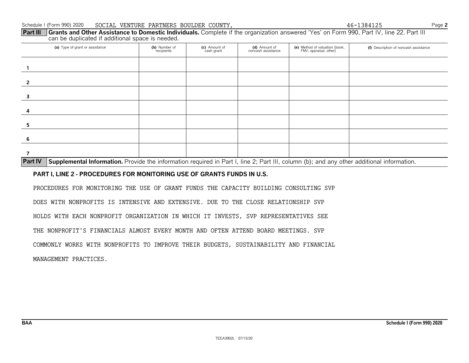### Schedule I (Form 990) 2020 SOCIAL VENTURE PARTNERS BOULDER COUNTY,  $\qquad 46-1384125$  **Page 2**

**Part III** Grants and Other Assistance to Domestic Individuals. Complete if the organization answered 'Yes' on Form 990, Part IV, line 22. Part III can be duplicated if additional space is needed.

| (a) Type of grant or assistance | (b) Number of<br>recipients | (c) Amount of<br>cash grant | (d) Amount of<br>noncash assistance | (e) Method of valuation (book,<br>FMV, appraisal, other) | (f) Description of noncash assistance |
|---------------------------------|-----------------------------|-----------------------------|-------------------------------------|----------------------------------------------------------|---------------------------------------|
|                                 |                             |                             |                                     |                                                          |                                       |
|                                 |                             |                             |                                     |                                                          |                                       |
|                                 |                             |                             |                                     |                                                          |                                       |
|                                 |                             |                             |                                     |                                                          |                                       |
| 5                               |                             |                             |                                     |                                                          |                                       |
| b                               |                             |                             |                                     |                                                          |                                       |
|                                 |                             |                             |                                     |                                                          |                                       |

**Part IV** Supplemental Information. Provide the information required in Part I, line 2; Part III, column (b); and any other additional information.

### **PART I, LINE 2 - PROCEDURES FOR MONITORING USE OF GRANTS FUNDS IN U.S.**

PROCEDURES FOR MONITORING THE USE OF GRANT FUNDS THE CAPACITY BUILDING CONSULTING SVP

DOES WITH NONPROFITS IS INTENSIVE AND EXTENSIVE. DUE TO THE CLOSE RELATIONSHIP SVP

HOLDS WITH EACH NONPROFIT ORGANIZATION IN WHICH IT INVESTS, SVP REPRESENTATIVES SEE

THE NONPROFIT'S FINANCIALS ALMOST EVERY MONTH AND OFTEN ATTEND BOARD MEETINGS. SVP

COMMONLY WORKS WITH NONPROFITS TO IMPROVE THEIR BUDGETS, SUSTAINABILITY AND FINANCIAL

MANAGEMENT PRACTICES.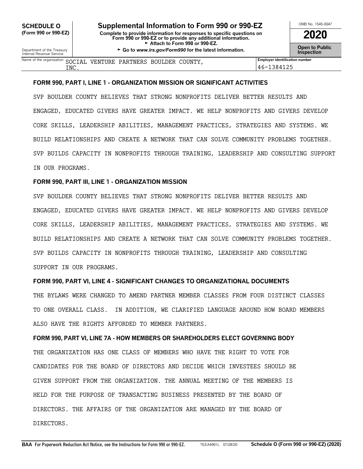Department of the Treasury<br>Internal Revenue Service

**SCHEDULE O COMB No. 1545-0047 Supplemental Information to Form 990 or 990-EZ (Form 990 or 990-EZ) Complete to provide information for responses to specific questions on Form 990 or 990-EZ or to provide any additional information. 2020** Attach to Form 990 or 990-EZ. **Open to Public** Department of the Treasury Go to Department of the Treasury Go to **Public**<br>► Go to *www.irs.gov/Form990* for the latest information.

Name of the organization SOCIAL VENTURE PARTNERS BOULDER COUNTY, INC.

# 46-1384125

### **FORM 990, PART I, LINE 1 - ORGANIZATION MISSION OR SIGNIFICANT ACTIVITIES**

SVP BOULDER COUNTY BELIEVES THAT STRONG NONPROFITS DELIVER BETTER RESULTS AND ENGAGED, EDUCATED GIVERS HAVE GREATER IMPACT. WE HELP NONPROFITS AND GIVERS DEVELOP CORE SKILLS, LEADERSHIP ABILITIES, MANAGEMENT PRACTICES, STRATEGIES AND SYSTEMS. WE BUILD RELATIONSHIPS AND CREATE A NETWORK THAT CAN SOLVE COMMUNITY PROBLEMS TOGETHER. SVP BUILDS CAPACITY IN NONPROFITS THROUGH TRAINING, LEADERSHIP AND CONSULTING SUPPORT IN OUR PROGRAMS.

### **FORM 990, PART III, LINE 1 - ORGANIZATION MISSION**

SVP BOULDER COUNTY BELIEVES THAT STRONG NONPROFITS DELIVER BETTER RESULTS AND ENGAGED, EDUCATED GIVERS HAVE GREATER IMPACT. WE HELP NONPROFITS AND GIVERS DEVELOP CORE SKILLS, LEADERSHIP ABILITIES, MANAGEMENT PRACTICES, STRATEGIES AND SYSTEMS. WE BUILD RELATIONSHIPS AND CREATE A NETWORK THAT CAN SOLVE COMMUNITY PROBLEMS TOGETHER. SVP BUILDS CAPACITY IN NONPROFITS THROUGH TRAINING, LEADERSHIP AND CONSULTING SUPPORT IN OUR PROGRAMS.

### **FORM 990, PART VI, LINE 4 - SIGNIFICANT CHANGES TO ORGANIZATIONAL DOCUMENTS**

THE BYLAWS WERE CHANGED TO AMEND PARTNER MEMBER CLASSES FROM FOUR DISTINCT CLASSES TO ONE OVERALL CLASS. IN ADDITION, WE CLARIFIED LANGUAGE AROUND HOW BOARD MEMBERS ALSO HAVE THE RIGHTS AFFORDED TO MEMBER PARTNERS.

### **FORM 990, PART VI, LINE 7A - HOW MEMBERS OR SHAREHOLDERS ELECT GOVERNING BODY**

THE ORGANIZATION HAS ONE CLASS OF MEMBERS WHO HAVE THE RIGHT TO VOTE FOR CANDIDATES FOR THE BOARD OF DIRECTORS AND DECIDE WHICH INVESTEES SHOULD BE GIVEN SUPPORT FROM THE ORGANIZATION. THE ANNUAL MEETING OF THE MEMBERS IS HELD FOR THE PURPOSE OF TRANSACTING BUSINESS PRESENTED BY THE BOARD OF DIRECTORS. THE AFFAIRS OF THE ORGANIZATION ARE MANAGED BY THE BOARD OF DIRECTORS.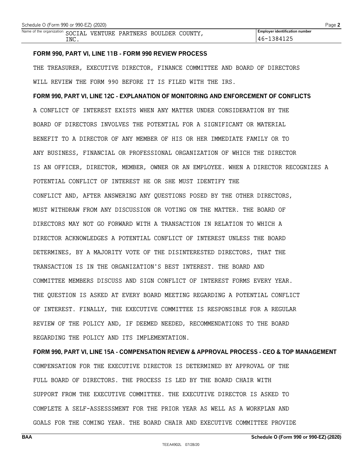### **FORM 990, PART VI, LINE 11B - FORM 990 REVIEW PROCESS**

THE TREASURER, EXECUTIVE DIRECTOR, FINANCE COMMITTEE AND BOARD OF DIRECTORS WILL REVIEW THE FORM 990 BEFORE IT IS FILED WITH THE IRS.

**FORM 990, PART VI, LINE 12C - EXPLANATION OF MONITORING AND ENFORCEMENT OF CONFLICTS** A CONFLICT OF INTEREST EXISTS WHEN ANY MATTER UNDER CONSIDERATION BY THE BOARD OF DIRECTORS INVOLVES THE POTENTIAL FOR A SIGNIFICANT OR MATERIAL BENEFIT TO A DIRECTOR OF ANY MEMBER OF HIS OR HER IMMEDIATE FAMILY OR TO ANY BUSINESS, FINANCIAL OR PROFESSIONAL ORGANIZATION OF WHICH THE DIRECTOR IS AN OFFICER, DIRECTOR, MEMBER, OWNER OR AN EMPLOYEE. WHEN A DIRECTOR RECOGNIZES A POTENTIAL CONFLICT OF INTEREST HE OR SHE MUST IDENTIFY THE CONFLICT AND, AFTER ANSWERING ANY QUESTIONS POSED BY THE OTHER DIRECTORS, MUST WITHDRAW FROM ANY DISCUSSION OR VOTING ON THE MATTER. THE BOARD OF DIRECTORS MAY NOT GO FORWARD WITH A TRANSACTION IN RELATION TO WHICH A DIRECTOR ACKNOWLEDGES A POTENTIAL CONFLICT OF INTEREST UNLESS THE BOARD DETERMINES, BY A MAJORITY VOTE OF THE DISINTERESTED DIRECTORS, THAT THE TRANSACTION IS IN THE ORGANIZATION'S BEST INTEREST. THE BOARD AND COMMITTEE MEMBERS DISCUSS AND SIGN CONFLICT OF INTEREST FORMS EVERY YEAR. THE QUESTION IS ASKED AT EVERY BOARD MEETING REGARDING A POTENTIAL CONFLICT OF INTEREST. FINALLY, THE EXECUTIVE COMMITTEE IS RESPONSIBLE FOR A REGULAR REVIEW OF THE POLICY AND, IF DEEMED NEEDED, RECOMMENDATIONS TO THE BOARD REGARDING THE POLICY AND ITS IMPLEMENTATION.

**FORM 990, PART VI, LINE 15A - COMPENSATION REVIEW & APPROVAL PROCESS - CEO & TOP MANAGEMENT** COMPENSATION FOR THE EXECUTIVE DIRECTOR IS DETERMINED BY APPROVAL OF THE FULL BOARD OF DIRECTORS. THE PROCESS IS LED BY THE BOARD CHAIR WITH SUPPORT FROM THE EXECUTIVE COMMITTEE. THE EXECUTIVE DIRECTOR IS ASKED TO COMPLETE A SELF-ASSESSSMENT FOR THE PRIOR YEAR AS WELL AS A WORKPLAN AND GOALS FOR THE COMING YEAR. THE BOARD CHAIR AND EXECUTIVE COMMITTEE PROVIDE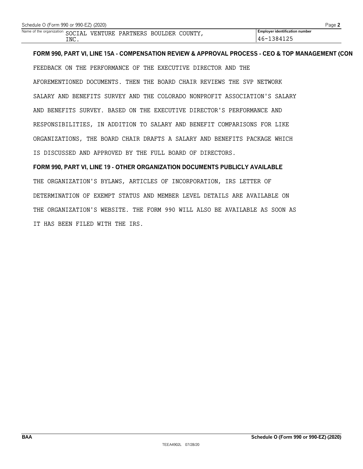| Schedule O (Form 990 or 990-EZ) (2020) |                                                                                                           |  |  |  |  |            |  |  |  |
|----------------------------------------|-----------------------------------------------------------------------------------------------------------|--|--|--|--|------------|--|--|--|
|                                        | Name of the organization SOCIAL VENTURE PARTNERS BOULDER COUNTY,<br><b>Employer identification number</b> |  |  |  |  |            |  |  |  |
|                                        | INC.                                                                                                      |  |  |  |  | 46-1384125 |  |  |  |

### FORM 990, PART VI, LINE 15A - COMPENSATION REVIEW & APPROVAL PROCESS - CEO & TOP MANAGEMENT (CON

FEEDBACK ON THE PERFORMANCE OF THE EXECUTIVE DIRECTOR AND THE AFOREMENTIONED DOCUMENTS. THEN THE BOARD CHAIR REVIEWS THE SVP NETWORK SALARY AND BENEFITS SURVEY AND THE COLORADO NONPROFIT ASSOCIATION'S SALARY AND BENEFITS SURVEY. BASED ON THE EXECUTIVE DIRECTOR'S PERFORMANCE AND RESPONSIBILITIES, IN ADDITION TO SALARY AND BENEFIT COMPARISONS FOR LIKE ORGANIZATIONS, THE BOARD CHAIR DRAFTS A SALARY AND BENEFITS PACKAGE WHICH IS DISCUSSED AND APPROVED BY THE FULL BOARD OF DIRECTORS.

### **FORM 990, PART VI, LINE 19 - OTHER ORGANIZATION DOCUMENTS PUBLICLY AVAILABLE**

THE ORGANIZATION'S BYLAWS, ARTICLES OF INCORPORATION, IRS LETTER OF DETERMINATION OF EXEMPT STATUS AND MEMBER LEVEL DETAILS ARE AVAILABLE ON THE ORGANIZATION'S WEBSITE. THE FORM 990 WILL ALSO BE AVAILABLE AS SOON AS IT HAS BEEN FILED WITH THE IRS.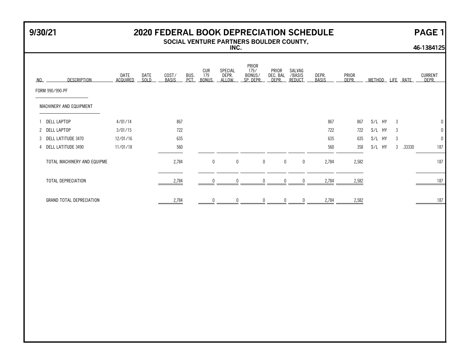# **9/30/21 2020 FEDERAL BOOK DEPRECIATION SCHEDULE PAGE 1**

### **SOCIAL VENTURE PARTNERS BOULDER COUNTY,**

### **INC. 46-1384125**

| NO. | <b>DESCRIPTION</b><br>FORM 990/990-PF | <b>DATE</b><br><b>ACQUIRED</b> | DATE<br><b>SOLD</b> | COST/<br><b>BASIS</b> | BUS.<br><b>PCT</b> | CUR<br>179<br><b>BONUS</b> | SPECIAL<br>DEPR.<br>ALLOW. | PRIOR<br>179/<br>BONUS/<br>SP. DEPR. | PRIOR<br>DEC. BAL<br>DEPR. | SALVAG<br>/BASIS<br>REDUCT  | DEPR.<br><b>BASIS</b> | PRIOR<br>DEPR. | METHOD LIFE RATE |    |        | <b>CURRENT</b><br>DEPR. |
|-----|---------------------------------------|--------------------------------|---------------------|-----------------------|--------------------|----------------------------|----------------------------|--------------------------------------|----------------------------|-----------------------------|-----------------------|----------------|------------------|----|--------|-------------------------|
|     | MACHINERY AND EQUIPMENT               |                                |                     |                       |                    |                            |                            |                                      |                            |                             |                       |                |                  |    |        |                         |
|     | DELL LAPTOP                           | 4/01/14                        |                     | 867                   |                    |                            |                            |                                      |                            |                             | 867                   | 867            | S/L HY           | -3 |        | $\mathbf 0$             |
|     | 2 DELL LAPTOP                         | 3/01/15                        |                     | 722                   |                    |                            |                            |                                      |                            |                             | 722                   | 722            | S/L HY           | 3  |        | $\mathbf{0}$            |
|     | 3 DELL LATITUDE 3470                  | 12/01/16                       |                     | 635                   |                    |                            |                            |                                      |                            |                             | 635                   | 635            | S/L HY           | 3  |        | $\mathbf{0}$            |
|     | 4 DELL LATITUDE 3490                  | 11/01/18                       |                     | 560                   |                    |                            |                            |                                      |                            |                             | 560                   | 358            | S/L HY           | 3  | .33330 | 187                     |
|     | TOTAL MACHINERY AND EQUIPME           |                                |                     | 2,784                 |                    | 0                          | $\mathbf 0$                |                                      | 0                          | $\mathbf 0$<br>$\mathbf{0}$ | 2,784                 | 2,582          |                  |    |        | 187                     |
|     | TOTAL DEPRECIATION                    |                                |                     | 2,784                 |                    |                            | $\Omega$                   |                                      |                            | $\mathbf{0}$                | 2,784                 | 2,582          |                  |    |        | 187                     |
|     | <b>GRAND TOTAL DEPRECIATION</b>       |                                |                     | 2,784                 |                    |                            | $\Omega$                   |                                      |                            |                             | 2,784                 | 2,582          |                  |    |        | 187                     |